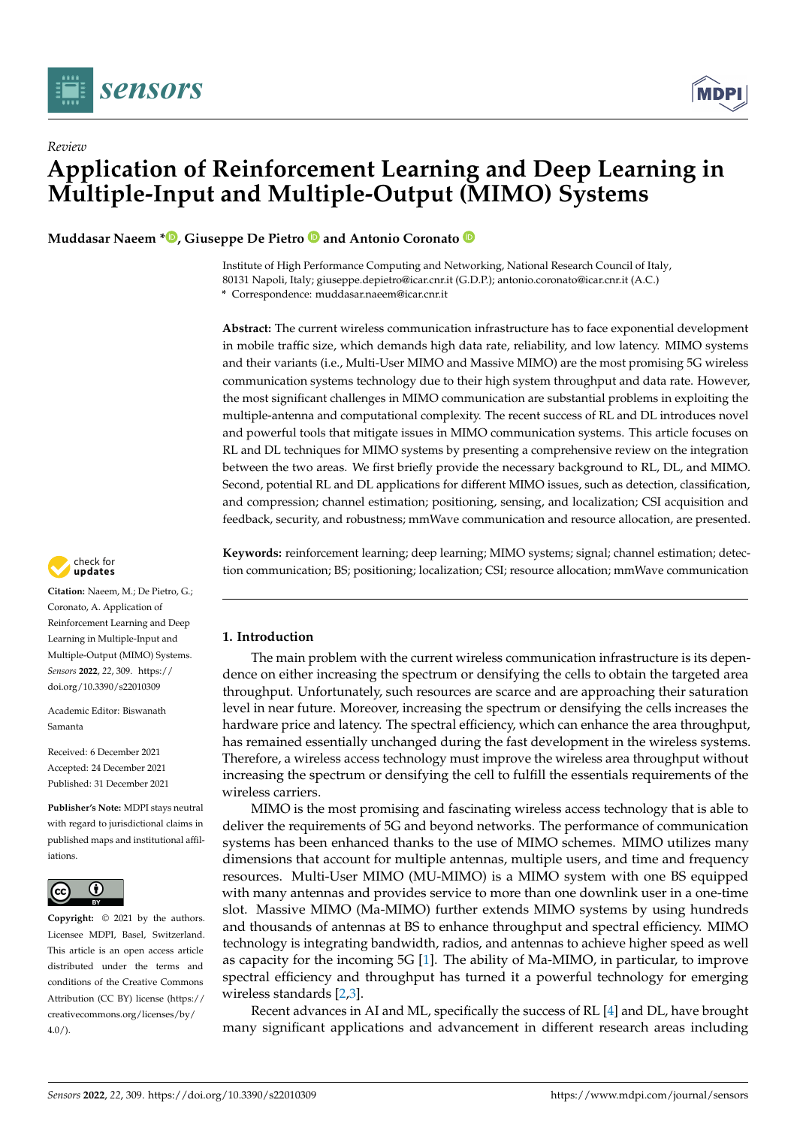

*Review*



# **Application of Reinforcement Learning and Deep Learning in Multiple-Input and Multiple-Output (MIMO) Systems**

**Muddasar Naeem \*<sup>®</sup>[,](https://orcid.org/0000-0003-0815-4883) Giuseppe De Pietro<sup>®</sup> and Antonio Coronato**<sup>®</sup>

Institute of High Performance Computing and Networking, National Research Council of Italy, 80131 Napoli, Italy; giuseppe.depietro@icar.cnr.it (G.D.P.); antonio.coronato@icar.cnr.it (A.C.) **\*** Correspondence: muddasar.naeem@icar.cnr.it

**Abstract:** The current wireless communication infrastructure has to face exponential development in mobile traffic size, which demands high data rate, reliability, and low latency. MIMO systems and their variants (i.e., Multi-User MIMO and Massive MIMO) are the most promising 5G wireless communication systems technology due to their high system throughput and data rate. However, the most significant challenges in MIMO communication are substantial problems in exploiting the multiple-antenna and computational complexity. The recent success of RL and DL introduces novel and powerful tools that mitigate issues in MIMO communication systems. This article focuses on RL and DL techniques for MIMO systems by presenting a comprehensive review on the integration between the two areas. We first briefly provide the necessary background to RL, DL, and MIMO. Second, potential RL and DL applications for different MIMO issues, such as detection, classification, and compression; channel estimation; positioning, sensing, and localization; CSI acquisition and feedback, security, and robustness; mmWave communication and resource allocation, are presented.

**Keywords:** reinforcement learning; deep learning; MIMO systems; signal; channel estimation; detection communication; BS; positioning; localization; CSI; resource allocation; mmWave communication

# **1. Introduction**

The main problem with the current wireless communication infrastructure is its dependence on either increasing the spectrum or densifying the cells to obtain the targeted area throughput. Unfortunately, such resources are scarce and are approaching their saturation level in near future. Moreover, increasing the spectrum or densifying the cells increases the hardware price and latency. The spectral efficiency, which can enhance the area throughput, has remained essentially unchanged during the fast development in the wireless systems. Therefore, a wireless access technology must improve the wireless area throughput without increasing the spectrum or densifying the cell to fulfill the essentials requirements of the wireless carriers.

MIMO is the most promising and fascinating wireless access technology that is able to deliver the requirements of 5G and beyond networks. The performance of communication systems has been enhanced thanks to the use of MIMO schemes. MIMO utilizes many dimensions that account for multiple antennas, multiple users, and time and frequency resources. Multi-User MIMO (MU-MIMO) is a MIMO system with one BS equipped with many antennas and provides service to more than one downlink user in a one-time slot. Massive MIMO (Ma-MIMO) further extends MIMO systems by using hundreds and thousands of antennas at BS to enhance throughput and spectral efficiency. MIMO technology is integrating bandwidth, radios, and antennas to achieve higher speed as well as capacity for the incoming 5G [\[1\]](#page-29-0). The ability of Ma-MIMO, in particular, to improve spectral efficiency and throughput has turned it a powerful technology for emerging wireless standards [\[2](#page-29-1)[,3\]](#page-29-2).

Recent advances in AI and ML, specifically the success of RL [\[4\]](#page-29-3) and DL, have brought many significant applications and advancement in different research areas including



**Citation:** Naeem, M.; De Pietro, G.; Coronato, A. Application of Reinforcement Learning and Deep Learning in Multiple-Input and Multiple-Output (MIMO) Systems. *Sensors* **2022**, *22*, 309. [https://](https://doi.org/10.3390/s22010309) [doi.org/10.3390/s22010309](https://doi.org/10.3390/s22010309)

Academic Editor: Biswanath Samanta

Received: 6 December 2021 Accepted: 24 December 2021 Published: 31 December 2021

**Publisher's Note:** MDPI stays neutral with regard to jurisdictional claims in published maps and institutional affiliations.



**Copyright:** © 2021 by the authors. Licensee MDPI, Basel, Switzerland. This article is an open access article distributed under the terms and conditions of the Creative Commons Attribution (CC BY) license [\(https://](https://creativecommons.org/licenses/by/4.0/) [creativecommons.org/licenses/by/](https://creativecommons.org/licenses/by/4.0/)  $4.0/$ ).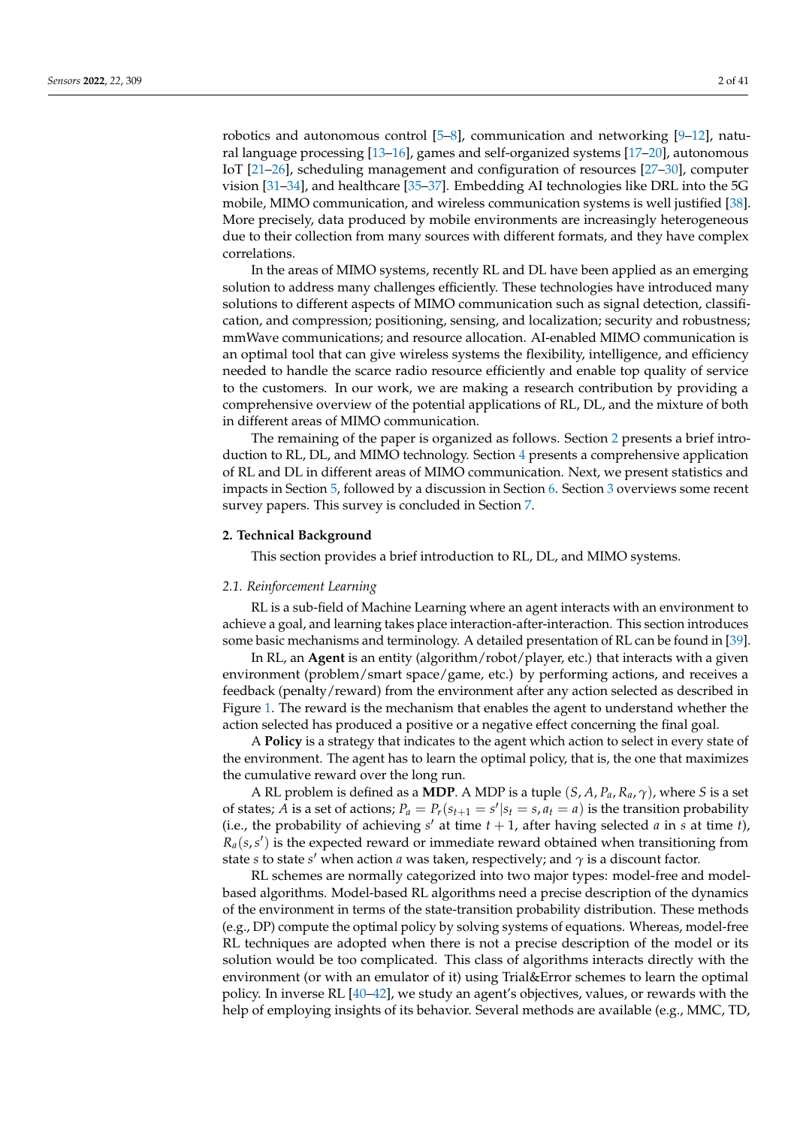robotics and autonomous control [\[5](#page-29-4)[–8\]](#page-29-5), communication and networking [\[9–](#page-29-6)[12\]](#page-29-7), natural language processing [\[13](#page-29-8)[–16\]](#page-29-9), games and self-organized systems [\[17–](#page-29-10)[20\]](#page-29-11), autonomous IoT [\[21](#page-29-12)[–26\]](#page-29-13), scheduling management and configuration of resources [\[27–](#page-29-14)[30\]](#page-30-0), computer vision [\[31–](#page-30-1)[34\]](#page-30-2), and healthcare [\[35–](#page-30-3)[37\]](#page-30-4). Embedding AI technologies like DRL into the 5G mobile, MIMO communication, and wireless communication systems is well justified [\[38\]](#page-30-5). More precisely, data produced by mobile environments are increasingly heterogeneous due to their collection from many sources with different formats, and they have complex correlations.

In the areas of MIMO systems, recently RL and DL have been applied as an emerging solution to address many challenges efficiently. These technologies have introduced many solutions to different aspects of MIMO communication such as signal detection, classification, and compression; positioning, sensing, and localization; security and robustness; mmWave communications; and resource allocation. AI-enabled MIMO communication is an optimal tool that can give wireless systems the flexibility, intelligence, and efficiency needed to handle the scarce radio resource efficiently and enable top quality of service to the customers. In our work, we are making a research contribution by providing a comprehensive overview of the potential applications of RL, DL, and the mixture of both in different areas of MIMO communication.

The remaining of the paper is organized as follows. Section [2](#page-1-0) presents a brief introduction to RL, DL, and MIMO technology. Section [4](#page-7-0) presents a comprehensive application of RL and DL in different areas of MIMO communication. Next, we present statistics and impacts in Section [5,](#page-23-0) followed by a discussion in Section [6.](#page-26-0) Section [3](#page-4-0) overviews some recent survey papers. This survey is concluded in Section [7.](#page-27-0)

### <span id="page-1-0"></span>**2. Technical Background**

This section provides a brief introduction to RL, DL, and MIMO systems.

# *2.1. Reinforcement Learning*

RL is a sub-field of Machine Learning where an agent interacts with an environment to achieve a goal, and learning takes place interaction-after-interaction. This section introduces some basic mechanisms and terminology. A detailed presentation of RL can be found in [\[39\]](#page-30-6).

In RL, an **Agent** is an entity (algorithm/robot/player, etc.) that interacts with a given environment (problem/smart space/game, etc.) by performing actions, and receives a feedback (penalty/reward) from the environment after any action selected as described in Figure [1.](#page-2-0) The reward is the mechanism that enables the agent to understand whether the action selected has produced a positive or a negative effect concerning the final goal.

A **Policy** is a strategy that indicates to the agent which action to select in every state of the environment. The agent has to learn the optimal policy, that is, the one that maximizes the cumulative reward over the long run.

A RL problem is defined as a **MDP**. A MDP is a tuple (*S*, *A*, *Pa*, *Ra*, *γ*), where *S* is a set of states; *A* is a set of actions;  $P_a = P_r(s_{t+1} = s'|s_t = s, a_t = a)$  is the transition probability (i.e., the probability of achieving  $s'$  at time  $t + 1$ , after having selected *a* in *s* at time *t*),  $R_a(s, s')$  is the expected reward or immediate reward obtained when transitioning from state *s* to state *s* <sup>0</sup> when action *a* was taken, respectively; and *γ* is a discount factor.

RL schemes are normally categorized into two major types: model-free and modelbased algorithms. Model-based RL algorithms need a precise description of the dynamics of the environment in terms of the state-transition probability distribution. These methods (e.g., DP) compute the optimal policy by solving systems of equations. Whereas, model-free RL techniques are adopted when there is not a precise description of the model or its solution would be too complicated. This class of algorithms interacts directly with the environment (or with an emulator of it) using Trial&Error schemes to learn the optimal policy. In inverse RL [\[40–](#page-30-7)[42\]](#page-30-8), we study an agent's objectives, values, or rewards with the help of employing insights of its behavior. Several methods are available (e.g., MMC, TD,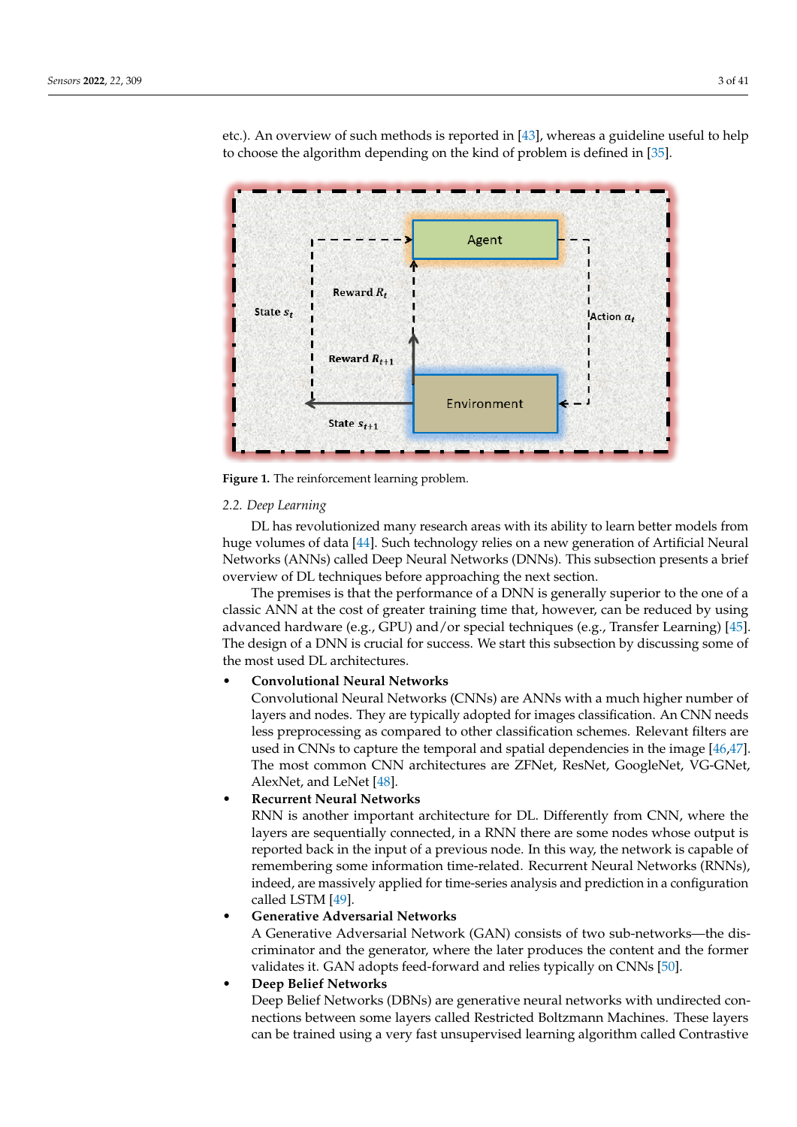<span id="page-2-0"></span>

etc.). An overview of such methods is reported in [\[43\]](#page-30-9), whereas a guideline useful to help to choose the algorithm depending on the kind of problem is defined in [\[35\]](#page-30-3).

**Figure 1.** The reinforcement learning problem.

### *2.2. Deep Learning*

DL has revolutionized many research areas with its ability to learn better models from huge volumes of data [\[44\]](#page-30-10). Such technology relies on a new generation of Artificial Neural Networks (ANNs) called Deep Neural Networks (DNNs). This subsection presents a brief overview of DL techniques before approaching the next section.

The premises is that the performance of a DNN is generally superior to the one of a classic ANN at the cost of greater training time that, however, can be reduced by using advanced hardware (e.g., GPU) and/or special techniques (e.g., Transfer Learning) [\[45\]](#page-30-11). The design of a DNN is crucial for success. We start this subsection by discussing some of the most used DL architectures.

# • **Convolutional Neural Networks**

Convolutional Neural Networks (CNNs) are ANNs with a much higher number of layers and nodes. They are typically adopted for images classification. An CNN needs less preprocessing as compared to other classification schemes. Relevant filters are used in CNNs to capture the temporal and spatial dependencies in the image [\[46](#page-30-12)[,47\]](#page-30-13). The most common CNN architectures are ZFNet, ResNet, GoogleNet, VG-GNet, AlexNet, and LeNet [\[48\]](#page-30-14).

# • **Recurrent Neural Networks**

RNN is another important architecture for DL. Differently from CNN, where the layers are sequentially connected, in a RNN there are some nodes whose output is reported back in the input of a previous node. In this way, the network is capable of remembering some information time-related. Recurrent Neural Networks (RNNs), indeed, are massively applied for time-series analysis and prediction in a configuration called LSTM [\[49\]](#page-30-15).

# • **Generative Adversarial Networks**

A Generative Adversarial Network (GAN) consists of two sub-networks—the discriminator and the generator, where the later produces the content and the former validates it. GAN adopts feed-forward and relies typically on CNNs [\[50\]](#page-30-16).

# • **Deep Belief Networks**

Deep Belief Networks (DBNs) are generative neural networks with undirected connections between some layers called Restricted Boltzmann Machines. These layers can be trained using a very fast unsupervised learning algorithm called Contrastive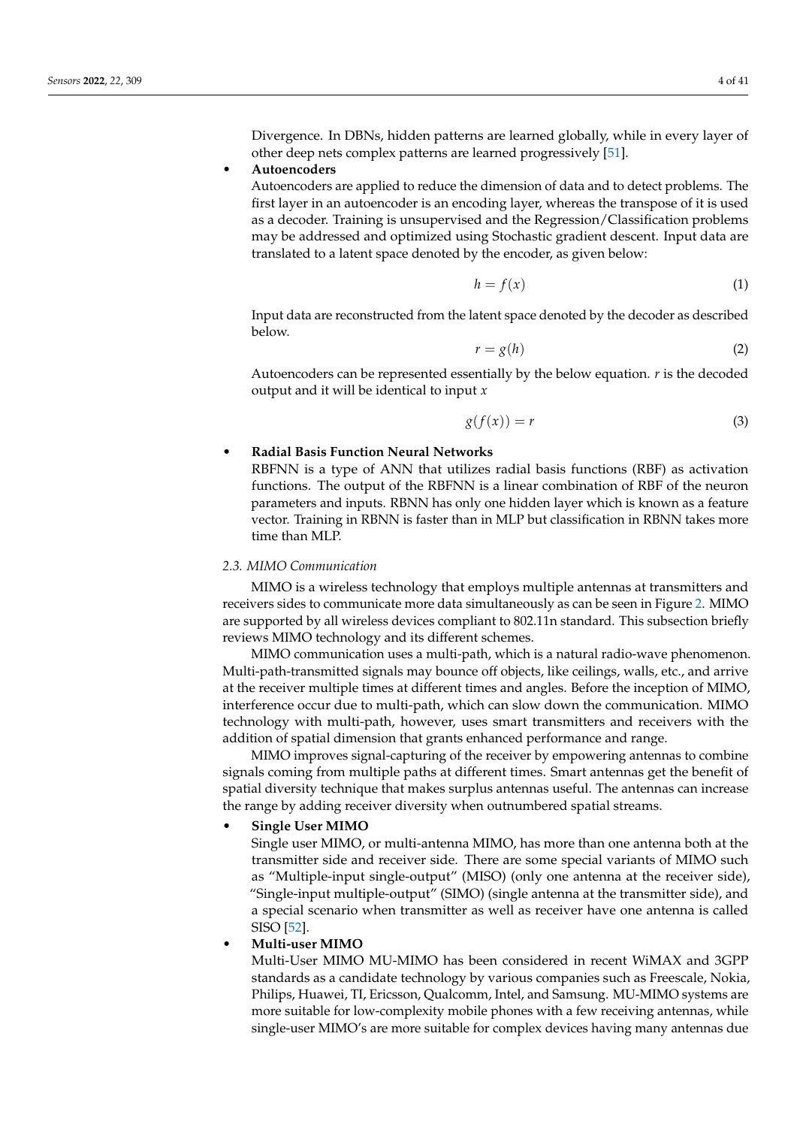Divergence. In DBNs, hidden patterns are learned globally, while in every layer of other deep nets complex patterns are learned progressively [\[51\]](#page-30-17).

### • **Autoencoders**

Autoencoders are applied to reduce the dimension of data and to detect problems. The first layer in an autoencoder is an encoding layer, whereas the transpose of it is used as a decoder. Training is unsupervised and the Regression/Classification problems may be addressed and optimized using Stochastic gradient descent. Input data are translated to a latent space denoted by the encoder, as given below:

$$
h = f(x) \tag{1}
$$

Input data are reconstructed from the latent space denoted by the decoder as described below.

$$
r = g(h) \tag{2}
$$

Autoencoders can be represented essentially by the below equation. *r* is the decoded output and it will be identical to input *x*

$$
g(f(x)) = r \tag{3}
$$

# • **Radial Basis Function Neural Networks**

RBFNN is a type of ANN that utilizes radial basis functions (RBF) as activation functions. The output of the RBFNN is a linear combination of RBF of the neuron parameters and inputs. RBNN has only one hidden layer which is known as a feature vector. Training in RBNN is faster than in MLP but classification in RBNN takes more time than MLP.

### *2.3. MIMO Communication*

MIMO is a wireless technology that employs multiple antennas at transmitters and receivers sides to communicate more data simultaneously as can be seen in Figure [2.](#page-4-1) MIMO are supported by all wireless devices compliant to 802.11n standard. This subsection briefly reviews MIMO technology and its different schemes.

MIMO communication uses a multi-path, which is a natural radio-wave phenomenon. Multi-path-transmitted signals may bounce off objects, like ceilings, walls, etc., and arrive at the receiver multiple times at different times and angles. Before the inception of MIMO, interference occur due to multi-path, which can slow down the communication. MIMO technology with multi-path, however, uses smart transmitters and receivers with the addition of spatial dimension that grants enhanced performance and range.

MIMO improves signal-capturing of the receiver by empowering antennas to combine signals coming from multiple paths at different times. Smart antennas get the benefit of spatial diversity technique that makes surplus antennas useful. The antennas can increase the range by adding receiver diversity when outnumbered spatial streams.

# • **Single User MIMO**

Single user MIMO, or multi-antenna MIMO, has more than one antenna both at the transmitter side and receiver side. There are some special variants of MIMO such as "Multiple-input single-output" (MISO) (only one antenna at the receiver side), "Single-input multiple-output" (SIMO) (single antenna at the transmitter side), and a special scenario when transmitter as well as receiver have one antenna is called SISO [\[52\]](#page-30-18).

# • **Multi-user MIMO**

Multi-User MIMO MU-MIMO has been considered in recent WiMAX and 3GPP standards as a candidate technology by various companies such as Freescale, Nokia, Philips, Huawei, TI, Ericsson, Qualcomm, Intel, and Samsung. MU-MIMO systems are more suitable for low-complexity mobile phones with a few receiving antennas, while single-user MIMO's are more suitable for complex devices having many antennas due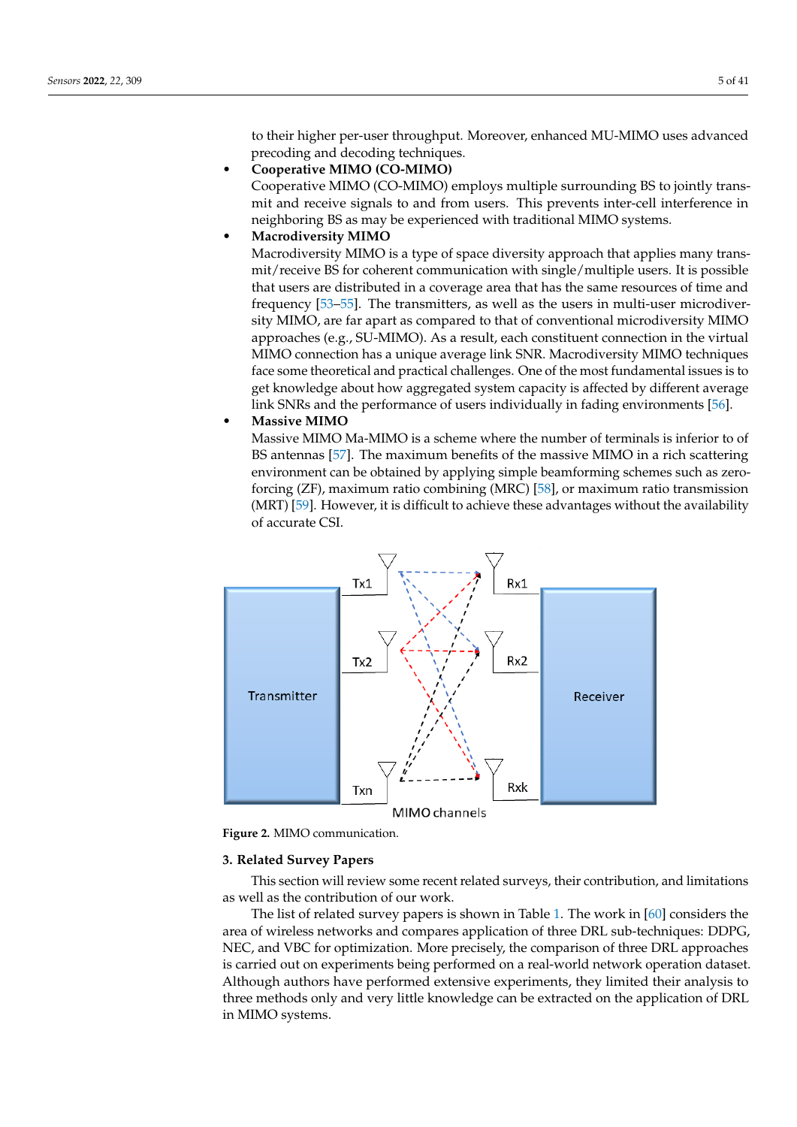to their higher per-user throughput. Moreover, enhanced MU-MIMO uses advanced precoding and decoding techniques.

- **Cooperative MIMO (CO-MIMO)** Cooperative MIMO (CO-MIMO) employs multiple surrounding BS to jointly transmit and receive signals to and from users. This prevents inter-cell interference in neighboring BS as may be experienced with traditional MIMO systems.
- **Macrodiversity MIMO**

Macrodiversity MIMO is a type of space diversity approach that applies many transmit/receive BS for coherent communication with single/multiple users. It is possible that users are distributed in a coverage area that has the same resources of time and frequency [\[53](#page-30-19)[–55\]](#page-30-20). The transmitters, as well as the users in multi-user microdiversity MIMO, are far apart as compared to that of conventional microdiversity MIMO approaches (e.g., SU-MIMO). As a result, each constituent connection in the virtual MIMO connection has a unique average link SNR. Macrodiversity MIMO techniques face some theoretical and practical challenges. One of the most fundamental issues is to get knowledge about how aggregated system capacity is affected by different average link SNRs and the performance of users individually in fading environments [\[56\]](#page-30-21).

• **Massive MIMO**

Massive MIMO Ma-MIMO is a scheme where the number of terminals is inferior to of BS antennas [\[57\]](#page-30-22). The maximum benefits of the massive MIMO in a rich scattering environment can be obtained by applying simple beamforming schemes such as zeroforcing (ZF), maximum ratio combining (MRC) [\[58\]](#page-30-23), or maximum ratio transmission (MRT) [\[59\]](#page-31-0). However, it is difficult to achieve these advantages without the availability of accurate CSI.

<span id="page-4-1"></span>

**Figure 2.** MIMO communication.

### <span id="page-4-0"></span>**3. Related Survey Papers**

This section will review some recent related surveys, their contribution, and limitations as well as the contribution of our work.

The list of related survey papers is shown in Table [1.](#page-7-1) The work in [\[60\]](#page-31-1) considers the area of wireless networks and compares application of three DRL sub-techniques: DDPG, NEC, and VBC for optimization. More precisely, the comparison of three DRL approaches is carried out on experiments being performed on a real-world network operation dataset. Although authors have performed extensive experiments, they limited their analysis to three methods only and very little knowledge can be extracted on the application of DRL in MIMO systems.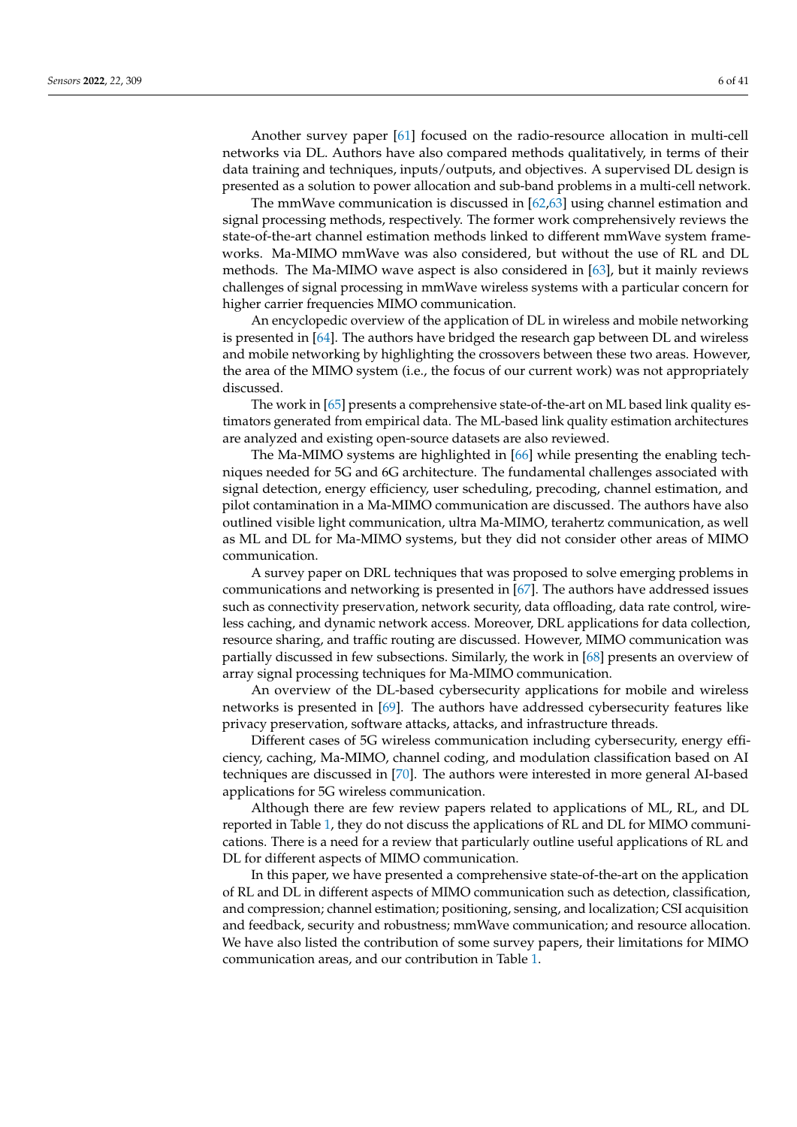Another survey paper [\[61\]](#page-31-2) focused on the radio-resource allocation in multi-cell networks via DL. Authors have also compared methods qualitatively, in terms of their data training and techniques, inputs/outputs, and objectives. A supervised DL design is presented as a solution to power allocation and sub-band problems in a multi-cell network.

The mmWave communication is discussed in [\[62](#page-31-3)[,63\]](#page-31-4) using channel estimation and signal processing methods, respectively. The former work comprehensively reviews the state-of-the-art channel estimation methods linked to different mmWave system frameworks. Ma-MIMO mmWave was also considered, but without the use of RL and DL methods. The Ma-MIMO wave aspect is also considered in [\[63\]](#page-31-4), but it mainly reviews challenges of signal processing in mmWave wireless systems with a particular concern for higher carrier frequencies MIMO communication.

An encyclopedic overview of the application of DL in wireless and mobile networking is presented in [\[64\]](#page-31-5). The authors have bridged the research gap between DL and wireless and mobile networking by highlighting the crossovers between these two areas. However, the area of the MIMO system (i.e., the focus of our current work) was not appropriately discussed.

The work in [\[65\]](#page-31-6) presents a comprehensive state-of-the-art on ML based link quality estimators generated from empirical data. The ML-based link quality estimation architectures are analyzed and existing open-source datasets are also reviewed.

The Ma-MIMO systems are highlighted in [\[66\]](#page-31-7) while presenting the enabling techniques needed for 5G and 6G architecture. The fundamental challenges associated with signal detection, energy efficiency, user scheduling, precoding, channel estimation, and pilot contamination in a Ma-MIMO communication are discussed. The authors have also outlined visible light communication, ultra Ma-MIMO, terahertz communication, as well as ML and DL for Ma-MIMO systems, but they did not consider other areas of MIMO communication.

A survey paper on DRL techniques that was proposed to solve emerging problems in communications and networking is presented in [\[67\]](#page-31-8). The authors have addressed issues such as connectivity preservation, network security, data offloading, data rate control, wireless caching, and dynamic network access. Moreover, DRL applications for data collection, resource sharing, and traffic routing are discussed. However, MIMO communication was partially discussed in few subsections. Similarly, the work in [\[68\]](#page-31-9) presents an overview of array signal processing techniques for Ma-MIMO communication.

An overview of the DL-based cybersecurity applications for mobile and wireless networks is presented in [\[69\]](#page-31-10). The authors have addressed cybersecurity features like privacy preservation, software attacks, attacks, and infrastructure threads.

Different cases of 5G wireless communication including cybersecurity, energy efficiency, caching, Ma-MIMO, channel coding, and modulation classification based on AI techniques are discussed in [\[70\]](#page-31-11). The authors were interested in more general AI-based applications for 5G wireless communication.

Although there are few review papers related to applications of ML, RL, and DL reported in Table [1,](#page-7-1) they do not discuss the applications of RL and DL for MIMO communications. There is a need for a review that particularly outline useful applications of RL and DL for different aspects of MIMO communication.

In this paper, we have presented a comprehensive state-of-the-art on the application of RL and DL in different aspects of MIMO communication such as detection, classification, and compression; channel estimation; positioning, sensing, and localization; CSI acquisition and feedback, security and robustness; mmWave communication; and resource allocation. We have also listed the contribution of some survey papers, their limitations for MIMO communication areas, and our contribution in Table [1.](#page-7-1)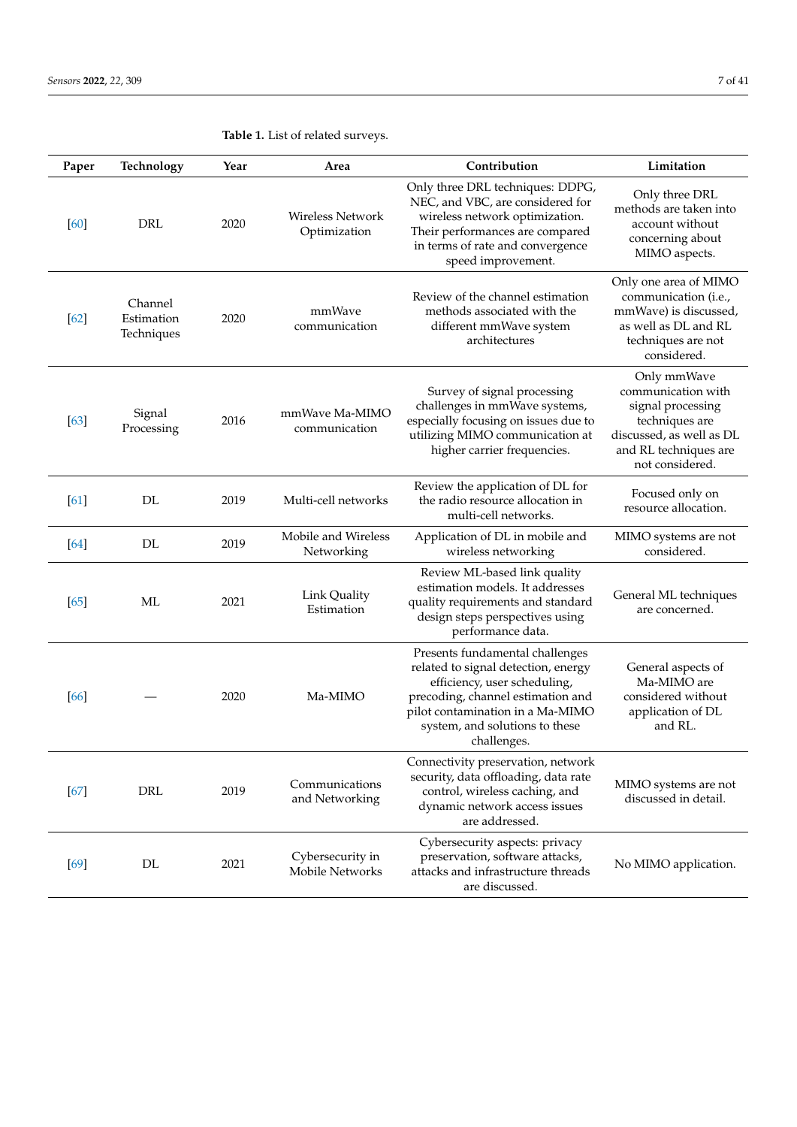| Paper  | Technology                          | Year | Area                                | Contribution                                                                                                                                                                                                                     | Limitation                                                                                                                                       |  |
|--------|-------------------------------------|------|-------------------------------------|----------------------------------------------------------------------------------------------------------------------------------------------------------------------------------------------------------------------------------|--------------------------------------------------------------------------------------------------------------------------------------------------|--|
| [60]   | <b>DRL</b>                          | 2020 | Wireless Network<br>Optimization    | Only three DRL techniques: DDPG,<br>NEC, and VBC, are considered for<br>wireless network optimization.<br>Their performances are compared<br>in terms of rate and convergence<br>speed improvement.                              | Only three DRL<br>methods are taken into<br>account without<br>concerning about<br>MIMO aspects.                                                 |  |
| [62]   | Channel<br>Estimation<br>Techniques | 2020 | mmWave<br>communication             | Review of the channel estimation<br>methods associated with the<br>different mmWave system<br>architectures                                                                                                                      | Only one area of MIMO<br>communication (i.e.,<br>mmWave) is discussed,<br>as well as DL and RL<br>techniques are not<br>considered.              |  |
| [63]   | Signal<br>Processing                | 2016 | mmWave Ma-MIMO<br>communication     | Survey of signal processing<br>challenges in mmWave systems,<br>especially focusing on issues due to<br>utilizing MIMO communication at<br>higher carrier frequencies.                                                           | Only mmWave<br>communication with<br>signal processing<br>techniques are<br>discussed, as well as DL<br>and RL techniques are<br>not considered. |  |
| [61]   | DL                                  | 2019 | Multi-cell networks                 | Review the application of DL for<br>the radio resource allocation in<br>multi-cell networks.                                                                                                                                     | Focused only on<br>resource allocation.                                                                                                          |  |
| [64]   | DL                                  | 2019 | Mobile and Wireless<br>Networking   | Application of DL in mobile and<br>wireless networking                                                                                                                                                                           | MIMO systems are not<br>considered.                                                                                                              |  |
| [65]   | ML                                  | 2021 | Link Quality<br>Estimation          | Review ML-based link quality<br>estimation models. It addresses<br>quality requirements and standard<br>design steps perspectives using<br>performance data.                                                                     | General ML techniques<br>are concerned.                                                                                                          |  |
| [66]   |                                     | 2020 | Ma-MIMO                             | Presents fundamental challenges<br>related to signal detection, energy<br>efficiency, user scheduling,<br>precoding, channel estimation and<br>pilot contamination in a Ma-MIMO<br>system, and solutions to these<br>challenges. | General aspects of<br>Ma-MIMO are<br>considered without<br>application of DL<br>and RL.                                                          |  |
| $[67]$ | DRL                                 | 2019 | Communications<br>and Networking    | Connectivity preservation, network<br>security, data offloading, data rate<br>control, wireless caching, and<br>dynamic network access issues<br>are addressed.                                                                  | MIMO systems are not<br>discussed in detail.                                                                                                     |  |
| $[69]$ | DL                                  | 2021 | Cybersecurity in<br>Mobile Networks | Cybersecurity aspects: privacy<br>preservation, software attacks,<br>attacks and infrastructure threads<br>are discussed.                                                                                                        | No MIMO application.                                                                                                                             |  |

# **Table 1.** List of related surveys.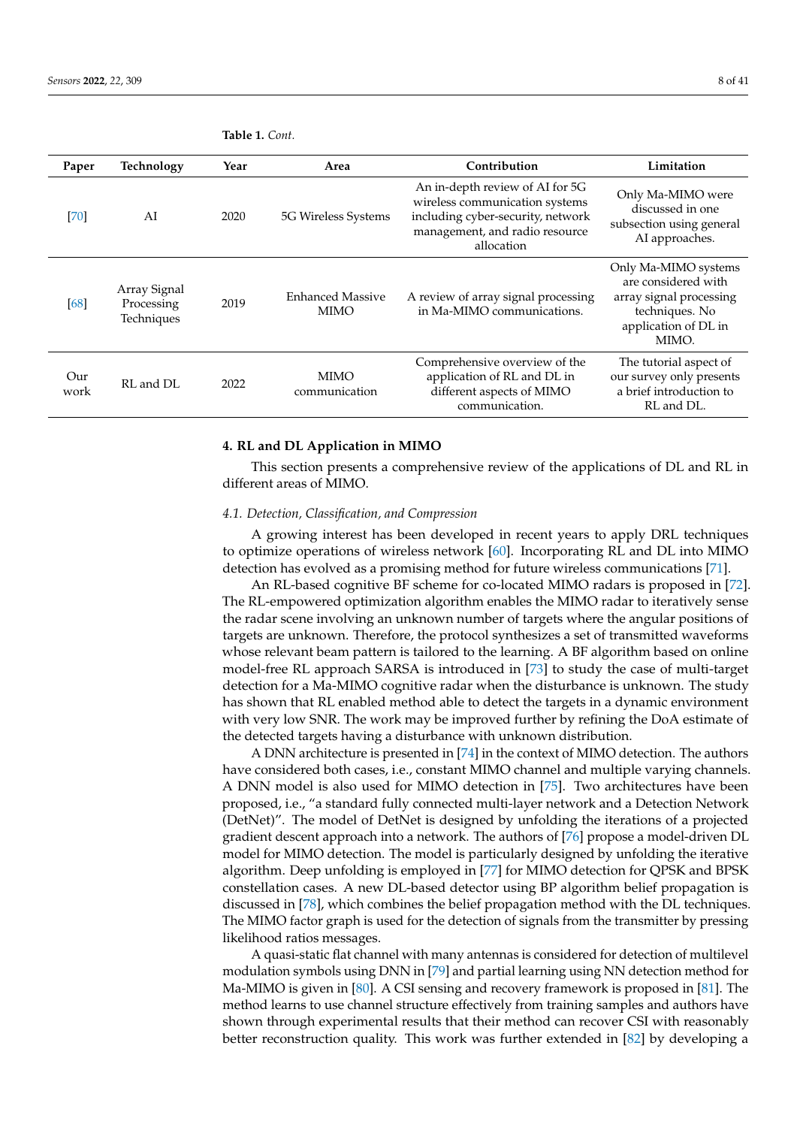| Paper       | Technology                               | Year | Area                                   | Contribution                                                                                                                                           | Limitation                                                                                                                |
|-------------|------------------------------------------|------|----------------------------------------|--------------------------------------------------------------------------------------------------------------------------------------------------------|---------------------------------------------------------------------------------------------------------------------------|
| [70]        | AI                                       | 2020 | 5G Wireless Systems                    | An in-depth review of AI for 5G<br>wireless communication systems<br>including cyber-security, network<br>management, and radio resource<br>allocation | Only Ma-MIMO were<br>discussed in one<br>subsection using general<br>AI approaches.                                       |
| [68]        | Array Signal<br>Processing<br>Techniques | 2019 | <b>Enhanced Massive</b><br><b>MIMO</b> | A review of array signal processing<br>in Ma-MIMO communications.                                                                                      | Only Ma-MIMO systems<br>are considered with<br>array signal processing<br>techniques. No<br>application of DL in<br>MIMO. |
| Our<br>work | RL and DL                                | 2022 | MIMO<br>communication                  | Comprehensive overview of the<br>application of RL and DL in<br>different aspects of MIMO<br>communication.                                            | The tutorial aspect of<br>our survey only presents<br>a brief introduction to<br>RL and DL.                               |

<span id="page-7-1"></span>**Table 1.** *Cont.*

# <span id="page-7-0"></span>**4. RL and DL Application in MIMO**

This section presents a comprehensive review of the applications of DL and RL in different areas of MIMO.

### <span id="page-7-2"></span>*4.1. Detection, Classification, and Compression*

A growing interest has been developed in recent years to apply DRL techniques to optimize operations of wireless network [\[60\]](#page-31-1). Incorporating RL and DL into MIMO detection has evolved as a promising method for future wireless communications [\[71\]](#page-31-12).

An RL-based cognitive BF scheme for co-located MIMO radars is proposed in [\[72\]](#page-31-13). The RL-empowered optimization algorithm enables the MIMO radar to iteratively sense the radar scene involving an unknown number of targets where the angular positions of targets are unknown. Therefore, the protocol synthesizes a set of transmitted waveforms whose relevant beam pattern is tailored to the learning. A BF algorithm based on online model-free RL approach SARSA is introduced in [\[73\]](#page-31-14) to study the case of multi-target detection for a Ma-MIMO cognitive radar when the disturbance is unknown. The study has shown that RL enabled method able to detect the targets in a dynamic environment with very low SNR. The work may be improved further by refining the DoA estimate of the detected targets having a disturbance with unknown distribution.

A DNN architecture is presented in [\[74\]](#page-31-15) in the context of MIMO detection. The authors have considered both cases, i.e., constant MIMO channel and multiple varying channels. A DNN model is also used for MIMO detection in [\[75\]](#page-31-16). Two architectures have been proposed, i.e., "a standard fully connected multi-layer network and a Detection Network (DetNet)". The model of DetNet is designed by unfolding the iterations of a projected gradient descent approach into a network. The authors of [\[76\]](#page-31-17) propose a model-driven DL model for MIMO detection. The model is particularly designed by unfolding the iterative algorithm. Deep unfolding is employed in [\[77\]](#page-31-18) for MIMO detection for QPSK and BPSK constellation cases. A new DL-based detector using BP algorithm belief propagation is discussed in [\[78\]](#page-31-19), which combines the belief propagation method with the DL techniques. The MIMO factor graph is used for the detection of signals from the transmitter by pressing likelihood ratios messages.

A quasi-static flat channel with many antennas is considered for detection of multilevel modulation symbols using DNN in [\[79\]](#page-31-20) and partial learning using NN detection method for Ma-MIMO is given in [\[80\]](#page-31-21). A CSI sensing and recovery framework is proposed in [\[81\]](#page-31-22). The method learns to use channel structure effectively from training samples and authors have shown through experimental results that their method can recover CSI with reasonably better reconstruction quality. This work was further extended in [\[82\]](#page-31-23) by developing a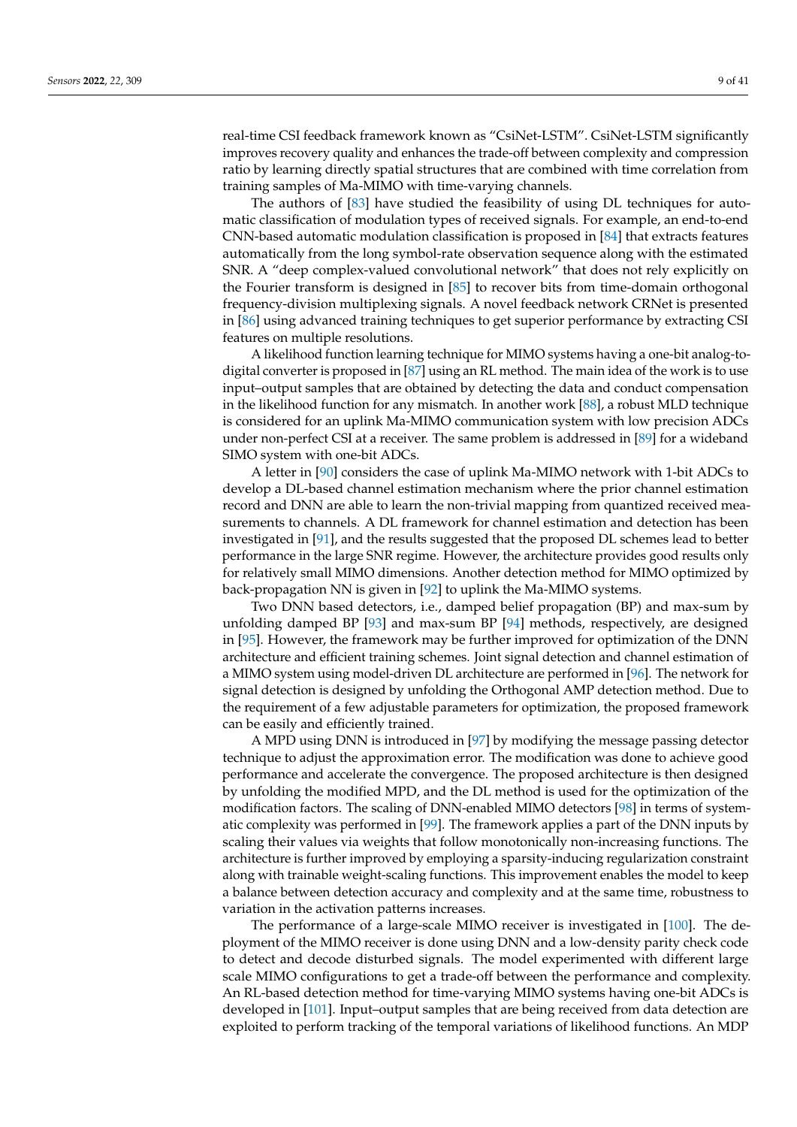real-time CSI feedback framework known as "CsiNet-LSTM". CsiNet-LSTM significantly improves recovery quality and enhances the trade-off between complexity and compression ratio by learning directly spatial structures that are combined with time correlation from training samples of Ma-MIMO with time-varying channels.

The authors of [\[83\]](#page-31-24) have studied the feasibility of using DL techniques for automatic classification of modulation types of received signals. For example, an end-to-end CNN-based automatic modulation classification is proposed in [\[84\]](#page-31-25) that extracts features automatically from the long symbol-rate observation sequence along with the estimated SNR. A "deep complex-valued convolutional network" that does not rely explicitly on the Fourier transform is designed in [\[85\]](#page-31-26) to recover bits from time-domain orthogonal frequency-division multiplexing signals. A novel feedback network CRNet is presented in [\[86\]](#page-31-27) using advanced training techniques to get superior performance by extracting CSI features on multiple resolutions.

A likelihood function learning technique for MIMO systems having a one-bit analog-todigital converter is proposed in [\[87\]](#page-32-0) using an RL method. The main idea of the work is to use input–output samples that are obtained by detecting the data and conduct compensation in the likelihood function for any mismatch. In another work [\[88\]](#page-32-1), a robust MLD technique is considered for an uplink Ma-MIMO communication system with low precision ADCs under non-perfect CSI at a receiver. The same problem is addressed in [\[89\]](#page-32-2) for a wideband SIMO system with one-bit ADCs.

A letter in [\[90\]](#page-32-3) considers the case of uplink Ma-MIMO network with 1-bit ADCs to develop a DL-based channel estimation mechanism where the prior channel estimation record and DNN are able to learn the non-trivial mapping from quantized received measurements to channels. A DL framework for channel estimation and detection has been investigated in [\[91\]](#page-32-4), and the results suggested that the proposed DL schemes lead to better performance in the large SNR regime. However, the architecture provides good results only for relatively small MIMO dimensions. Another detection method for MIMO optimized by back-propagation NN is given in [\[92\]](#page-32-5) to uplink the Ma-MIMO systems.

Two DNN based detectors, i.e., damped belief propagation (BP) and max-sum by unfolding damped BP [\[93\]](#page-32-6) and max-sum BP [\[94\]](#page-32-7) methods, respectively, are designed in [\[95\]](#page-32-8). However, the framework may be further improved for optimization of the DNN architecture and efficient training schemes. Joint signal detection and channel estimation of a MIMO system using model-driven DL architecture are performed in [\[96\]](#page-32-9). The network for signal detection is designed by unfolding the Orthogonal AMP detection method. Due to the requirement of a few adjustable parameters for optimization, the proposed framework can be easily and efficiently trained.

A MPD using DNN is introduced in [\[97\]](#page-32-10) by modifying the message passing detector technique to adjust the approximation error. The modification was done to achieve good performance and accelerate the convergence. The proposed architecture is then designed by unfolding the modified MPD, and the DL method is used for the optimization of the modification factors. The scaling of DNN-enabled MIMO detectors [\[98\]](#page-32-11) in terms of systematic complexity was performed in [\[99\]](#page-32-12). The framework applies a part of the DNN inputs by scaling their values via weights that follow monotonically non-increasing functions. The architecture is further improved by employing a sparsity-inducing regularization constraint along with trainable weight-scaling functions. This improvement enables the model to keep a balance between detection accuracy and complexity and at the same time, robustness to variation in the activation patterns increases.

The performance of a large-scale MIMO receiver is investigated in [\[100\]](#page-32-13). The deployment of the MIMO receiver is done using DNN and a low-density parity check code to detect and decode disturbed signals. The model experimented with different large scale MIMO configurations to get a trade-off between the performance and complexity. An RL-based detection method for time-varying MIMO systems having one-bit ADCs is developed in [\[101\]](#page-32-14). Input–output samples that are being received from data detection are exploited to perform tracking of the temporal variations of likelihood functions. An MDP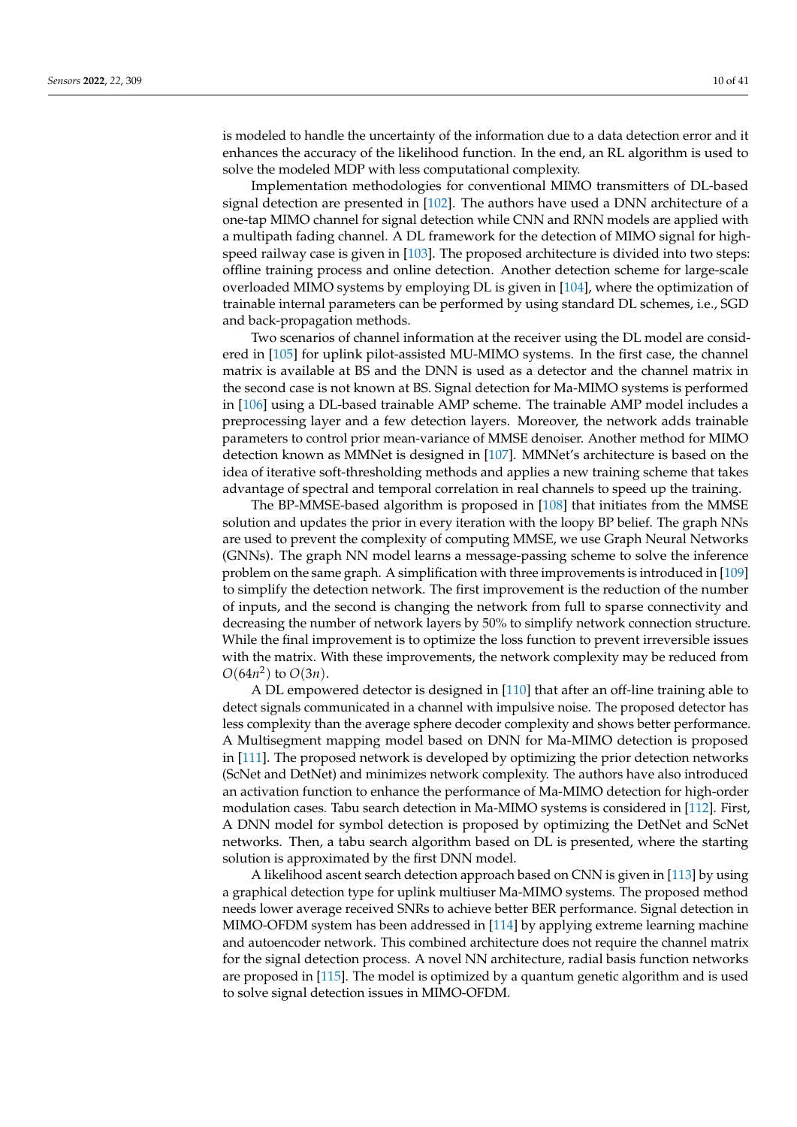is modeled to handle the uncertainty of the information due to a data detection error and it enhances the accuracy of the likelihood function. In the end, an RL algorithm is used to solve the modeled MDP with less computational complexity.

Implementation methodologies for conventional MIMO transmitters of DL-based signal detection are presented in [\[102\]](#page-32-15). The authors have used a DNN architecture of a one-tap MIMO channel for signal detection while CNN and RNN models are applied with a multipath fading channel. A DL framework for the detection of MIMO signal for high-speed railway case is given in [\[103\]](#page-32-16). The proposed architecture is divided into two steps: offline training process and online detection. Another detection scheme for large-scale overloaded MIMO systems by employing DL is given in [\[104\]](#page-32-17), where the optimization of trainable internal parameters can be performed by using standard DL schemes, i.e., SGD and back-propagation methods.

Two scenarios of channel information at the receiver using the DL model are considered in [\[105\]](#page-32-18) for uplink pilot-assisted MU-MIMO systems. In the first case, the channel matrix is available at BS and the DNN is used as a detector and the channel matrix in the second case is not known at BS. Signal detection for Ma-MIMO systems is performed in [\[106\]](#page-32-19) using a DL-based trainable AMP scheme. The trainable AMP model includes a preprocessing layer and a few detection layers. Moreover, the network adds trainable parameters to control prior mean-variance of MMSE denoiser. Another method for MIMO detection known as MMNet is designed in [\[107\]](#page-32-20). MMNet's architecture is based on the idea of iterative soft-thresholding methods and applies a new training scheme that takes advantage of spectral and temporal correlation in real channels to speed up the training.

The BP-MMSE-based algorithm is proposed in [\[108\]](#page-32-21) that initiates from the MMSE solution and updates the prior in every iteration with the loopy BP belief. The graph NNs are used to prevent the complexity of computing MMSE, we use Graph Neural Networks (GNNs). The graph NN model learns a message-passing scheme to solve the inference problem on the same graph. A simplification with three improvements is introduced in [\[109\]](#page-32-22) to simplify the detection network. The first improvement is the reduction of the number of inputs, and the second is changing the network from full to sparse connectivity and decreasing the number of network layers by 50% to simplify network connection structure. While the final improvement is to optimize the loss function to prevent irreversible issues with the matrix. With these improvements, the network complexity may be reduced from  $O(64n^2)$  to  $O(3n)$ .

A DL empowered detector is designed in [\[110\]](#page-32-23) that after an off-line training able to detect signals communicated in a channel with impulsive noise. The proposed detector has less complexity than the average sphere decoder complexity and shows better performance. A Multisegment mapping model based on DNN for Ma-MIMO detection is proposed in [\[111\]](#page-33-0). The proposed network is developed by optimizing the prior detection networks (ScNet and DetNet) and minimizes network complexity. The authors have also introduced an activation function to enhance the performance of Ma-MIMO detection for high-order modulation cases. Tabu search detection in Ma-MIMO systems is considered in [\[112\]](#page-33-1). First, A DNN model for symbol detection is proposed by optimizing the DetNet and ScNet networks. Then, a tabu search algorithm based on DL is presented, where the starting solution is approximated by the first DNN model.

A likelihood ascent search detection approach based on CNN is given in [\[113\]](#page-33-2) by using a graphical detection type for uplink multiuser Ma-MIMO systems. The proposed method needs lower average received SNRs to achieve better BER performance. Signal detection in MIMO-OFDM system has been addressed in [\[114\]](#page-33-3) by applying extreme learning machine and autoencoder network. This combined architecture does not require the channel matrix for the signal detection process. A novel NN architecture, radial basis function networks are proposed in [\[115\]](#page-33-4). The model is optimized by a quantum genetic algorithm and is used to solve signal detection issues in MIMO-OFDM.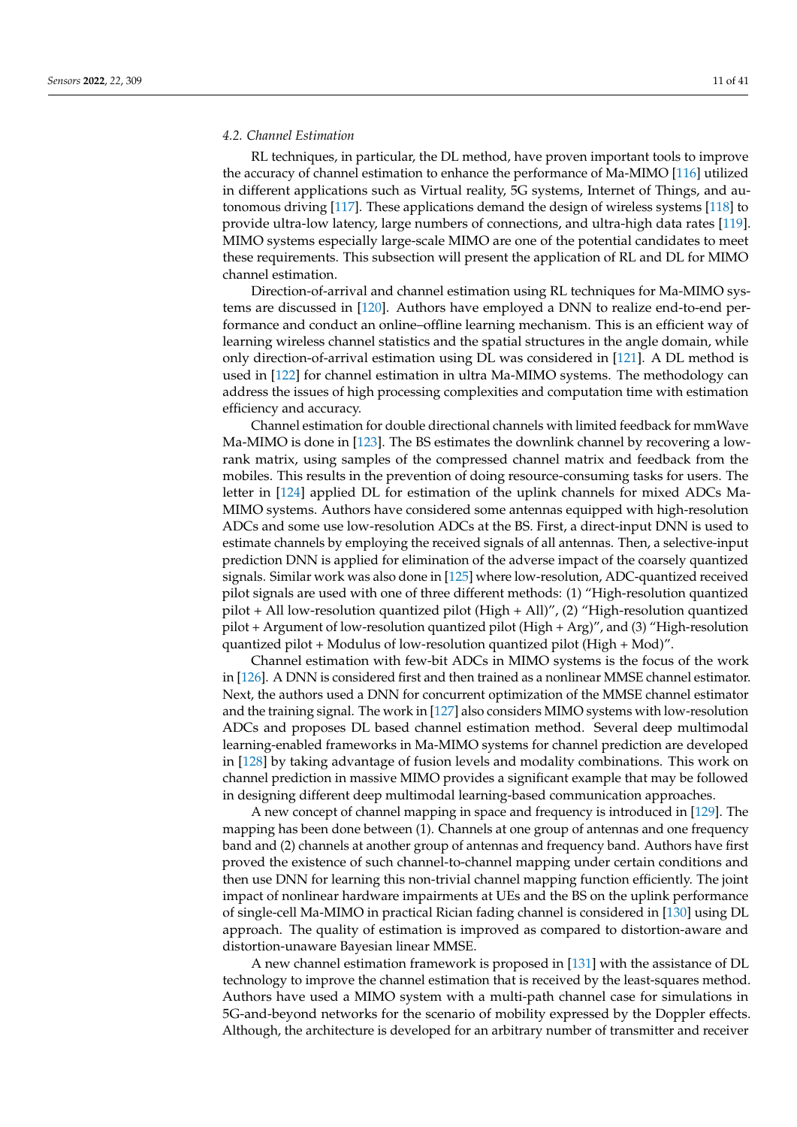### <span id="page-10-0"></span>*4.2. Channel Estimation*

RL techniques, in particular, the DL method, have proven important tools to improve the accuracy of channel estimation to enhance the performance of Ma-MIMO [\[116\]](#page-33-5) utilized in different applications such as Virtual reality, 5G systems, Internet of Things, and autonomous driving [\[117\]](#page-33-6). These applications demand the design of wireless systems [\[118\]](#page-33-7) to provide ultra-low latency, large numbers of connections, and ultra-high data rates [\[119\]](#page-33-8). MIMO systems especially large-scale MIMO are one of the potential candidates to meet these requirements. This subsection will present the application of RL and DL for MIMO channel estimation.

Direction-of-arrival and channel estimation using RL techniques for Ma-MIMO systems are discussed in [\[120\]](#page-33-9). Authors have employed a DNN to realize end-to-end performance and conduct an online–offline learning mechanism. This is an efficient way of learning wireless channel statistics and the spatial structures in the angle domain, while only direction-of-arrival estimation using DL was considered in [\[121\]](#page-33-10). A DL method is used in [\[122\]](#page-33-11) for channel estimation in ultra Ma-MIMO systems. The methodology can address the issues of high processing complexities and computation time with estimation efficiency and accuracy.

Channel estimation for double directional channels with limited feedback for mmWave Ma-MIMO is done in [\[123\]](#page-33-12). The BS estimates the downlink channel by recovering a lowrank matrix, using samples of the compressed channel matrix and feedback from the mobiles. This results in the prevention of doing resource-consuming tasks for users. The letter in [\[124\]](#page-33-13) applied DL for estimation of the uplink channels for mixed ADCs Ma-MIMO systems. Authors have considered some antennas equipped with high-resolution ADCs and some use low-resolution ADCs at the BS. First, a direct-input DNN is used to estimate channels by employing the received signals of all antennas. Then, a selective-input prediction DNN is applied for elimination of the adverse impact of the coarsely quantized signals. Similar work was also done in [\[125\]](#page-33-14) where low-resolution, ADC-quantized received pilot signals are used with one of three different methods: (1) "High-resolution quantized pilot + All low-resolution quantized pilot (High + All)", (2) "High-resolution quantized pilot + Argument of low-resolution quantized pilot (High + Arg)", and (3) "High-resolution quantized pilot + Modulus of low-resolution quantized pilot (High + Mod)".

Channel estimation with few-bit ADCs in MIMO systems is the focus of the work in [\[126\]](#page-33-15). A DNN is considered first and then trained as a nonlinear MMSE channel estimator. Next, the authors used a DNN for concurrent optimization of the MMSE channel estimator and the training signal. The work in [\[127\]](#page-33-16) also considers MIMO systems with low-resolution ADCs and proposes DL based channel estimation method. Several deep multimodal learning-enabled frameworks in Ma-MIMO systems for channel prediction are developed in [\[128\]](#page-33-17) by taking advantage of fusion levels and modality combinations. This work on channel prediction in massive MIMO provides a significant example that may be followed in designing different deep multimodal learning-based communication approaches.

A new concept of channel mapping in space and frequency is introduced in [\[129\]](#page-33-18). The mapping has been done between (1). Channels at one group of antennas and one frequency band and (2) channels at another group of antennas and frequency band. Authors have first proved the existence of such channel-to-channel mapping under certain conditions and then use DNN for learning this non-trivial channel mapping function efficiently. The joint impact of nonlinear hardware impairments at UEs and the BS on the uplink performance of single-cell Ma-MIMO in practical Rician fading channel is considered in [\[130\]](#page-33-19) using DL approach. The quality of estimation is improved as compared to distortion-aware and distortion-unaware Bayesian linear MMSE.

A new channel estimation framework is proposed in [\[131\]](#page-33-20) with the assistance of DL technology to improve the channel estimation that is received by the least-squares method. Authors have used a MIMO system with a multi-path channel case for simulations in 5G-and-beyond networks for the scenario of mobility expressed by the Doppler effects. Although, the architecture is developed for an arbitrary number of transmitter and receiver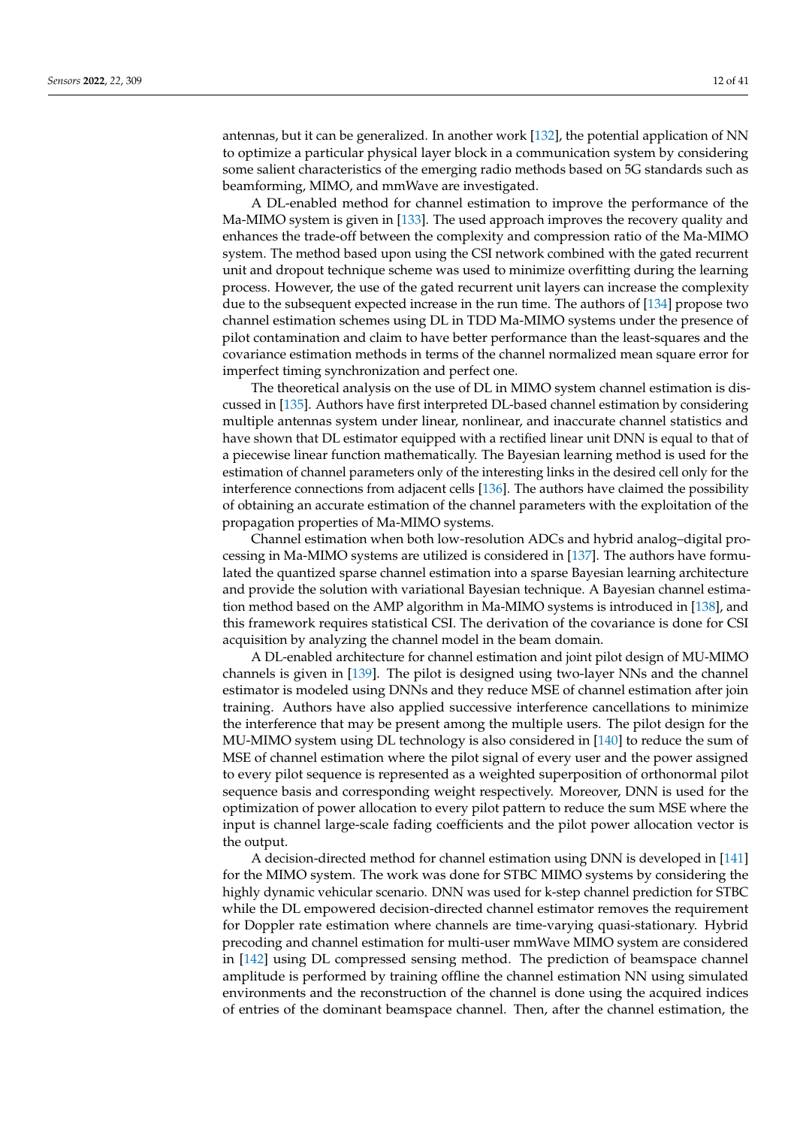antennas, but it can be generalized. In another work [\[132\]](#page-33-21), the potential application of NN to optimize a particular physical layer block in a communication system by considering some salient characteristics of the emerging radio methods based on 5G standards such as beamforming, MIMO, and mmWave are investigated.

A DL-enabled method for channel estimation to improve the performance of the Ma-MIMO system is given in [\[133\]](#page-33-22). The used approach improves the recovery quality and enhances the trade-off between the complexity and compression ratio of the Ma-MIMO system. The method based upon using the CSI network combined with the gated recurrent unit and dropout technique scheme was used to minimize overfitting during the learning process. However, the use of the gated recurrent unit layers can increase the complexity due to the subsequent expected increase in the run time. The authors of [\[134\]](#page-33-23) propose two channel estimation schemes using DL in TDD Ma-MIMO systems under the presence of pilot contamination and claim to have better performance than the least-squares and the covariance estimation methods in terms of the channel normalized mean square error for imperfect timing synchronization and perfect one.

The theoretical analysis on the use of DL in MIMO system channel estimation is discussed in [\[135\]](#page-33-24). Authors have first interpreted DL-based channel estimation by considering multiple antennas system under linear, nonlinear, and inaccurate channel statistics and have shown that DL estimator equipped with a rectified linear unit DNN is equal to that of a piecewise linear function mathematically. The Bayesian learning method is used for the estimation of channel parameters only of the interesting links in the desired cell only for the interference connections from adjacent cells [\[136\]](#page-33-25). The authors have claimed the possibility of obtaining an accurate estimation of the channel parameters with the exploitation of the propagation properties of Ma-MIMO systems.

Channel estimation when both low-resolution ADCs and hybrid analog–digital processing in Ma-MIMO systems are utilized is considered in [\[137\]](#page-34-0). The authors have formulated the quantized sparse channel estimation into a sparse Bayesian learning architecture and provide the solution with variational Bayesian technique. A Bayesian channel estimation method based on the AMP algorithm in Ma-MIMO systems is introduced in [\[138\]](#page-34-1), and this framework requires statistical CSI. The derivation of the covariance is done for CSI acquisition by analyzing the channel model in the beam domain.

A DL-enabled architecture for channel estimation and joint pilot design of MU-MIMO channels is given in [\[139\]](#page-34-2). The pilot is designed using two-layer NNs and the channel estimator is modeled using DNNs and they reduce MSE of channel estimation after join training. Authors have also applied successive interference cancellations to minimize the interference that may be present among the multiple users. The pilot design for the MU-MIMO system using DL technology is also considered in [\[140\]](#page-34-3) to reduce the sum of MSE of channel estimation where the pilot signal of every user and the power assigned to every pilot sequence is represented as a weighted superposition of orthonormal pilot sequence basis and corresponding weight respectively. Moreover, DNN is used for the optimization of power allocation to every pilot pattern to reduce the sum MSE where the input is channel large-scale fading coefficients and the pilot power allocation vector is the output.

A decision-directed method for channel estimation using DNN is developed in [\[141\]](#page-34-4) for the MIMO system. The work was done for STBC MIMO systems by considering the highly dynamic vehicular scenario. DNN was used for k-step channel prediction for STBC while the DL empowered decision-directed channel estimator removes the requirement for Doppler rate estimation where channels are time-varying quasi-stationary. Hybrid precoding and channel estimation for multi-user mmWave MIMO system are considered in [\[142\]](#page-34-5) using DL compressed sensing method. The prediction of beamspace channel amplitude is performed by training offline the channel estimation NN using simulated environments and the reconstruction of the channel is done using the acquired indices of entries of the dominant beamspace channel. Then, after the channel estimation, the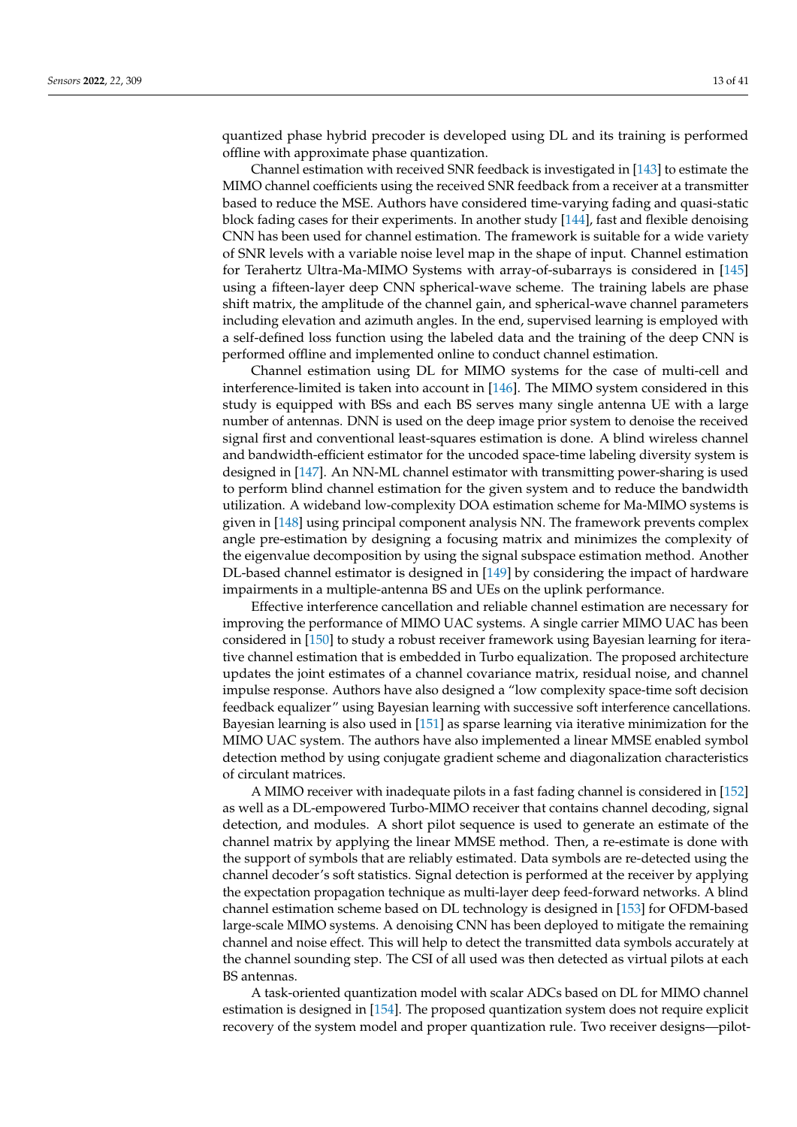quantized phase hybrid precoder is developed using DL and its training is performed offline with approximate phase quantization.

Channel estimation with received SNR feedback is investigated in [\[143\]](#page-34-6) to estimate the MIMO channel coefficients using the received SNR feedback from a receiver at a transmitter based to reduce the MSE. Authors have considered time-varying fading and quasi-static block fading cases for their experiments. In another study [\[144\]](#page-34-7), fast and flexible denoising CNN has been used for channel estimation. The framework is suitable for a wide variety of SNR levels with a variable noise level map in the shape of input. Channel estimation for Terahertz Ultra-Ma-MIMO Systems with array-of-subarrays is considered in [\[145\]](#page-34-8) using a fifteen-layer deep CNN spherical-wave scheme. The training labels are phase shift matrix, the amplitude of the channel gain, and spherical-wave channel parameters including elevation and azimuth angles. In the end, supervised learning is employed with a self-defined loss function using the labeled data and the training of the deep CNN is performed offline and implemented online to conduct channel estimation.

Channel estimation using DL for MIMO systems for the case of multi-cell and interference-limited is taken into account in [\[146\]](#page-34-9). The MIMO system considered in this study is equipped with BSs and each BS serves many single antenna UE with a large number of antennas. DNN is used on the deep image prior system to denoise the received signal first and conventional least-squares estimation is done. A blind wireless channel and bandwidth-efficient estimator for the uncoded space-time labeling diversity system is designed in [\[147\]](#page-34-10). An NN-ML channel estimator with transmitting power-sharing is used to perform blind channel estimation for the given system and to reduce the bandwidth utilization. A wideband low-complexity DOA estimation scheme for Ma-MIMO systems is given in [\[148\]](#page-34-11) using principal component analysis NN. The framework prevents complex angle pre-estimation by designing a focusing matrix and minimizes the complexity of the eigenvalue decomposition by using the signal subspace estimation method. Another DL-based channel estimator is designed in [\[149\]](#page-34-12) by considering the impact of hardware impairments in a multiple-antenna BS and UEs on the uplink performance.

Effective interference cancellation and reliable channel estimation are necessary for improving the performance of MIMO UAC systems. A single carrier MIMO UAC has been considered in [\[150\]](#page-34-13) to study a robust receiver framework using Bayesian learning for iterative channel estimation that is embedded in Turbo equalization. The proposed architecture updates the joint estimates of a channel covariance matrix, residual noise, and channel impulse response. Authors have also designed a "low complexity space-time soft decision feedback equalizer" using Bayesian learning with successive soft interference cancellations. Bayesian learning is also used in [\[151\]](#page-34-14) as sparse learning via iterative minimization for the MIMO UAC system. The authors have also implemented a linear MMSE enabled symbol detection method by using conjugate gradient scheme and diagonalization characteristics of circulant matrices.

A MIMO receiver with inadequate pilots in a fast fading channel is considered in [\[152\]](#page-34-15) as well as a DL-empowered Turbo-MIMO receiver that contains channel decoding, signal detection, and modules. A short pilot sequence is used to generate an estimate of the channel matrix by applying the linear MMSE method. Then, a re-estimate is done with the support of symbols that are reliably estimated. Data symbols are re-detected using the channel decoder's soft statistics. Signal detection is performed at the receiver by applying the expectation propagation technique as multi-layer deep feed-forward networks. A blind channel estimation scheme based on DL technology is designed in [\[153\]](#page-34-16) for OFDM-based large-scale MIMO systems. A denoising CNN has been deployed to mitigate the remaining channel and noise effect. This will help to detect the transmitted data symbols accurately at the channel sounding step. The CSI of all used was then detected as virtual pilots at each BS antennas.

A task-oriented quantization model with scalar ADCs based on DL for MIMO channel estimation is designed in [\[154\]](#page-34-17). The proposed quantization system does not require explicit recovery of the system model and proper quantization rule. Two receiver designs—pilot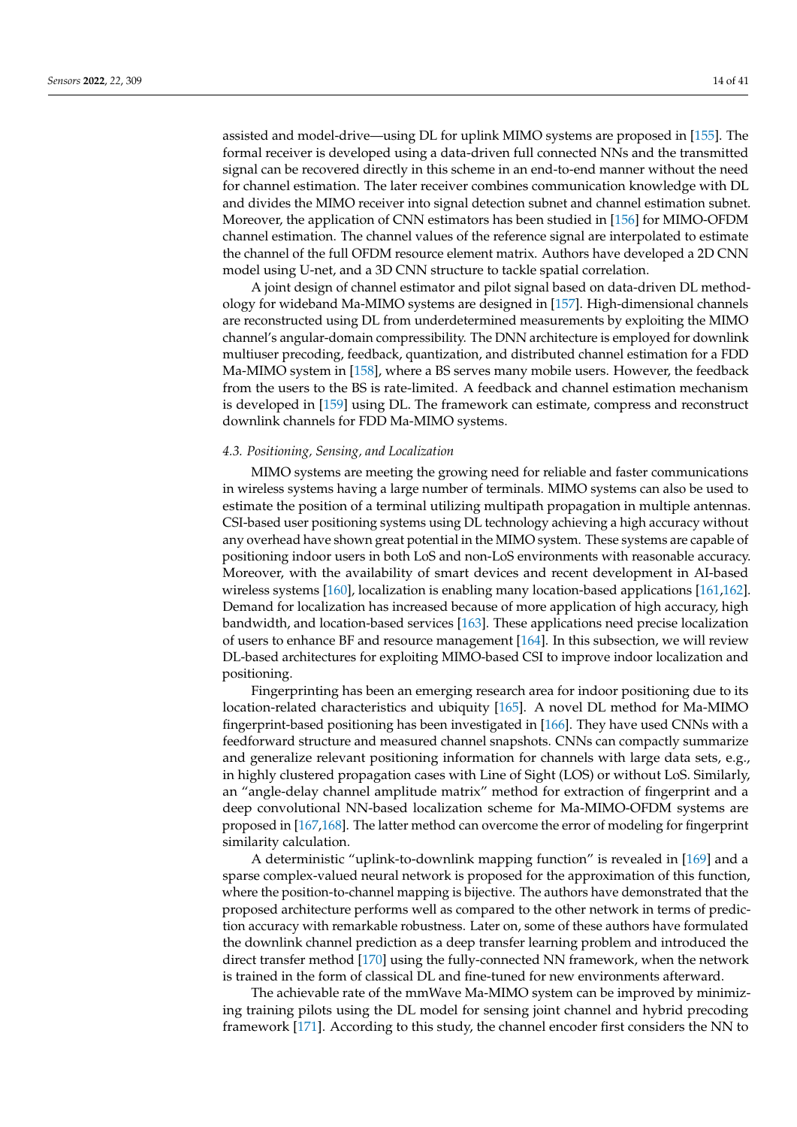assisted and model-drive—using DL for uplink MIMO systems are proposed in [\[155\]](#page-34-18). The formal receiver is developed using a data-driven full connected NNs and the transmitted signal can be recovered directly in this scheme in an end-to-end manner without the need for channel estimation. The later receiver combines communication knowledge with DL and divides the MIMO receiver into signal detection subnet and channel estimation subnet. Moreover, the application of CNN estimators has been studied in [\[156\]](#page-34-19) for MIMO-OFDM channel estimation. The channel values of the reference signal are interpolated to estimate the channel of the full OFDM resource element matrix. Authors have developed a 2D CNN model using U-net, and a 3D CNN structure to tackle spatial correlation.

A joint design of channel estimator and pilot signal based on data-driven DL methodology for wideband Ma-MIMO systems are designed in [\[157\]](#page-34-20). High-dimensional channels are reconstructed using DL from underdetermined measurements by exploiting the MIMO channel's angular-domain compressibility. The DNN architecture is employed for downlink multiuser precoding, feedback, quantization, and distributed channel estimation for a FDD Ma-MIMO system in [\[158\]](#page-34-21), where a BS serves many mobile users. However, the feedback from the users to the BS is rate-limited. A feedback and channel estimation mechanism is developed in [\[159\]](#page-34-22) using DL. The framework can estimate, compress and reconstruct downlink channels for FDD Ma-MIMO systems.

### <span id="page-13-0"></span>*4.3. Positioning, Sensing, and Localization*

MIMO systems are meeting the growing need for reliable and faster communications in wireless systems having a large number of terminals. MIMO systems can also be used to estimate the position of a terminal utilizing multipath propagation in multiple antennas. CSI-based user positioning systems using DL technology achieving a high accuracy without any overhead have shown great potential in the MIMO system. These systems are capable of positioning indoor users in both LoS and non-LoS environments with reasonable accuracy. Moreover, with the availability of smart devices and recent development in AI-based wireless systems [\[160\]](#page-34-23), localization is enabling many location-based applications [\[161](#page-34-24)[,162\]](#page-34-25). Demand for localization has increased because of more application of high accuracy, high bandwidth, and location-based services [\[163\]](#page-35-0). These applications need precise localization of users to enhance BF and resource management [\[164\]](#page-35-1). In this subsection, we will review DL-based architectures for exploiting MIMO-based CSI to improve indoor localization and positioning.

Fingerprinting has been an emerging research area for indoor positioning due to its location-related characteristics and ubiquity [\[165\]](#page-35-2). A novel DL method for Ma-MIMO fingerprint-based positioning has been investigated in [\[166\]](#page-35-3). They have used CNNs with a feedforward structure and measured channel snapshots. CNNs can compactly summarize and generalize relevant positioning information for channels with large data sets, e.g., in highly clustered propagation cases with Line of Sight (LOS) or without LoS. Similarly, an "angle-delay channel amplitude matrix" method for extraction of fingerprint and a deep convolutional NN-based localization scheme for Ma-MIMO-OFDM systems are proposed in [\[167](#page-35-4)[,168\]](#page-35-5). The latter method can overcome the error of modeling for fingerprint similarity calculation.

A deterministic "uplink-to-downlink mapping function" is revealed in [\[169\]](#page-35-6) and a sparse complex-valued neural network is proposed for the approximation of this function, where the position-to-channel mapping is bijective. The authors have demonstrated that the proposed architecture performs well as compared to the other network in terms of prediction accuracy with remarkable robustness. Later on, some of these authors have formulated the downlink channel prediction as a deep transfer learning problem and introduced the direct transfer method [\[170\]](#page-35-7) using the fully-connected NN framework, when the network is trained in the form of classical DL and fine-tuned for new environments afterward.

The achievable rate of the mmWave Ma-MIMO system can be improved by minimizing training pilots using the DL model for sensing joint channel and hybrid precoding framework [\[171\]](#page-35-8). According to this study, the channel encoder first considers the NN to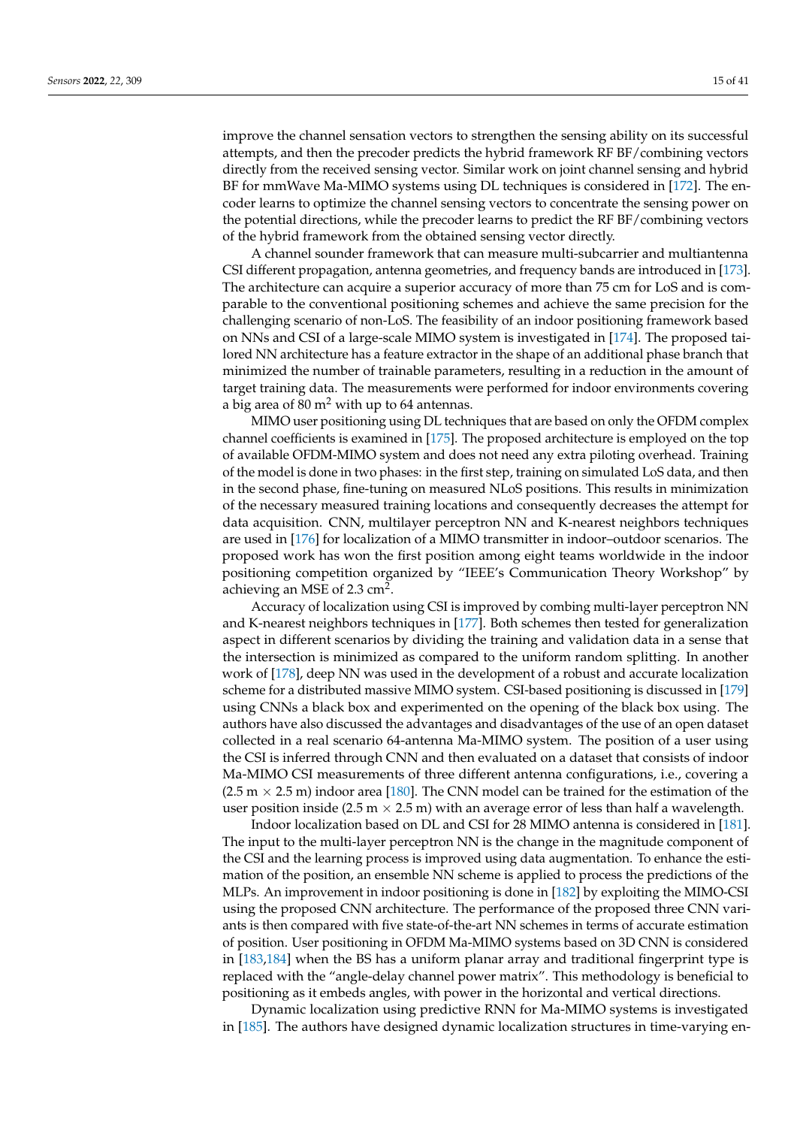improve the channel sensation vectors to strengthen the sensing ability on its successful attempts, and then the precoder predicts the hybrid framework RF BF/combining vectors directly from the received sensing vector. Similar work on joint channel sensing and hybrid BF for mmWave Ma-MIMO systems using DL techniques is considered in [\[172\]](#page-35-9). The encoder learns to optimize the channel sensing vectors to concentrate the sensing power on the potential directions, while the precoder learns to predict the RF BF/combining vectors of the hybrid framework from the obtained sensing vector directly.

A channel sounder framework that can measure multi-subcarrier and multiantenna CSI different propagation, antenna geometries, and frequency bands are introduced in [\[173\]](#page-35-10). The architecture can acquire a superior accuracy of more than 75 cm for LoS and is comparable to the conventional positioning schemes and achieve the same precision for the challenging scenario of non-LoS. The feasibility of an indoor positioning framework based on NNs and CSI of a large-scale MIMO system is investigated in [\[174\]](#page-35-11). The proposed tailored NN architecture has a feature extractor in the shape of an additional phase branch that minimized the number of trainable parameters, resulting in a reduction in the amount of target training data. The measurements were performed for indoor environments covering a big area of 80  $m<sup>2</sup>$  with up to 64 antennas.

MIMO user positioning using DL techniques that are based on only the OFDM complex channel coefficients is examined in [\[175\]](#page-35-12). The proposed architecture is employed on the top of available OFDM-MIMO system and does not need any extra piloting overhead. Training of the model is done in two phases: in the first step, training on simulated LoS data, and then in the second phase, fine-tuning on measured NLoS positions. This results in minimization of the necessary measured training locations and consequently decreases the attempt for data acquisition. CNN, multilayer perceptron NN and K-nearest neighbors techniques are used in [\[176\]](#page-35-13) for localization of a MIMO transmitter in indoor–outdoor scenarios. The proposed work has won the first position among eight teams worldwide in the indoor positioning competition organized by "IEEE's Communication Theory Workshop" by achieving an MSE of 2.3  $\text{cm}^2$ .

Accuracy of localization using CSI is improved by combing multi-layer perceptron NN and K-nearest neighbors techniques in [\[177\]](#page-35-14). Both schemes then tested for generalization aspect in different scenarios by dividing the training and validation data in a sense that the intersection is minimized as compared to the uniform random splitting. In another work of [\[178\]](#page-35-15), deep NN was used in the development of a robust and accurate localization scheme for a distributed massive MIMO system. CSI-based positioning is discussed in [\[179\]](#page-35-16) using CNNs a black box and experimented on the opening of the black box using. The authors have also discussed the advantages and disadvantages of the use of an open dataset collected in a real scenario 64-antenna Ma-MIMO system. The position of a user using the CSI is inferred through CNN and then evaluated on a dataset that consists of indoor Ma-MIMO CSI measurements of three different antenna configurations, i.e., covering a  $(2.5 \text{ m} \times 2.5 \text{ m})$  indoor area [\[180\]](#page-35-17). The CNN model can be trained for the estimation of the user position inside (2.5 m  $\times$  2.5 m) with an average error of less than half a wavelength.

Indoor localization based on DL and CSI for 28 MIMO antenna is considered in [\[181\]](#page-35-18). The input to the multi-layer perceptron NN is the change in the magnitude component of the CSI and the learning process is improved using data augmentation. To enhance the estimation of the position, an ensemble NN scheme is applied to process the predictions of the MLPs. An improvement in indoor positioning is done in [\[182\]](#page-35-19) by exploiting the MIMO-CSI using the proposed CNN architecture. The performance of the proposed three CNN variants is then compared with five state-of-the-art NN schemes in terms of accurate estimation of position. User positioning in OFDM Ma-MIMO systems based on 3D CNN is considered in [\[183,](#page-35-20)[184\]](#page-35-21) when the BS has a uniform planar array and traditional fingerprint type is replaced with the "angle-delay channel power matrix". This methodology is beneficial to positioning as it embeds angles, with power in the horizontal and vertical directions.

Dynamic localization using predictive RNN for Ma-MIMO systems is investigated in [\[185\]](#page-35-22). The authors have designed dynamic localization structures in time-varying en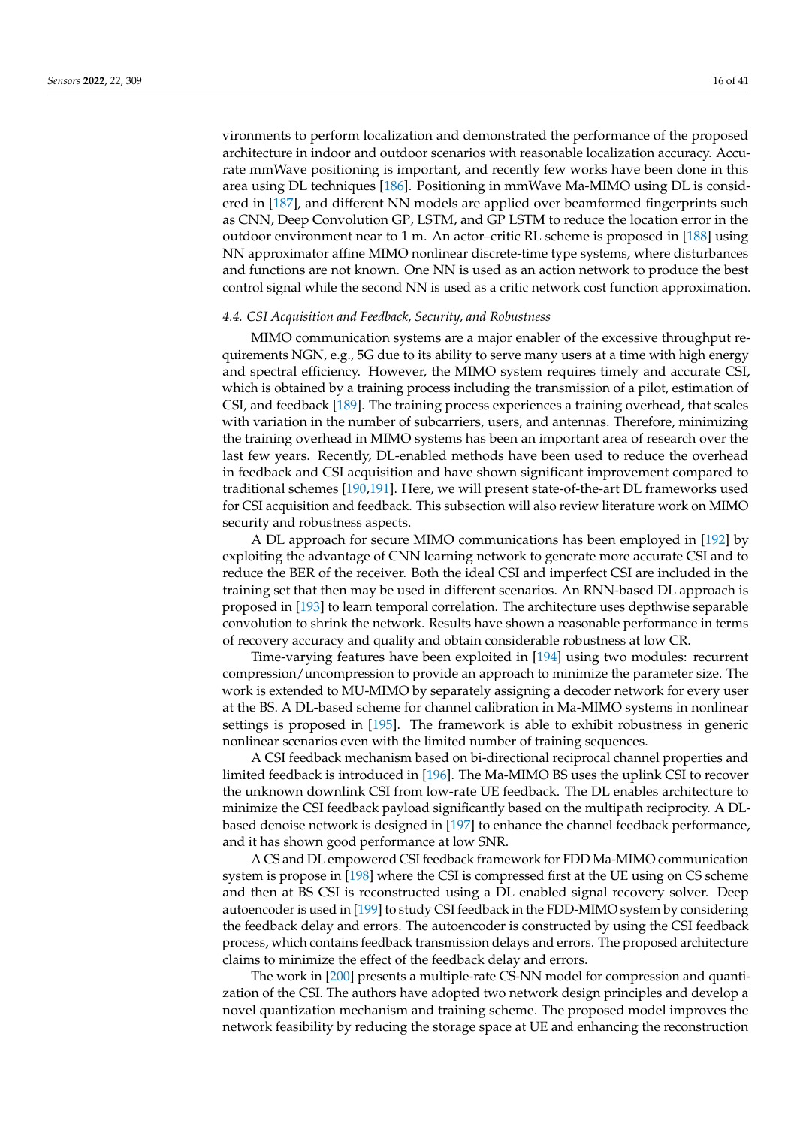vironments to perform localization and demonstrated the performance of the proposed architecture in indoor and outdoor scenarios with reasonable localization accuracy. Accurate mmWave positioning is important, and recently few works have been done in this area using DL techniques [\[186\]](#page-35-23). Positioning in mmWave Ma-MIMO using DL is considered in [\[187\]](#page-35-24), and different NN models are applied over beamformed fingerprints such as CNN, Deep Convolution GP, LSTM, and GP LSTM to reduce the location error in the outdoor environment near to 1 m. An actor–critic RL scheme is proposed in [\[188\]](#page-36-0) using NN approximator affine MIMO nonlinear discrete-time type systems, where disturbances and functions are not known. One NN is used as an action network to produce the best control signal while the second NN is used as a critic network cost function approximation.

### <span id="page-15-0"></span>*4.4. CSI Acquisition and Feedback, Security, and Robustness*

MIMO communication systems are a major enabler of the excessive throughput requirements NGN, e.g., 5G due to its ability to serve many users at a time with high energy and spectral efficiency. However, the MIMO system requires timely and accurate CSI, which is obtained by a training process including the transmission of a pilot, estimation of CSI, and feedback [\[189\]](#page-36-1). The training process experiences a training overhead, that scales with variation in the number of subcarriers, users, and antennas. Therefore, minimizing the training overhead in MIMO systems has been an important area of research over the last few years. Recently, DL-enabled methods have been used to reduce the overhead in feedback and CSI acquisition and have shown significant improvement compared to traditional schemes [\[190,](#page-36-2)[191\]](#page-36-3). Here, we will present state-of-the-art DL frameworks used for CSI acquisition and feedback. This subsection will also review literature work on MIMO security and robustness aspects.

A DL approach for secure MIMO communications has been employed in [\[192\]](#page-36-4) by exploiting the advantage of CNN learning network to generate more accurate CSI and to reduce the BER of the receiver. Both the ideal CSI and imperfect CSI are included in the training set that then may be used in different scenarios. An RNN-based DL approach is proposed in [\[193\]](#page-36-5) to learn temporal correlation. The architecture uses depthwise separable convolution to shrink the network. Results have shown a reasonable performance in terms of recovery accuracy and quality and obtain considerable robustness at low CR.

Time-varying features have been exploited in [\[194\]](#page-36-6) using two modules: recurrent compression/uncompression to provide an approach to minimize the parameter size. The work is extended to MU-MIMO by separately assigning a decoder network for every user at the BS. A DL-based scheme for channel calibration in Ma-MIMO systems in nonlinear settings is proposed in [\[195\]](#page-36-7). The framework is able to exhibit robustness in generic nonlinear scenarios even with the limited number of training sequences.

A CSI feedback mechanism based on bi-directional reciprocal channel properties and limited feedback is introduced in [\[196\]](#page-36-8). The Ma-MIMO BS uses the uplink CSI to recover the unknown downlink CSI from low-rate UE feedback. The DL enables architecture to minimize the CSI feedback payload significantly based on the multipath reciprocity. A DLbased denoise network is designed in [\[197\]](#page-36-9) to enhance the channel feedback performance, and it has shown good performance at low SNR.

A CS and DL empowered CSI feedback framework for FDD Ma-MIMO communication system is propose in [\[198\]](#page-36-10) where the CSI is compressed first at the UE using on CS scheme and then at BS CSI is reconstructed using a DL enabled signal recovery solver. Deep autoencoder is used in [\[199\]](#page-36-11) to study CSI feedback in the FDD-MIMO system by considering the feedback delay and errors. The autoencoder is constructed by using the CSI feedback process, which contains feedback transmission delays and errors. The proposed architecture claims to minimize the effect of the feedback delay and errors.

The work in [\[200\]](#page-36-12) presents a multiple-rate CS-NN model for compression and quantization of the CSI. The authors have adopted two network design principles and develop a novel quantization mechanism and training scheme. The proposed model improves the network feasibility by reducing the storage space at UE and enhancing the reconstruction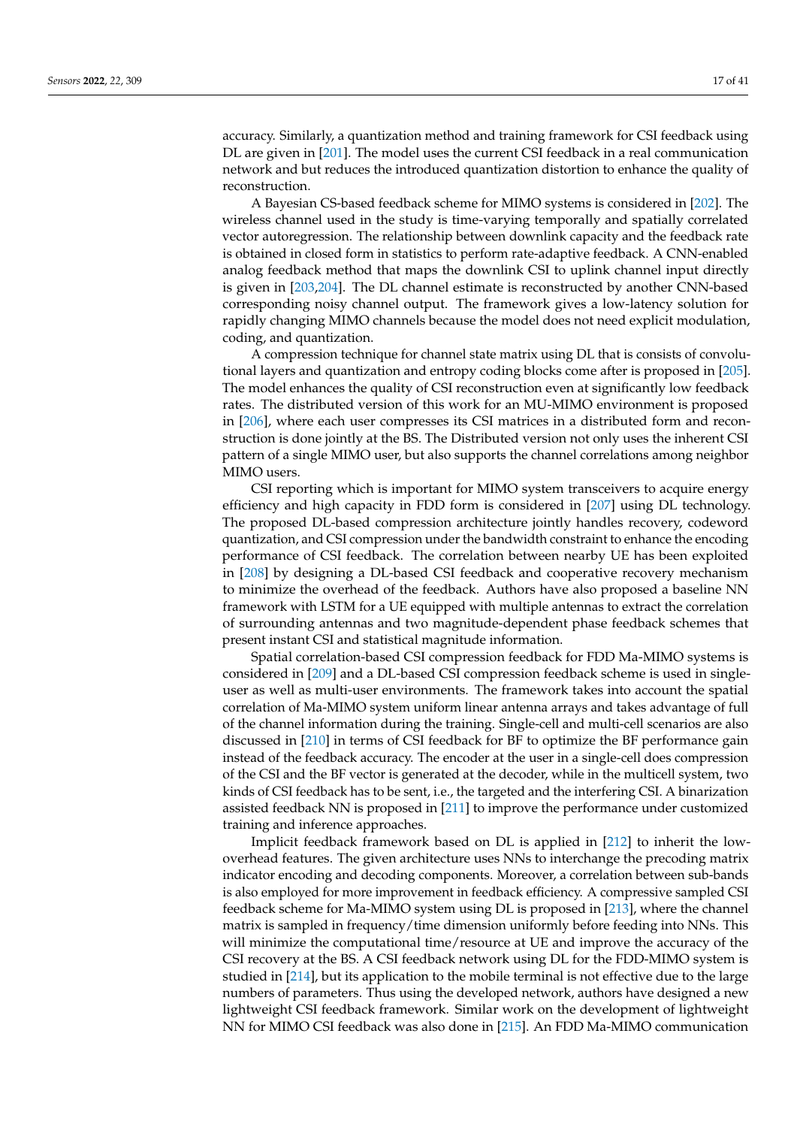accuracy. Similarly, a quantization method and training framework for CSI feedback using DL are given in [\[201\]](#page-36-13). The model uses the current CSI feedback in a real communication network and but reduces the introduced quantization distortion to enhance the quality of reconstruction.

A Bayesian CS-based feedback scheme for MIMO systems is considered in [\[202\]](#page-36-14). The wireless channel used in the study is time-varying temporally and spatially correlated vector autoregression. The relationship between downlink capacity and the feedback rate is obtained in closed form in statistics to perform rate-adaptive feedback. A CNN-enabled analog feedback method that maps the downlink CSI to uplink channel input directly is given in [\[203,](#page-36-15)[204\]](#page-36-16). The DL channel estimate is reconstructed by another CNN-based corresponding noisy channel output. The framework gives a low-latency solution for rapidly changing MIMO channels because the model does not need explicit modulation, coding, and quantization.

A compression technique for channel state matrix using DL that is consists of convolutional layers and quantization and entropy coding blocks come after is proposed in [\[205\]](#page-36-17). The model enhances the quality of CSI reconstruction even at significantly low feedback rates. The distributed version of this work for an MU-MIMO environment is proposed in [\[206\]](#page-36-18), where each user compresses its CSI matrices in a distributed form and reconstruction is done jointly at the BS. The Distributed version not only uses the inherent CSI pattern of a single MIMO user, but also supports the channel correlations among neighbor MIMO users.

CSI reporting which is important for MIMO system transceivers to acquire energy efficiency and high capacity in FDD form is considered in [\[207\]](#page-36-19) using DL technology. The proposed DL-based compression architecture jointly handles recovery, codeword quantization, and CSI compression under the bandwidth constraint to enhance the encoding performance of CSI feedback. The correlation between nearby UE has been exploited in [\[208\]](#page-36-20) by designing a DL-based CSI feedback and cooperative recovery mechanism to minimize the overhead of the feedback. Authors have also proposed a baseline NN framework with LSTM for a UE equipped with multiple antennas to extract the correlation of surrounding antennas and two magnitude-dependent phase feedback schemes that present instant CSI and statistical magnitude information.

Spatial correlation-based CSI compression feedback for FDD Ma-MIMO systems is considered in [\[209\]](#page-36-21) and a DL-based CSI compression feedback scheme is used in singleuser as well as multi-user environments. The framework takes into account the spatial correlation of Ma-MIMO system uniform linear antenna arrays and takes advantage of full of the channel information during the training. Single-cell and multi-cell scenarios are also discussed in [\[210\]](#page-36-22) in terms of CSI feedback for BF to optimize the BF performance gain instead of the feedback accuracy. The encoder at the user in a single-cell does compression of the CSI and the BF vector is generated at the decoder, while in the multicell system, two kinds of CSI feedback has to be sent, i.e., the targeted and the interfering CSI. A binarization assisted feedback NN is proposed in [\[211\]](#page-36-23) to improve the performance under customized training and inference approaches.

Implicit feedback framework based on DL is applied in [\[212\]](#page-36-24) to inherit the lowoverhead features. The given architecture uses NNs to interchange the precoding matrix indicator encoding and decoding components. Moreover, a correlation between sub-bands is also employed for more improvement in feedback efficiency. A compressive sampled CSI feedback scheme for Ma-MIMO system using DL is proposed in [\[213\]](#page-36-25), where the channel matrix is sampled in frequency/time dimension uniformly before feeding into NNs. This will minimize the computational time/resource at UE and improve the accuracy of the CSI recovery at the BS. A CSI feedback network using DL for the FDD-MIMO system is studied in [\[214\]](#page-36-26), but its application to the mobile terminal is not effective due to the large numbers of parameters. Thus using the developed network, authors have designed a new lightweight CSI feedback framework. Similar work on the development of lightweight NN for MIMO CSI feedback was also done in [\[215\]](#page-37-0). An FDD Ma-MIMO communication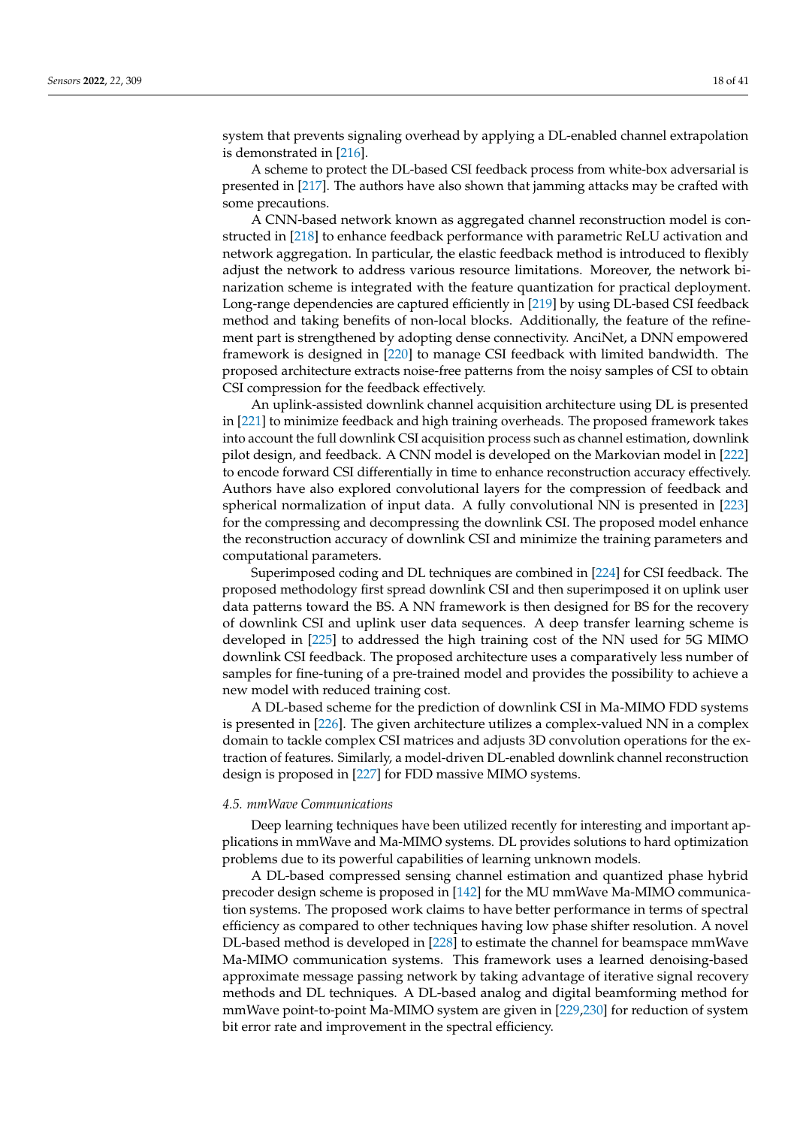system that prevents signaling overhead by applying a DL-enabled channel extrapolation is demonstrated in [\[216\]](#page-37-1).

A scheme to protect the DL-based CSI feedback process from white-box adversarial is presented in [\[217\]](#page-37-2). The authors have also shown that jamming attacks may be crafted with some precautions.

A CNN-based network known as aggregated channel reconstruction model is constructed in [\[218\]](#page-37-3) to enhance feedback performance with parametric ReLU activation and network aggregation. In particular, the elastic feedback method is introduced to flexibly adjust the network to address various resource limitations. Moreover, the network binarization scheme is integrated with the feature quantization for practical deployment. Long-range dependencies are captured efficiently in [\[219\]](#page-37-4) by using DL-based CSI feedback method and taking benefits of non-local blocks. Additionally, the feature of the refinement part is strengthened by adopting dense connectivity. AnciNet, a DNN empowered framework is designed in [\[220\]](#page-37-5) to manage CSI feedback with limited bandwidth. The proposed architecture extracts noise-free patterns from the noisy samples of CSI to obtain CSI compression for the feedback effectively.

An uplink-assisted downlink channel acquisition architecture using DL is presented in [\[221\]](#page-37-6) to minimize feedback and high training overheads. The proposed framework takes into account the full downlink CSI acquisition process such as channel estimation, downlink pilot design, and feedback. A CNN model is developed on the Markovian model in [\[222\]](#page-37-7) to encode forward CSI differentially in time to enhance reconstruction accuracy effectively. Authors have also explored convolutional layers for the compression of feedback and spherical normalization of input data. A fully convolutional NN is presented in [\[223\]](#page-37-8) for the compressing and decompressing the downlink CSI. The proposed model enhance the reconstruction accuracy of downlink CSI and minimize the training parameters and computational parameters.

Superimposed coding and DL techniques are combined in [\[224\]](#page-37-9) for CSI feedback. The proposed methodology first spread downlink CSI and then superimposed it on uplink user data patterns toward the BS. A NN framework is then designed for BS for the recovery of downlink CSI and uplink user data sequences. A deep transfer learning scheme is developed in [\[225\]](#page-37-10) to addressed the high training cost of the NN used for 5G MIMO downlink CSI feedback. The proposed architecture uses a comparatively less number of samples for fine-tuning of a pre-trained model and provides the possibility to achieve a new model with reduced training cost.

A DL-based scheme for the prediction of downlink CSI in Ma-MIMO FDD systems is presented in [\[226\]](#page-37-11). The given architecture utilizes a complex-valued NN in a complex domain to tackle complex CSI matrices and adjusts 3D convolution operations for the extraction of features. Similarly, a model-driven DL-enabled downlink channel reconstruction design is proposed in [\[227\]](#page-37-12) for FDD massive MIMO systems.

#### <span id="page-17-0"></span>*4.5. mmWave Communications*

Deep learning techniques have been utilized recently for interesting and important applications in mmWave and Ma-MIMO systems. DL provides solutions to hard optimization problems due to its powerful capabilities of learning unknown models.

A DL-based compressed sensing channel estimation and quantized phase hybrid precoder design scheme is proposed in [\[142\]](#page-34-5) for the MU mmWave Ma-MIMO communication systems. The proposed work claims to have better performance in terms of spectral efficiency as compared to other techniques having low phase shifter resolution. A novel DL-based method is developed in [\[228\]](#page-37-13) to estimate the channel for beamspace mmWave Ma-MIMO communication systems. This framework uses a learned denoising-based approximate message passing network by taking advantage of iterative signal recovery methods and DL techniques. A DL-based analog and digital beamforming method for mmWave point-to-point Ma-MIMO system are given in [\[229,](#page-37-14)[230\]](#page-37-15) for reduction of system bit error rate and improvement in the spectral efficiency.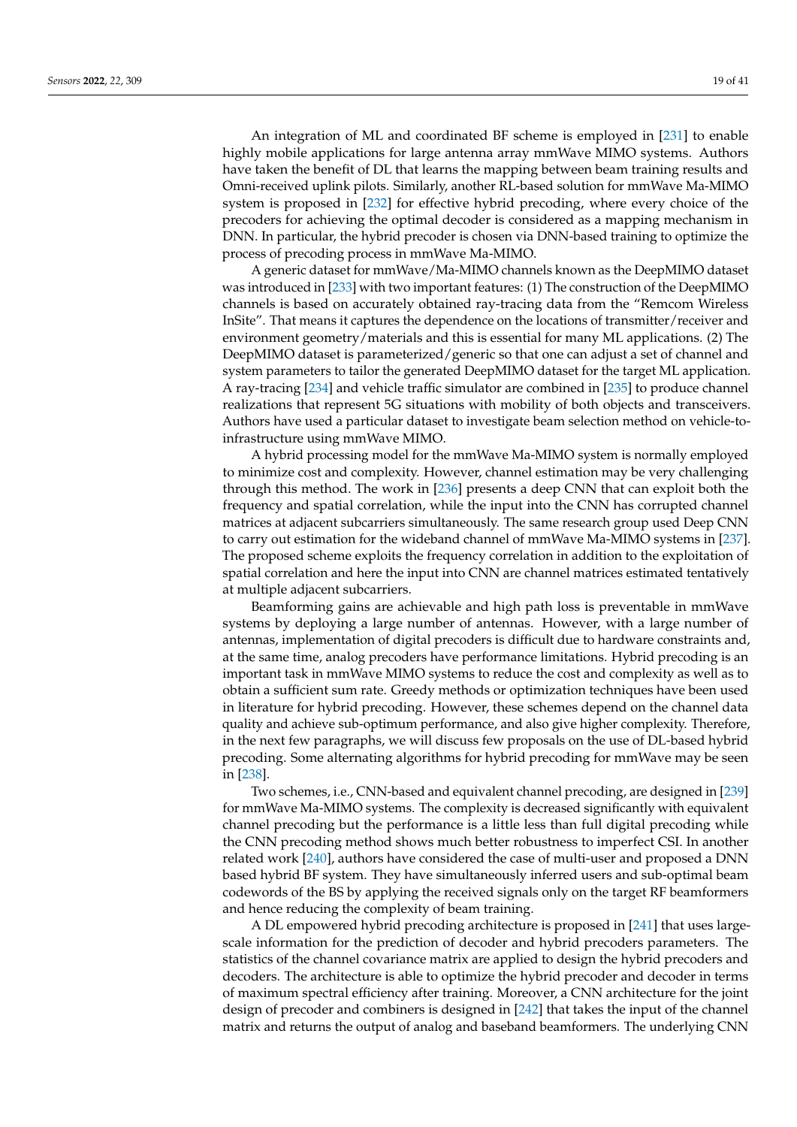An integration of ML and coordinated BF scheme is employed in [\[231\]](#page-37-16) to enable highly mobile applications for large antenna array mmWave MIMO systems. Authors have taken the benefit of DL that learns the mapping between beam training results and Omni-received uplink pilots. Similarly, another RL-based solution for mmWave Ma-MIMO system is proposed in [\[232\]](#page-37-17) for effective hybrid precoding, where every choice of the precoders for achieving the optimal decoder is considered as a mapping mechanism in DNN. In particular, the hybrid precoder is chosen via DNN-based training to optimize the process of precoding process in mmWave Ma-MIMO.

A generic dataset for mmWave/Ma-MIMO channels known as the DeepMIMO dataset was introduced in [\[233\]](#page-37-18) with two important features: (1) The construction of the DeepMIMO channels is based on accurately obtained ray-tracing data from the "Remcom Wireless InSite". That means it captures the dependence on the locations of transmitter/receiver and environment geometry/materials and this is essential for many ML applications. (2) The DeepMIMO dataset is parameterized/generic so that one can adjust a set of channel and system parameters to tailor the generated DeepMIMO dataset for the target ML application. A ray-tracing [\[234\]](#page-37-19) and vehicle traffic simulator are combined in [\[235\]](#page-37-20) to produce channel realizations that represent 5G situations with mobility of both objects and transceivers. Authors have used a particular dataset to investigate beam selection method on vehicle-toinfrastructure using mmWave MIMO.

A hybrid processing model for the mmWave Ma-MIMO system is normally employed to minimize cost and complexity. However, channel estimation may be very challenging through this method. The work in [\[236\]](#page-37-21) presents a deep CNN that can exploit both the frequency and spatial correlation, while the input into the CNN has corrupted channel matrices at adjacent subcarriers simultaneously. The same research group used Deep CNN to carry out estimation for the wideband channel of mmWave Ma-MIMO systems in [\[237\]](#page-37-22). The proposed scheme exploits the frequency correlation in addition to the exploitation of spatial correlation and here the input into CNN are channel matrices estimated tentatively at multiple adjacent subcarriers.

Beamforming gains are achievable and high path loss is preventable in mmWave systems by deploying a large number of antennas. However, with a large number of antennas, implementation of digital precoders is difficult due to hardware constraints and, at the same time, analog precoders have performance limitations. Hybrid precoding is an important task in mmWave MIMO systems to reduce the cost and complexity as well as to obtain a sufficient sum rate. Greedy methods or optimization techniques have been used in literature for hybrid precoding. However, these schemes depend on the channel data quality and achieve sub-optimum performance, and also give higher complexity. Therefore, in the next few paragraphs, we will discuss few proposals on the use of DL-based hybrid precoding. Some alternating algorithms for hybrid precoding for mmWave may be seen in [\[238\]](#page-37-23).

Two schemes, i.e., CNN-based and equivalent channel precoding, are designed in [\[239\]](#page-37-24) for mmWave Ma-MIMO systems. The complexity is decreased significantly with equivalent channel precoding but the performance is a little less than full digital precoding while the CNN precoding method shows much better robustness to imperfect CSI. In another related work [\[240\]](#page-37-25), authors have considered the case of multi-user and proposed a DNN based hybrid BF system. They have simultaneously inferred users and sub-optimal beam codewords of the BS by applying the received signals only on the target RF beamformers and hence reducing the complexity of beam training.

A DL empowered hybrid precoding architecture is proposed in [\[241\]](#page-37-26) that uses largescale information for the prediction of decoder and hybrid precoders parameters. The statistics of the channel covariance matrix are applied to design the hybrid precoders and decoders. The architecture is able to optimize the hybrid precoder and decoder in terms of maximum spectral efficiency after training. Moreover, a CNN architecture for the joint design of precoder and combiners is designed in [\[242\]](#page-38-0) that takes the input of the channel matrix and returns the output of analog and baseband beamformers. The underlying CNN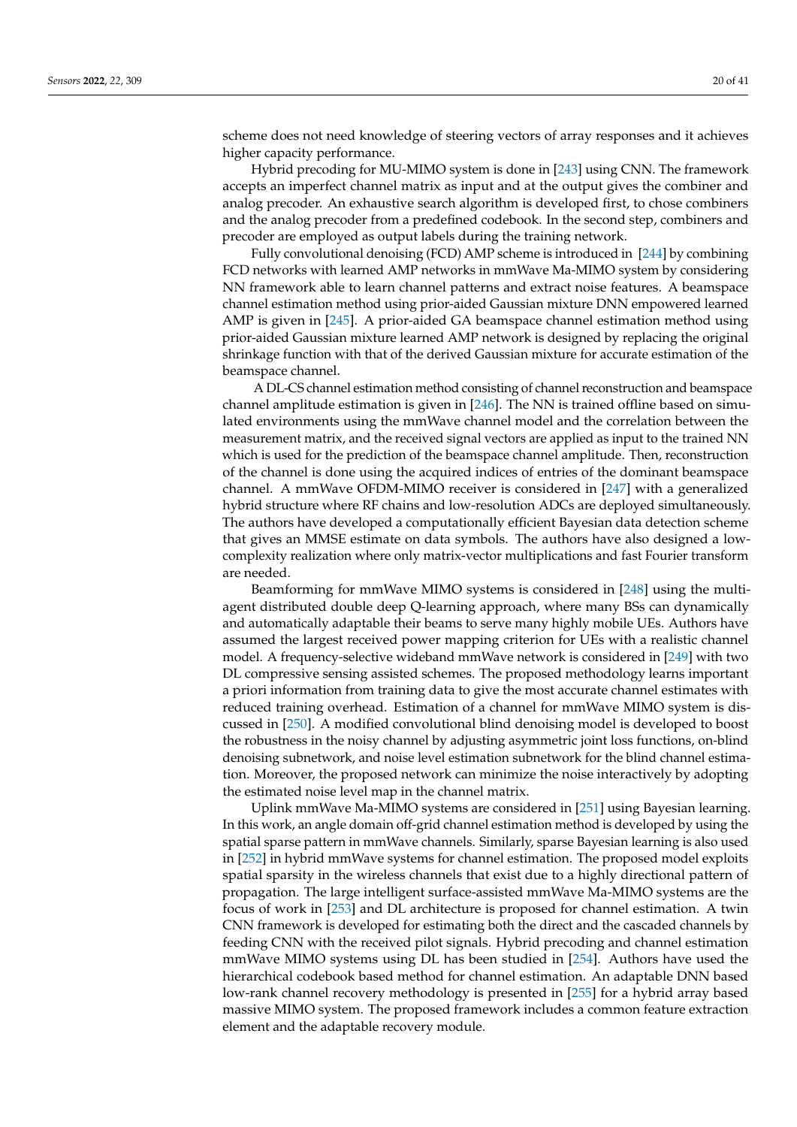scheme does not need knowledge of steering vectors of array responses and it achieves higher capacity performance.

Hybrid precoding for MU-MIMO system is done in [\[243\]](#page-38-1) using CNN. The framework accepts an imperfect channel matrix as input and at the output gives the combiner and analog precoder. An exhaustive search algorithm is developed first, to chose combiners and the analog precoder from a predefined codebook. In the second step, combiners and precoder are employed as output labels during the training network.

Fully convolutional denoising (FCD) AMP scheme is introduced in [\[244\]](#page-38-2) by combining FCD networks with learned AMP networks in mmWave Ma-MIMO system by considering NN framework able to learn channel patterns and extract noise features. A beamspace channel estimation method using prior-aided Gaussian mixture DNN empowered learned AMP is given in [\[245\]](#page-38-3). A prior-aided GA beamspace channel estimation method using prior-aided Gaussian mixture learned AMP network is designed by replacing the original shrinkage function with that of the derived Gaussian mixture for accurate estimation of the beamspace channel.

A DL-CS channel estimation method consisting of channel reconstruction and beamspace channel amplitude estimation is given in [\[246\]](#page-38-4). The NN is trained offline based on simulated environments using the mmWave channel model and the correlation between the measurement matrix, and the received signal vectors are applied as input to the trained NN which is used for the prediction of the beamspace channel amplitude. Then, reconstruction of the channel is done using the acquired indices of entries of the dominant beamspace channel. A mmWave OFDM-MIMO receiver is considered in [\[247\]](#page-38-5) with a generalized hybrid structure where RF chains and low-resolution ADCs are deployed simultaneously. The authors have developed a computationally efficient Bayesian data detection scheme that gives an MMSE estimate on data symbols. The authors have also designed a lowcomplexity realization where only matrix-vector multiplications and fast Fourier transform are needed.

Beamforming for mmWave MIMO systems is considered in [\[248\]](#page-38-6) using the multiagent distributed double deep Q-learning approach, where many BSs can dynamically and automatically adaptable their beams to serve many highly mobile UEs. Authors have assumed the largest received power mapping criterion for UEs with a realistic channel model. A frequency-selective wideband mmWave network is considered in [\[249\]](#page-38-7) with two DL compressive sensing assisted schemes. The proposed methodology learns important a priori information from training data to give the most accurate channel estimates with reduced training overhead. Estimation of a channel for mmWave MIMO system is discussed in [\[250\]](#page-38-8). A modified convolutional blind denoising model is developed to boost the robustness in the noisy channel by adjusting asymmetric joint loss functions, on-blind denoising subnetwork, and noise level estimation subnetwork for the blind channel estimation. Moreover, the proposed network can minimize the noise interactively by adopting the estimated noise level map in the channel matrix.

Uplink mmWave Ma-MIMO systems are considered in [\[251\]](#page-38-9) using Bayesian learning. In this work, an angle domain off-grid channel estimation method is developed by using the spatial sparse pattern in mmWave channels. Similarly, sparse Bayesian learning is also used in [\[252\]](#page-38-10) in hybrid mmWave systems for channel estimation. The proposed model exploits spatial sparsity in the wireless channels that exist due to a highly directional pattern of propagation. The large intelligent surface-assisted mmWave Ma-MIMO systems are the focus of work in [\[253\]](#page-38-11) and DL architecture is proposed for channel estimation. A twin CNN framework is developed for estimating both the direct and the cascaded channels by feeding CNN with the received pilot signals. Hybrid precoding and channel estimation mmWave MIMO systems using DL has been studied in [\[254\]](#page-38-12). Authors have used the hierarchical codebook based method for channel estimation. An adaptable DNN based low-rank channel recovery methodology is presented in [\[255\]](#page-38-13) for a hybrid array based massive MIMO system. The proposed framework includes a common feature extraction element and the adaptable recovery module.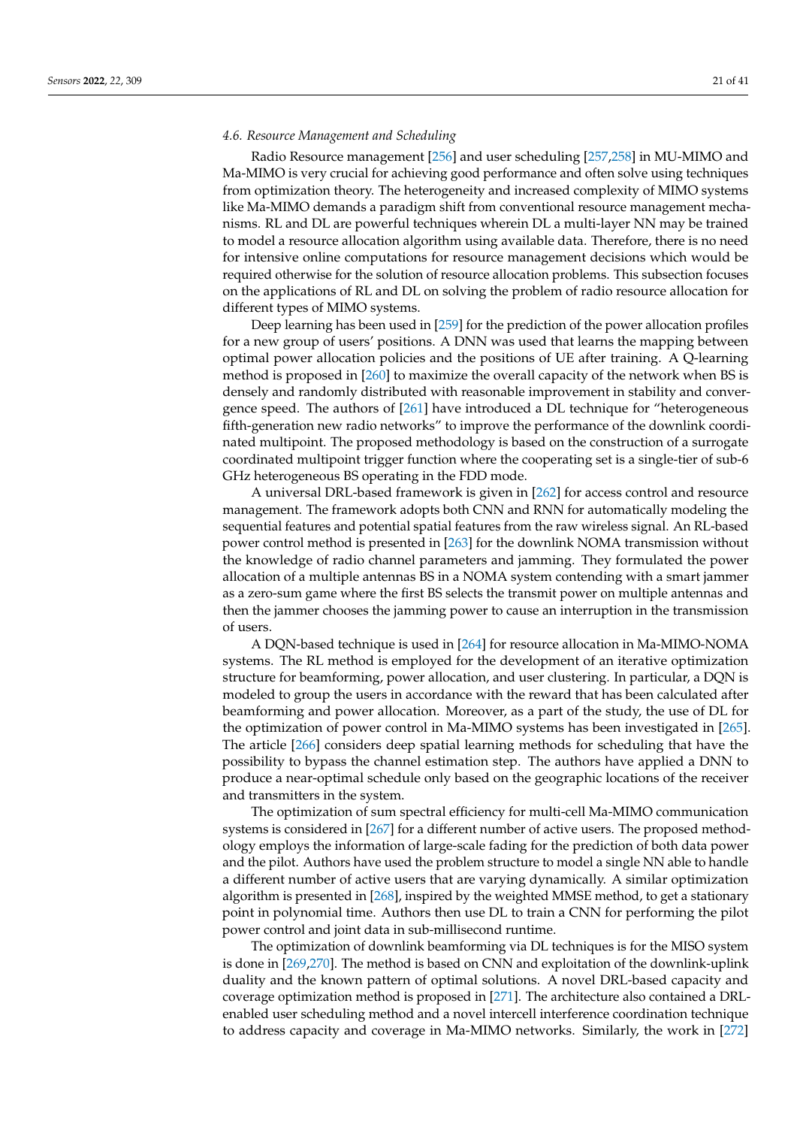### <span id="page-20-0"></span>*4.6. Resource Management and Scheduling*

Radio Resource management [\[256\]](#page-38-14) and user scheduling [\[257](#page-38-15)[,258\]](#page-38-16) in MU-MIMO and Ma-MIMO is very crucial for achieving good performance and often solve using techniques from optimization theory. The heterogeneity and increased complexity of MIMO systems like Ma-MIMO demands a paradigm shift from conventional resource management mechanisms. RL and DL are powerful techniques wherein DL a multi-layer NN may be trained to model a resource allocation algorithm using available data. Therefore, there is no need for intensive online computations for resource management decisions which would be required otherwise for the solution of resource allocation problems. This subsection focuses on the applications of RL and DL on solving the problem of radio resource allocation for different types of MIMO systems.

Deep learning has been used in [\[259\]](#page-38-17) for the prediction of the power allocation profiles for a new group of users' positions. A DNN was used that learns the mapping between optimal power allocation policies and the positions of UE after training. A Q-learning method is proposed in [\[260\]](#page-38-18) to maximize the overall capacity of the network when BS is densely and randomly distributed with reasonable improvement in stability and convergence speed. The authors of [\[261\]](#page-38-19) have introduced a DL technique for "heterogeneous fifth-generation new radio networks" to improve the performance of the downlink coordinated multipoint. The proposed methodology is based on the construction of a surrogate coordinated multipoint trigger function where the cooperating set is a single-tier of sub-6 GHz heterogeneous BS operating in the FDD mode.

A universal DRL-based framework is given in [\[262\]](#page-38-20) for access control and resource management. The framework adopts both CNN and RNN for automatically modeling the sequential features and potential spatial features from the raw wireless signal. An RL-based power control method is presented in [\[263\]](#page-38-21) for the downlink NOMA transmission without the knowledge of radio channel parameters and jamming. They formulated the power allocation of a multiple antennas BS in a NOMA system contending with a smart jammer as a zero-sum game where the first BS selects the transmit power on multiple antennas and then the jammer chooses the jamming power to cause an interruption in the transmission of users.

A DQN-based technique is used in [\[264\]](#page-38-22) for resource allocation in Ma-MIMO-NOMA systems. The RL method is employed for the development of an iterative optimization structure for beamforming, power allocation, and user clustering. In particular, a DQN is modeled to group the users in accordance with the reward that has been calculated after beamforming and power allocation. Moreover, as a part of the study, the use of DL for the optimization of power control in Ma-MIMO systems has been investigated in [\[265\]](#page-38-23). The article [\[266\]](#page-38-24) considers deep spatial learning methods for scheduling that have the possibility to bypass the channel estimation step. The authors have applied a DNN to produce a near-optimal schedule only based on the geographic locations of the receiver and transmitters in the system.

The optimization of sum spectral efficiency for multi-cell Ma-MIMO communication systems is considered in [\[267\]](#page-38-25) for a different number of active users. The proposed methodology employs the information of large-scale fading for the prediction of both data power and the pilot. Authors have used the problem structure to model a single NN able to handle a different number of active users that are varying dynamically. A similar optimization algorithm is presented in [\[268\]](#page-39-0), inspired by the weighted MMSE method, to get a stationary point in polynomial time. Authors then use DL to train a CNN for performing the pilot power control and joint data in sub-millisecond runtime.

The optimization of downlink beamforming via DL techniques is for the MISO system is done in [\[269](#page-39-1)[,270\]](#page-39-2). The method is based on CNN and exploitation of the downlink-uplink duality and the known pattern of optimal solutions. A novel DRL-based capacity and coverage optimization method is proposed in [\[271\]](#page-39-3). The architecture also contained a DRLenabled user scheduling method and a novel intercell interference coordination technique to address capacity and coverage in Ma-MIMO networks. Similarly, the work in [\[272\]](#page-39-4)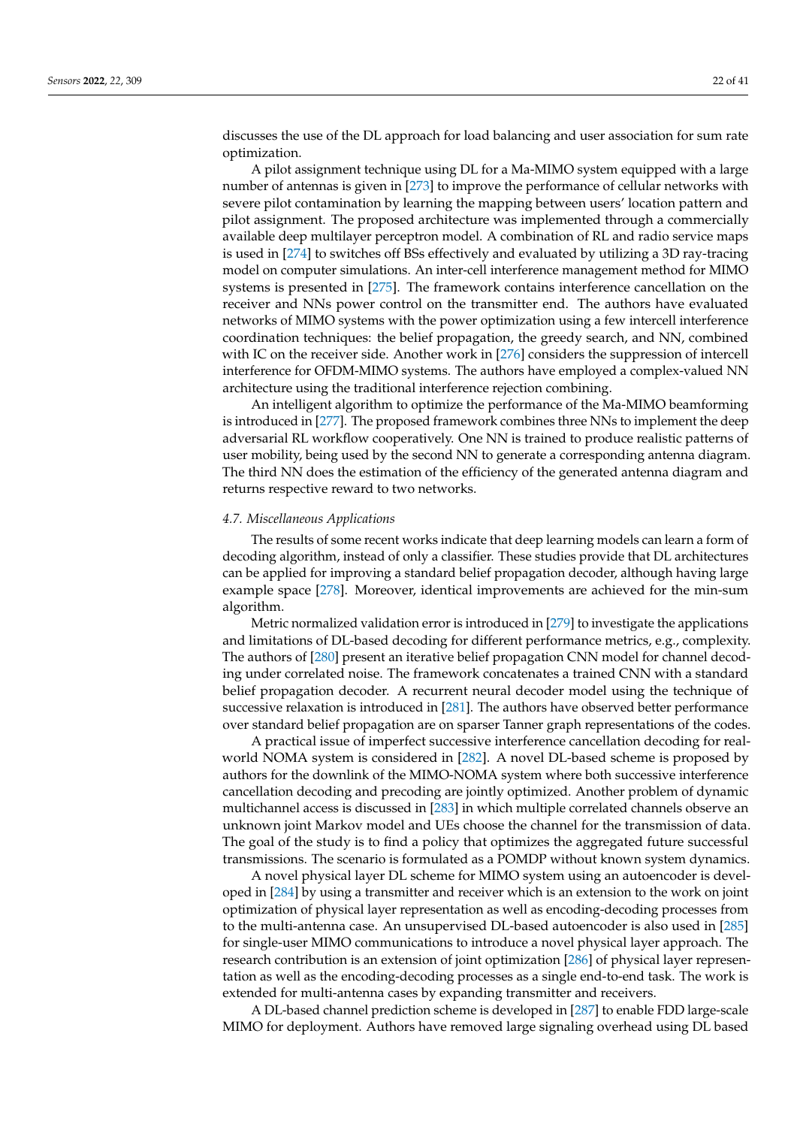discusses the use of the DL approach for load balancing and user association for sum rate optimization.

A pilot assignment technique using DL for a Ma-MIMO system equipped with a large number of antennas is given in [\[273\]](#page-39-5) to improve the performance of cellular networks with severe pilot contamination by learning the mapping between users' location pattern and pilot assignment. The proposed architecture was implemented through a commercially available deep multilayer perceptron model. A combination of RL and radio service maps is used in [\[274\]](#page-39-6) to switches off BSs effectively and evaluated by utilizing a 3D ray-tracing model on computer simulations. An inter-cell interference management method for MIMO systems is presented in [\[275\]](#page-39-7). The framework contains interference cancellation on the receiver and NNs power control on the transmitter end. The authors have evaluated networks of MIMO systems with the power optimization using a few intercell interference coordination techniques: the belief propagation, the greedy search, and NN, combined with IC on the receiver side. Another work in [\[276\]](#page-39-8) considers the suppression of intercell interference for OFDM-MIMO systems. The authors have employed a complex-valued NN architecture using the traditional interference rejection combining.

An intelligent algorithm to optimize the performance of the Ma-MIMO beamforming is introduced in [\[277\]](#page-39-9). The proposed framework combines three NNs to implement the deep adversarial RL workflow cooperatively. One NN is trained to produce realistic patterns of user mobility, being used by the second NN to generate a corresponding antenna diagram. The third NN does the estimation of the efficiency of the generated antenna diagram and returns respective reward to two networks.

### <span id="page-21-0"></span>*4.7. Miscellaneous Applications*

The results of some recent works indicate that deep learning models can learn a form of decoding algorithm, instead of only a classifier. These studies provide that DL architectures can be applied for improving a standard belief propagation decoder, although having large example space [\[278\]](#page-39-10). Moreover, identical improvements are achieved for the min-sum algorithm.

Metric normalized validation error is introduced in [\[279\]](#page-39-11) to investigate the applications and limitations of DL-based decoding for different performance metrics, e.g., complexity. The authors of [\[280\]](#page-39-12) present an iterative belief propagation CNN model for channel decoding under correlated noise. The framework concatenates a trained CNN with a standard belief propagation decoder. A recurrent neural decoder model using the technique of successive relaxation is introduced in [\[281\]](#page-39-13). The authors have observed better performance over standard belief propagation are on sparser Tanner graph representations of the codes.

A practical issue of imperfect successive interference cancellation decoding for realworld NOMA system is considered in [\[282\]](#page-39-14). A novel DL-based scheme is proposed by authors for the downlink of the MIMO-NOMA system where both successive interference cancellation decoding and precoding are jointly optimized. Another problem of dynamic multichannel access is discussed in [\[283\]](#page-39-15) in which multiple correlated channels observe an unknown joint Markov model and UEs choose the channel for the transmission of data. The goal of the study is to find a policy that optimizes the aggregated future successful transmissions. The scenario is formulated as a POMDP without known system dynamics.

A novel physical layer DL scheme for MIMO system using an autoencoder is developed in [\[284\]](#page-39-16) by using a transmitter and receiver which is an extension to the work on joint optimization of physical layer representation as well as encoding-decoding processes from to the multi-antenna case. An unsupervised DL-based autoencoder is also used in [\[285\]](#page-39-17) for single-user MIMO communications to introduce a novel physical layer approach. The research contribution is an extension of joint optimization [\[286\]](#page-39-18) of physical layer representation as well as the encoding-decoding processes as a single end-to-end task. The work is extended for multi-antenna cases by expanding transmitter and receivers.

A DL-based channel prediction scheme is developed in [\[287\]](#page-39-19) to enable FDD large-scale MIMO for deployment. Authors have removed large signaling overhead using DL based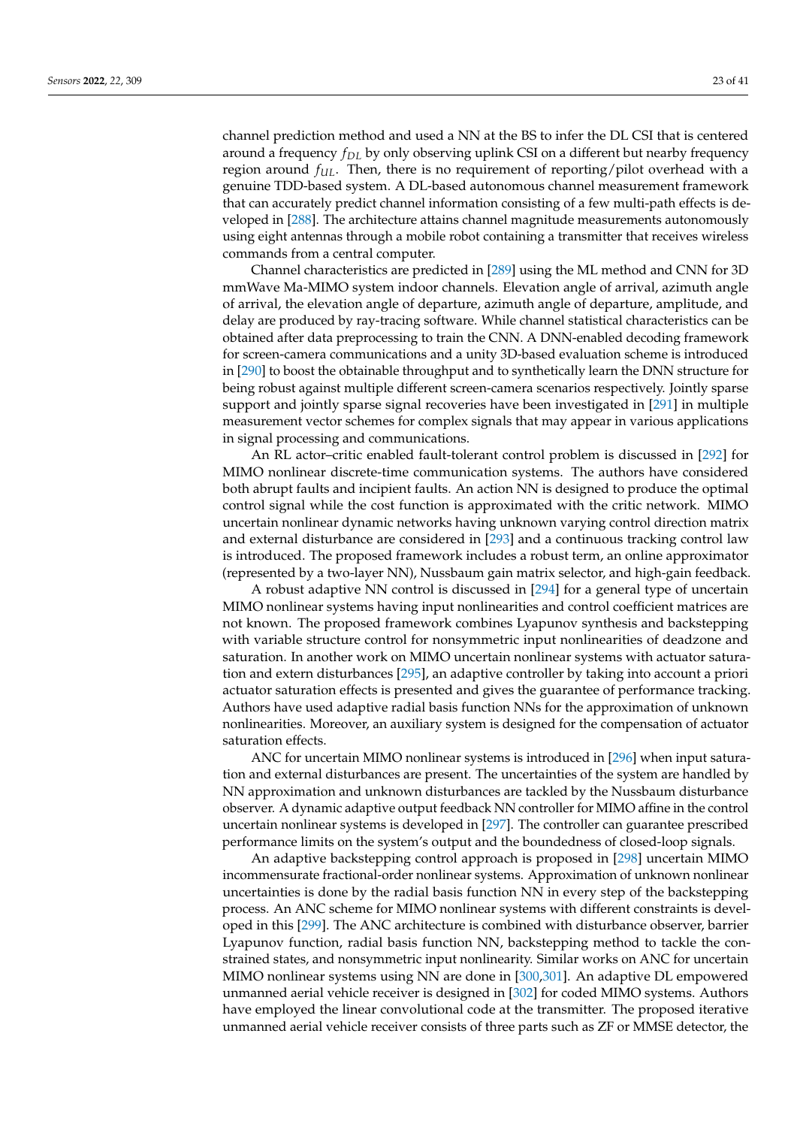channel prediction method and used a NN at the BS to infer the DL CSI that is centered around a frequency *fDL* by only observing uplink CSI on a different but nearby frequency region around *fUL*. Then, there is no requirement of reporting/pilot overhead with a genuine TDD-based system. A DL-based autonomous channel measurement framework that can accurately predict channel information consisting of a few multi-path effects is developed in [\[288\]](#page-39-20). The architecture attains channel magnitude measurements autonomously using eight antennas through a mobile robot containing a transmitter that receives wireless commands from a central computer.

Channel characteristics are predicted in [\[289\]](#page-39-21) using the ML method and CNN for 3D mmWave Ma-MIMO system indoor channels. Elevation angle of arrival, azimuth angle of arrival, the elevation angle of departure, azimuth angle of departure, amplitude, and delay are produced by ray-tracing software. While channel statistical characteristics can be obtained after data preprocessing to train the CNN. A DNN-enabled decoding framework for screen-camera communications and a unity 3D-based evaluation scheme is introduced in [\[290\]](#page-39-22) to boost the obtainable throughput and to synthetically learn the DNN structure for being robust against multiple different screen-camera scenarios respectively. Jointly sparse support and jointly sparse signal recoveries have been investigated in [\[291\]](#page-39-23) in multiple measurement vector schemes for complex signals that may appear in various applications in signal processing and communications.

An RL actor–critic enabled fault-tolerant control problem is discussed in [\[292\]](#page-40-0) for MIMO nonlinear discrete-time communication systems. The authors have considered both abrupt faults and incipient faults. An action NN is designed to produce the optimal control signal while the cost function is approximated with the critic network. MIMO uncertain nonlinear dynamic networks having unknown varying control direction matrix and external disturbance are considered in [\[293\]](#page-40-1) and a continuous tracking control law is introduced. The proposed framework includes a robust term, an online approximator (represented by a two-layer NN), Nussbaum gain matrix selector, and high-gain feedback.

A robust adaptive NN control is discussed in [\[294\]](#page-40-2) for a general type of uncertain MIMO nonlinear systems having input nonlinearities and control coefficient matrices are not known. The proposed framework combines Lyapunov synthesis and backstepping with variable structure control for nonsymmetric input nonlinearities of deadzone and saturation. In another work on MIMO uncertain nonlinear systems with actuator saturation and extern disturbances [\[295\]](#page-40-3), an adaptive controller by taking into account a priori actuator saturation effects is presented and gives the guarantee of performance tracking. Authors have used adaptive radial basis function NNs for the approximation of unknown nonlinearities. Moreover, an auxiliary system is designed for the compensation of actuator saturation effects.

ANC for uncertain MIMO nonlinear systems is introduced in [\[296\]](#page-40-4) when input saturation and external disturbances are present. The uncertainties of the system are handled by NN approximation and unknown disturbances are tackled by the Nussbaum disturbance observer. A dynamic adaptive output feedback NN controller for MIMO affine in the control uncertain nonlinear systems is developed in [\[297\]](#page-40-5). The controller can guarantee prescribed performance limits on the system's output and the boundedness of closed-loop signals.

An adaptive backstepping control approach is proposed in [\[298\]](#page-40-6) uncertain MIMO incommensurate fractional-order nonlinear systems. Approximation of unknown nonlinear uncertainties is done by the radial basis function NN in every step of the backstepping process. An ANC scheme for MIMO nonlinear systems with different constraints is developed in this [\[299\]](#page-40-7). The ANC architecture is combined with disturbance observer, barrier Lyapunov function, radial basis function NN, backstepping method to tackle the constrained states, and nonsymmetric input nonlinearity. Similar works on ANC for uncertain MIMO nonlinear systems using NN are done in [\[300,](#page-40-8)[301\]](#page-40-9). An adaptive DL empowered unmanned aerial vehicle receiver is designed in [\[302\]](#page-40-10) for coded MIMO systems. Authors have employed the linear convolutional code at the transmitter. The proposed iterative unmanned aerial vehicle receiver consists of three parts such as ZF or MMSE detector, the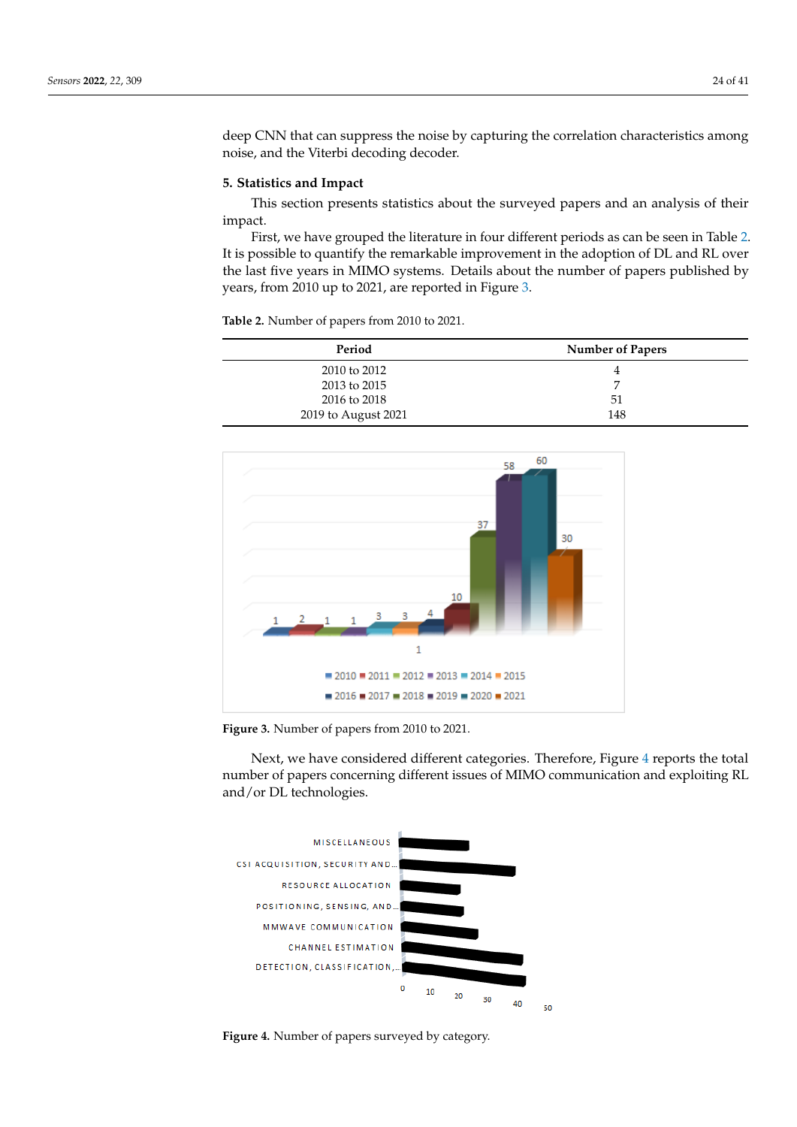deep CNN that can suppress the noise by capturing the correlation characteristics among noise, and the Viterbi decoding decoder.

### <span id="page-23-0"></span>**5. Statistics and Impact**

This section presents statistics about the surveyed papers and an analysis of their impact.

First, we have grouped the literature in four different periods as can be seen in Table [2.](#page-23-1) It is possible to quantify the remarkable improvement in the adoption of DL and RL over the last five years in MIMO systems. Details about the number of papers published by years, from 2010 up to 2021, are reported in Figure [3.](#page-23-2)

<span id="page-23-1"></span>**Table 2.** Number of papers from 2010 to 2021.

| Period              | <b>Number of Papers</b> |
|---------------------|-------------------------|
| 2010 to 2012        | 4                       |
| 2013 to 2015        | ⇁                       |
| 2016 to 2018        | 51                      |
| 2019 to August 2021 | 148                     |

<span id="page-23-2"></span>

**Figure 3.** Number of papers from 2010 to 2021.

Next, we have considered different categories. Therefore, Figure [4](#page-23-3) reports the total number of papers concerning different issues of MIMO communication and exploiting RL and/or DL technologies.

<span id="page-23-3"></span>

**Figure 4.** Number of papers surveyed by category.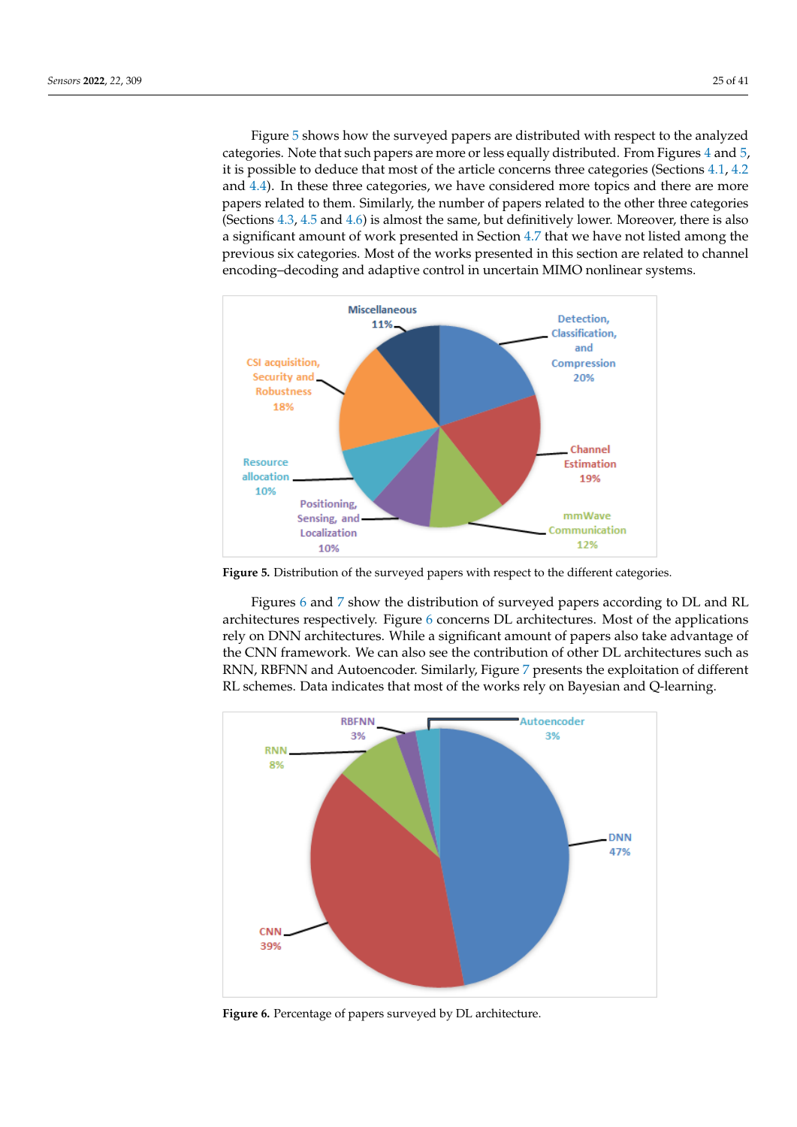Figure [5](#page-24-0) shows how the surveyed papers are distributed with respect to the analyzed categories. Note that such papers are more or less equally distributed. From Figures [4](#page-23-3) and [5,](#page-24-0) it is possible to deduce that most of the article concerns three categories (Sections [4.1,](#page-7-2) [4.2](#page-10-0) and [4.4\)](#page-15-0). In these three categories, we have considered more topics and there are more papers related to them. Similarly, the number of papers related to the other three categories (Sections [4.3,](#page-13-0) [4.5](#page-17-0) and [4.6\)](#page-20-0) is almost the same, but definitively lower. Moreover, there is also a significant amount of work presented in Section [4.7](#page-21-0) that we have not listed among the previous six categories. Most of the works presented in this section are related to channel encoding–decoding and adaptive control in uncertain MIMO nonlinear systems.

<span id="page-24-0"></span>

**Figure 5.** Distribution of the surveyed papers with respect to the different categories.

Figures [6](#page-24-1) and [7](#page-25-0) show the distribution of surveyed papers according to DL and RL architectures respectively. Figure [6](#page-24-1) concerns DL architectures. Most of the applications rely on DNN architectures. While a significant amount of papers also take advantage of the CNN framework. We can also see the contribution of other DL architectures such as RNN, RBFNN and Autoencoder. Similarly, Figure [7](#page-25-0) presents the exploitation of different RL schemes. Data indicates that most of the works rely on Bayesian and Q-learning.

<span id="page-24-1"></span>

**Figure 6.** Percentage of papers surveyed by DL architecture.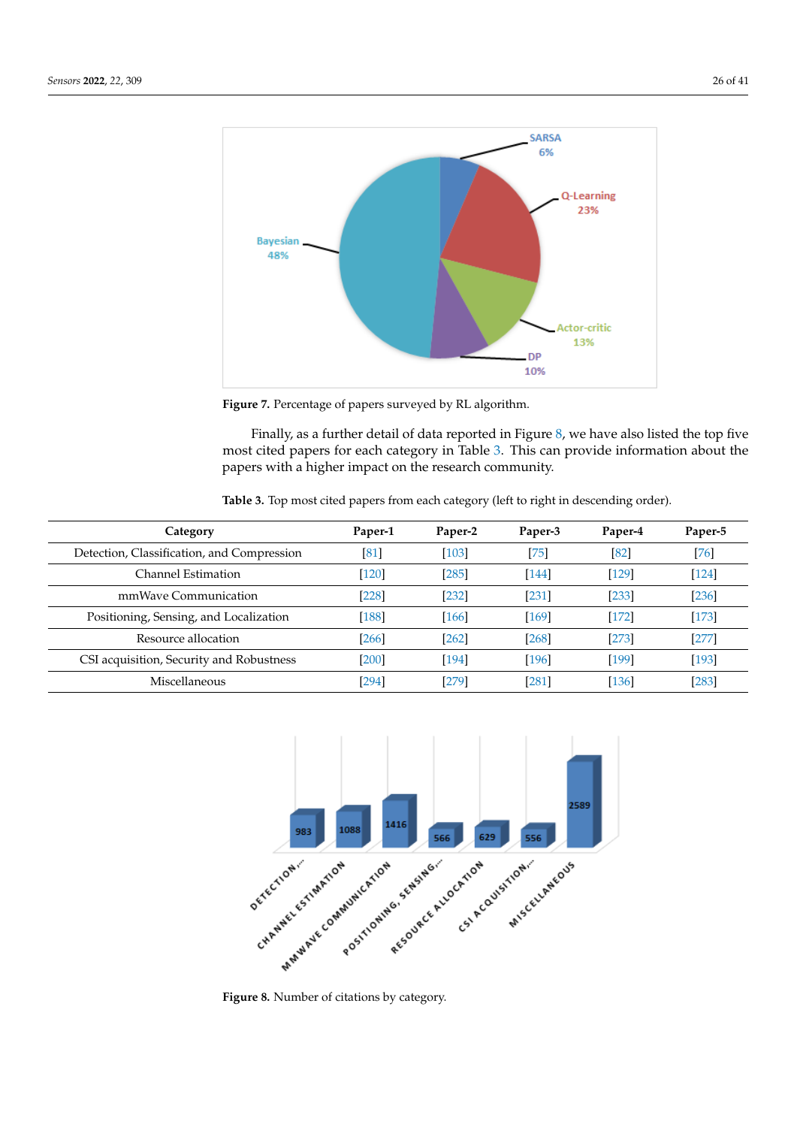<span id="page-25-0"></span>

**Figure 7.** Percentage of papers surveyed by RL algorithm.

Finally, as a further detail of data reported in Figure [8,](#page-25-1) we have also listed the top five most cited papers for each category in Table [3.](#page-25-2) This can provide information about the papers with a higher impact on the research community.

<span id="page-25-2"></span>

|  |  |  |  | Table 3. Top most cited papers from each category (left to right in descending order). |  |
|--|--|--|--|----------------------------------------------------------------------------------------|--|
|  |  |  |  |                                                                                        |  |

| Category                                   | Paper-1            | Paper-2 | Paper-3 | Paper-4 | Paper-5 |
|--------------------------------------------|--------------------|---------|---------|---------|---------|
| Detection, Classification, and Compression | $\left[ 81\right]$ | $[103]$ | [75]    | [82]    | $[76]$  |
| Channel Estimation                         | [120]              | $[285]$ | $[144]$ | $[129]$ | $[124]$ |
| mmWaye Communication                       | [228]              | [232]   | [231]   | [233]   | $[236]$ |
| Positioning, Sensing, and Localization     | [188]              | $[166]$ | [169]   | $[172]$ | $[173]$ |
| Resource allocation                        | [266]              | [262]   | [268]   | [273]   | $[277]$ |
| CSI acquisition, Security and Robustness   | $[200]$            | [194]   | [196]   | [199]   | $[193]$ |
| Miscellaneous                              | [294]              | [279]   | [281]   | [136]   | $[283]$ |

<span id="page-25-1"></span>

**Figure 8.** Number of citations by category.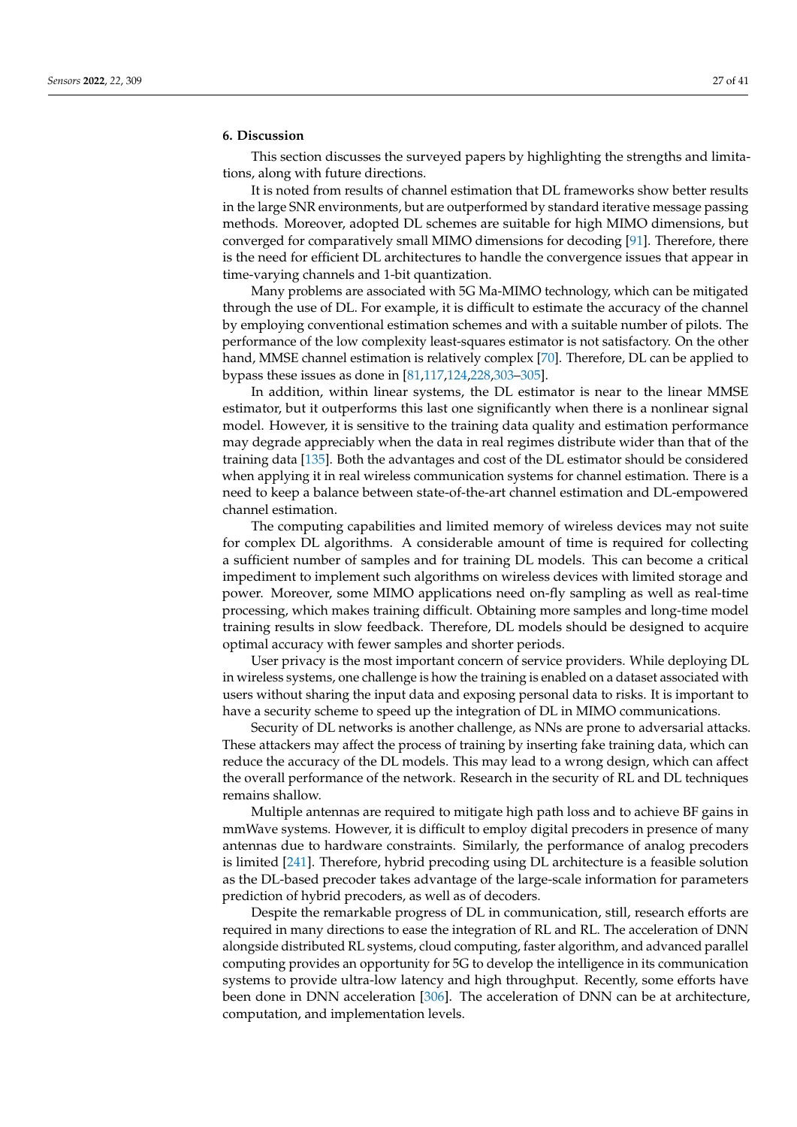### <span id="page-26-0"></span>**6. Discussion**

This section discusses the surveyed papers by highlighting the strengths and limitations, along with future directions.

It is noted from results of channel estimation that DL frameworks show better results in the large SNR environments, but are outperformed by standard iterative message passing methods. Moreover, adopted DL schemes are suitable for high MIMO dimensions, but converged for comparatively small MIMO dimensions for decoding [\[91\]](#page-32-4). Therefore, there is the need for efficient DL architectures to handle the convergence issues that appear in time-varying channels and 1-bit quantization.

Many problems are associated with 5G Ma-MIMO technology, which can be mitigated through the use of DL. For example, it is difficult to estimate the accuracy of the channel by employing conventional estimation schemes and with a suitable number of pilots. The performance of the low complexity least-squares estimator is not satisfactory. On the other hand, MMSE channel estimation is relatively complex [\[70\]](#page-31-11). Therefore, DL can be applied to bypass these issues as done in [\[81,](#page-31-22)[117,](#page-33-6)[124,](#page-33-13)[228,](#page-37-13)[303–](#page-40-11)[305\]](#page-40-12).

In addition, within linear systems, the DL estimator is near to the linear MMSE estimator, but it outperforms this last one significantly when there is a nonlinear signal model. However, it is sensitive to the training data quality and estimation performance may degrade appreciably when the data in real regimes distribute wider than that of the training data [\[135\]](#page-33-24). Both the advantages and cost of the DL estimator should be considered when applying it in real wireless communication systems for channel estimation. There is a need to keep a balance between state-of-the-art channel estimation and DL-empowered channel estimation.

The computing capabilities and limited memory of wireless devices may not suite for complex DL algorithms. A considerable amount of time is required for collecting a sufficient number of samples and for training DL models. This can become a critical impediment to implement such algorithms on wireless devices with limited storage and power. Moreover, some MIMO applications need on-fly sampling as well as real-time processing, which makes training difficult. Obtaining more samples and long-time model training results in slow feedback. Therefore, DL models should be designed to acquire optimal accuracy with fewer samples and shorter periods.

User privacy is the most important concern of service providers. While deploying DL in wireless systems, one challenge is how the training is enabled on a dataset associated with users without sharing the input data and exposing personal data to risks. It is important to have a security scheme to speed up the integration of DL in MIMO communications.

Security of DL networks is another challenge, as NNs are prone to adversarial attacks. These attackers may affect the process of training by inserting fake training data, which can reduce the accuracy of the DL models. This may lead to a wrong design, which can affect the overall performance of the network. Research in the security of RL and DL techniques remains shallow.

Multiple antennas are required to mitigate high path loss and to achieve BF gains in mmWave systems. However, it is difficult to employ digital precoders in presence of many antennas due to hardware constraints. Similarly, the performance of analog precoders is limited [\[241\]](#page-37-26). Therefore, hybrid precoding using DL architecture is a feasible solution as the DL-based precoder takes advantage of the large-scale information for parameters prediction of hybrid precoders, as well as of decoders.

Despite the remarkable progress of DL in communication, still, research efforts are required in many directions to ease the integration of RL and RL. The acceleration of DNN alongside distributed RL systems, cloud computing, faster algorithm, and advanced parallel computing provides an opportunity for 5G to develop the intelligence in its communication systems to provide ultra-low latency and high throughput. Recently, some efforts have been done in DNN acceleration [\[306\]](#page-40-13). The acceleration of DNN can be at architecture, computation, and implementation levels.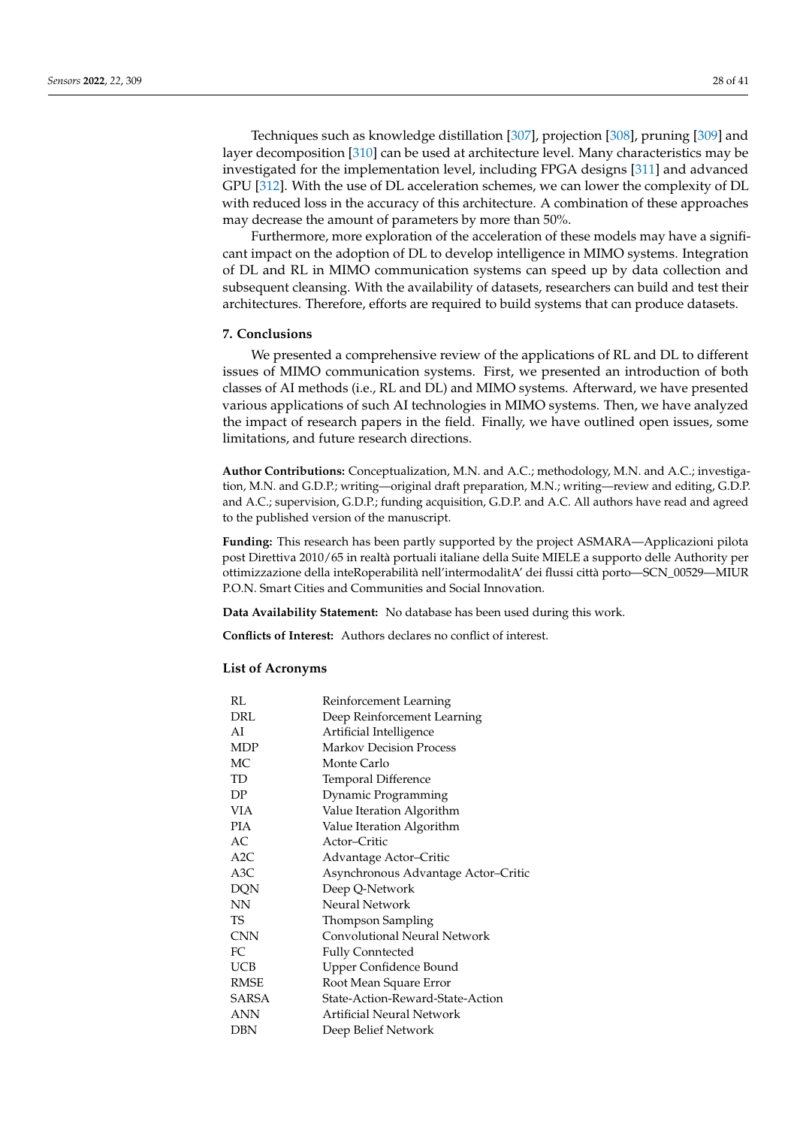Techniques such as knowledge distillation [\[307\]](#page-40-14), projection [\[308\]](#page-40-15), pruning [\[309\]](#page-40-16) and layer decomposition [\[310\]](#page-40-17) can be used at architecture level. Many characteristics may be investigated for the implementation level, including FPGA designs [\[311\]](#page-40-18) and advanced GPU [\[312\]](#page-40-19). With the use of DL acceleration schemes, we can lower the complexity of DL with reduced loss in the accuracy of this architecture. A combination of these approaches may decrease the amount of parameters by more than 50%.

Furthermore, more exploration of the acceleration of these models may have a significant impact on the adoption of DL to develop intelligence in MIMO systems. Integration of DL and RL in MIMO communication systems can speed up by data collection and subsequent cleansing. With the availability of datasets, researchers can build and test their architectures. Therefore, efforts are required to build systems that can produce datasets.

### <span id="page-27-0"></span>**7. Conclusions**

We presented a comprehensive review of the applications of RL and DL to different issues of MIMO communication systems. First, we presented an introduction of both classes of AI methods (i.e., RL and DL) and MIMO systems. Afterward, we have presented various applications of such AI technologies in MIMO systems. Then, we have analyzed the impact of research papers in the field. Finally, we have outlined open issues, some limitations, and future research directions.

**Author Contributions:** Conceptualization, M.N. and A.C.; methodology, M.N. and A.C.; investigation, M.N. and G.D.P.; writing—original draft preparation, M.N.; writing—review and editing, G.D.P. and A.C.; supervision, G.D.P.; funding acquisition, G.D.P. and A.C. All authors have read and agreed to the published version of the manuscript.

**Funding:** This research has been partly supported by the project ASMARA—Applicazioni pilota post Direttiva 2010/65 in realtà portuali italiane della Suite MIELE a supporto delle Authority per ottimizzazione della inteRoperabilità nell'intermodalitA' dei flussi città porto—SCN\_00529—MIUR P.O.N. Smart Cities and Communities and Social Innovation.

**Data Availability Statement:** No database has been used during this work.

**Conflicts of Interest:** Authors declares no conflict of interest.

### **List of Acronyms**

| RL         | Reinforcement Learning              |
|------------|-------------------------------------|
| DRL        | Deep Reinforcement Learning         |
| AI         | Artificial Intelligence             |
| MDP        | <b>Markov Decision Process</b>      |
| МC         | Monte Carlo                         |
| TD         | Temporal Difference                 |
| DP         | Dynamic Programming                 |
| VIA        | Value Iteration Algorithm           |
| <b>PIA</b> | Value Iteration Algorithm           |
| AC.        | Actor-Critic                        |
| A2C        | Advantage Actor–Critic              |
| A3C        | Asynchronous Advantage Actor-Critic |
| <b>DQN</b> | Deep Q-Network                      |
| NΝ         | Neural Network                      |
| TS         | Thompson Sampling                   |
| <b>CNN</b> | Convolutional Neural Network        |
| FC         | <b>Fully Conntected</b>             |
| UCB        | Upper Confidence Bound              |
| RMSE       | Root Mean Square Error              |
| SARSA      | State-Action-Reward-State-Action    |
| ANN        | Artificial Neural Network           |
| DBN        | Deep Belief Network                 |
|            |                                     |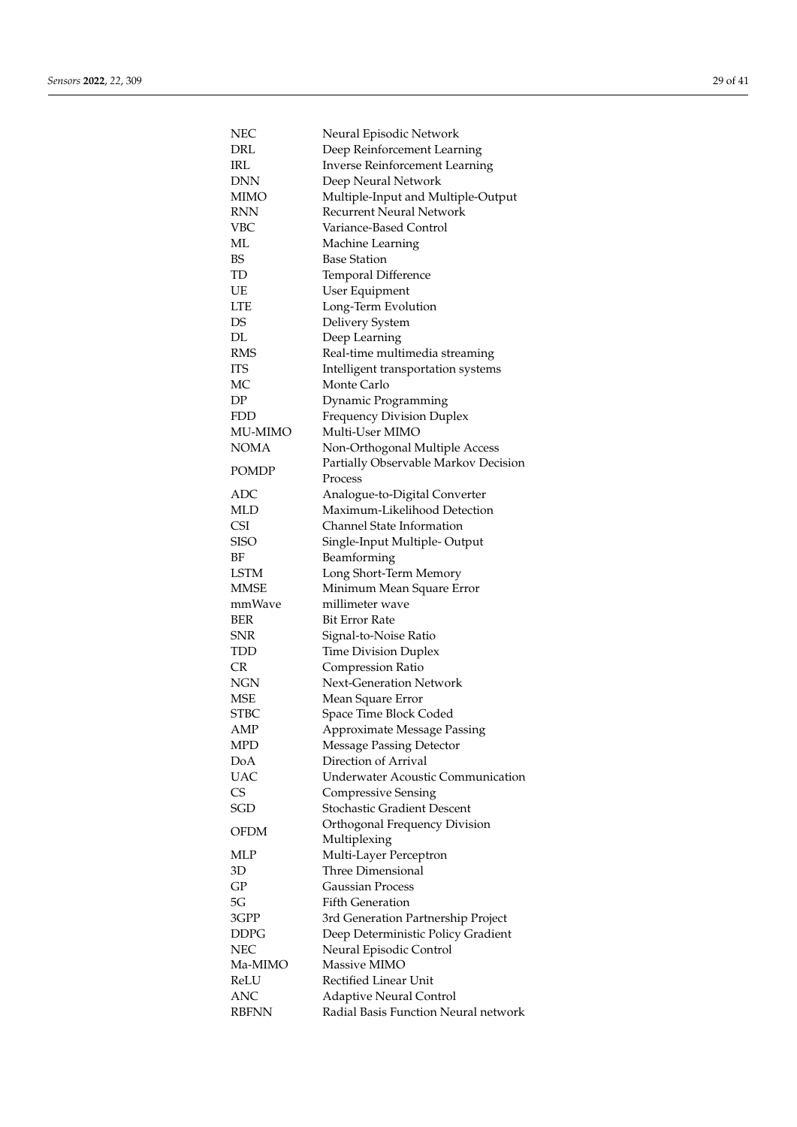| NEC                        | Neural Episodic Network                                          |
|----------------------------|------------------------------------------------------------------|
| DRL                        | Deep Reinforcement Learning                                      |
| IRL                        | <b>Inverse Reinforcement Learning</b>                            |
| DNN                        | Deep Neural Network                                              |
| <b>MIMO</b>                | Multiple-Input and Multiple-Output                               |
| RNN                        | <b>Recurrent Neural Network</b>                                  |
| VBC                        | Variance-Based Control                                           |
| МL                         | Machine Learning                                                 |
| BS                         | <b>Base Station</b>                                              |
| TD                         | Temporal Difference                                              |
| UE                         | User Equipment                                                   |
| LTE                        | Long-Term Evolution                                              |
| DS                         | Delivery System                                                  |
| DL                         | Deep Learning                                                    |
| RMS                        | Real-time multimedia streaming                                   |
| ITS                        | Intelligent transportation systems                               |
| МC                         | Monte Carlo                                                      |
| DP                         | Dynamic Programming                                              |
| FDD                        | <b>Frequency Division Duplex</b>                                 |
| MU-MIMO                    | Multi-User MIMO                                                  |
| <b>NOMA</b>                | Non-Orthogonal Multiple Access                                   |
|                            | Partially Observable Markov Decision                             |
| <b>POMDP</b>               | Process                                                          |
| ADC                        | Analogue-to-Digital Converter                                    |
| MLD                        | Maximum-Likelihood Detection                                     |
| <b>CSI</b>                 | Channel State Information                                        |
| SISO                       |                                                                  |
| ΒF                         | Single-Input Multiple-Output                                     |
|                            | Beamforming                                                      |
| <b>LSTM</b><br><b>MMSE</b> | Long Short-Term Memory                                           |
|                            | Minimum Mean Square Error                                        |
| mmWave                     | millimeter wave<br>Bit Error Rate                                |
| BER<br>SNR                 |                                                                  |
| TDD                        | Signal-to-Noise Ratio                                            |
|                            | <b>Time Division Duplex</b>                                      |
| CR<br>NGN                  | Compression Ratio<br>Next-Generation Network                     |
|                            |                                                                  |
| MSE                        | Mean Square Error                                                |
| STBC                       | Space Time Block Coded                                           |
| AMP                        | Approximate Message Passing                                      |
| MPD<br>DoA                 | <b>Message Passing Detector</b><br>Direction of Arrival          |
| <b>UAC</b>                 | <b>Underwater Acoustic Communication</b>                         |
|                            |                                                                  |
| CS<br><b>SGD</b>           | <b>Compressive Sensing</b><br><b>Stochastic Gradient Descent</b> |
|                            |                                                                  |
| OFDM                       | Orthogonal Frequency Division                                    |
|                            | Multiplexing                                                     |
| MLP                        | Multi-Layer Perceptron<br><b>Three Dimensional</b>               |
| 3D                         |                                                                  |
| GP                         | <b>Gaussian Process</b>                                          |
| 5G                         | <b>Fifth Generation</b>                                          |
| 3GPP                       | 3rd Generation Partnership Project                               |
| DDPG                       | Deep Deterministic Policy Gradient                               |
| NEC                        | Neural Episodic Control                                          |
| Ma-MIMO                    | Massive MIMO                                                     |
| ReLU                       | Rectified Linear Unit                                            |
| ANC                        | <b>Adaptive Neural Control</b>                                   |
| <b>RBFNN</b>               | Radial Basis Function Neural network                             |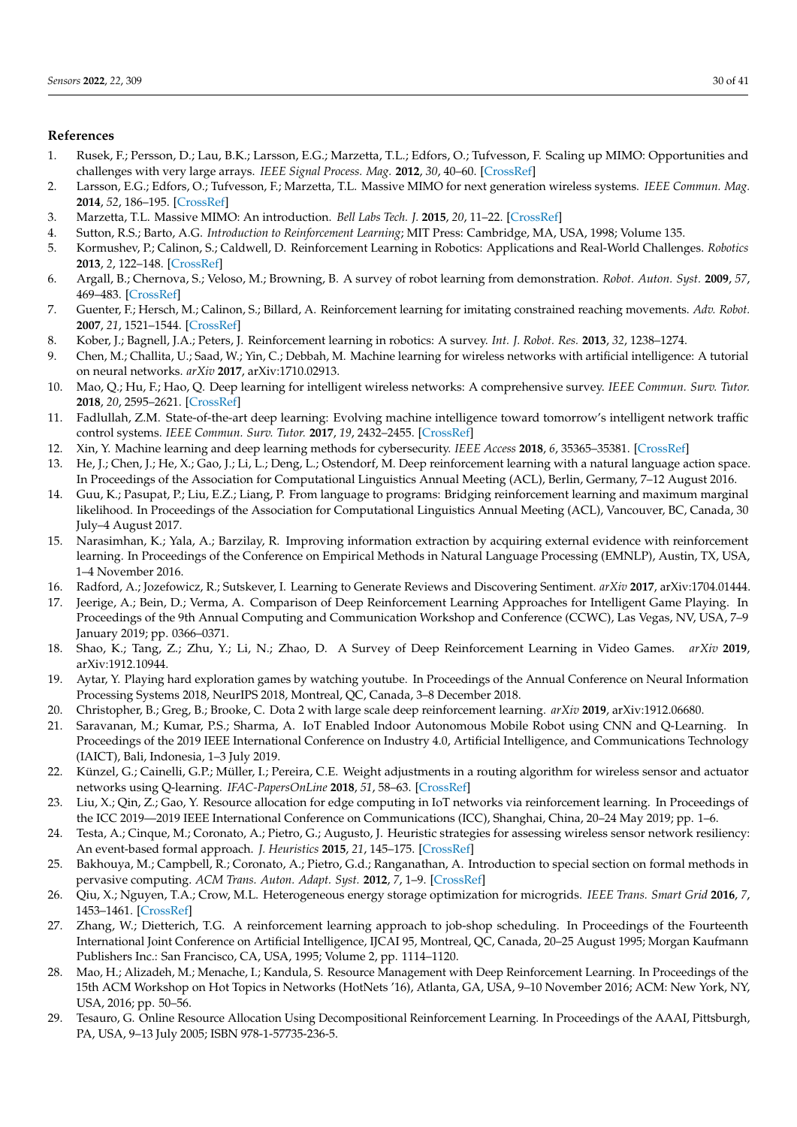# **References**

- <span id="page-29-0"></span>1. Rusek, F.; Persson, D.; Lau, B.K.; Larsson, E.G.; Marzetta, T.L.; Edfors, O.; Tufvesson, F. Scaling up MIMO: Opportunities and challenges with very large arrays. *IEEE Signal Process. Mag.* **2012**, *30*, 40–60. [\[CrossRef\]](http://doi.org/10.1109/MSP.2011.2178495)
- <span id="page-29-1"></span>2. Larsson, E.G.; Edfors, O.; Tufvesson, F.; Marzetta, T.L. Massive MIMO for next generation wireless systems. *IEEE Commun. Mag.* **2014**, *52*, 186–195. [\[CrossRef\]](http://dx.doi.org/10.1109/MCOM.2014.6736761)
- <span id="page-29-2"></span>3. Marzetta, T.L. Massive MIMO: An introduction. *Bell Labs Tech. J.* **2015**, *20*, 11–22. [\[CrossRef\]](http://dx.doi.org/10.15325/BLTJ.2015.2407793)
- <span id="page-29-3"></span>4. Sutton, R.S.; Barto, A.G. *Introduction to Reinforcement Learning*; MIT Press: Cambridge, MA, USA, 1998; Volume 135.
- <span id="page-29-4"></span>5. Kormushev, P.; Calinon, S.; Caldwell, D. Reinforcement Learning in Robotics: Applications and Real-World Challenges. *Robotics* **2013**, *2*, 122–148. [\[CrossRef\]](http://dx.doi.org/10.3390/robotics2030122)
- 6. Argall, B.; Chernova, S.; Veloso, M.; Browning, B. A survey of robot learning from demonstration. *Robot. Auton. Syst.* **2009**, *57*, 469–483. [\[CrossRef\]](http://dx.doi.org/10.1016/j.robot.2008.10.024)
- 7. Guenter, F.; Hersch, M.; Calinon, S.; Billard, A. Reinforcement learning for imitating constrained reaching movements. *Adv. Robot.* **2007**, *21*, 1521–1544. [\[CrossRef\]](http://dx.doi.org/10.1163/156855307782148550)
- <span id="page-29-5"></span>8. Kober, J.; Bagnell, J.A.; Peters, J. Reinforcement learning in robotics: A survey. *Int. J. Robot. Res.* **2013**, *32*, 1238–1274.
- <span id="page-29-6"></span>9. Chen, M.; Challita, U.; Saad, W.; Yin, C.; Debbah, M. Machine learning for wireless networks with artificial intelligence: A tutorial on neural networks. *arXiv* **2017**, arXiv:1710.02913.
- 10. Mao, Q.; Hu, F.; Hao, Q. Deep learning for intelligent wireless networks: A comprehensive survey. *IEEE Commun. Surv. Tutor.* **2018**, *20*, 2595–2621. [\[CrossRef\]](http://dx.doi.org/10.1109/COMST.2018.2846401)
- 11. Fadlullah, Z.M. State-of-the-art deep learning: Evolving machine intelligence toward tomorrow's intelligent network traffic control systems. *IEEE Commun. Surv. Tutor.* **2017**, *19*, 2432–2455. [\[CrossRef\]](http://dx.doi.org/10.1109/COMST.2017.2707140)
- <span id="page-29-7"></span>12. Xin, Y. Machine learning and deep learning methods for cybersecurity. *IEEE Access* **2018**, *6*, 35365–35381. [\[CrossRef\]](http://dx.doi.org/10.1109/ACCESS.2018.2836950)
- <span id="page-29-8"></span>13. He, J.; Chen, J.; He, X.; Gao, J.; Li, L.; Deng, L.; Ostendorf, M. Deep reinforcement learning with a natural language action space. In Proceedings of the Association for Computational Linguistics Annual Meeting (ACL), Berlin, Germany, 7–12 August 2016.
- 14. Guu, K.; Pasupat, P.; Liu, E.Z.; Liang, P. From language to programs: Bridging reinforcement learning and maximum marginal likelihood. In Proceedings of the Association for Computational Linguistics Annual Meeting (ACL), Vancouver, BC, Canada, 30 July–4 August 2017.
- 15. Narasimhan, K.; Yala, A.; Barzilay, R. Improving information extraction by acquiring external evidence with reinforcement learning. In Proceedings of the Conference on Empirical Methods in Natural Language Processing (EMNLP), Austin, TX, USA, 1–4 November 2016.
- <span id="page-29-9"></span>16. Radford, A.; Jozefowicz, R.; Sutskever, I. Learning to Generate Reviews and Discovering Sentiment. *arXiv* **2017**, arXiv:1704.01444.
- <span id="page-29-10"></span>17. Jeerige, A.; Bein, D.; Verma, A. Comparison of Deep Reinforcement Learning Approaches for Intelligent Game Playing. In Proceedings of the 9th Annual Computing and Communication Workshop and Conference (CCWC), Las Vegas, NV, USA, 7–9 January 2019; pp. 0366–0371.
- 18. Shao, K.; Tang, Z.; Zhu, Y.; Li, N.; Zhao, D. A Survey of Deep Reinforcement Learning in Video Games. *arXiv* **2019**, arXiv:1912.10944.
- 19. Aytar, Y. Playing hard exploration games by watching youtube. In Proceedings of the Annual Conference on Neural Information Processing Systems 2018, NeurIPS 2018, Montreal, QC, Canada, 3–8 December 2018.
- <span id="page-29-11"></span>20. Christopher, B.; Greg, B.; Brooke, C. Dota 2 with large scale deep reinforcement learning. *arXiv* **2019**, arXiv:1912.06680.
- <span id="page-29-12"></span>21. Saravanan, M.; Kumar, P.S.; Sharma, A. IoT Enabled Indoor Autonomous Mobile Robot using CNN and Q-Learning. In Proceedings of the 2019 IEEE International Conference on Industry 4.0, Artificial Intelligence, and Communications Technology (IAICT), Bali, Indonesia, 1–3 July 2019.
- 22. Künzel, G.; Cainelli, G.P.; Müller, I.; Pereira, C.E. Weight adjustments in a routing algorithm for wireless sensor and actuator networks using Q-learning. *IFAC-PapersOnLine* **2018**, *51*, 58–63. [\[CrossRef\]](http://dx.doi.org/10.1016/j.ifacol.2018.06.236)
- 23. Liu, X.; Qin, Z.; Gao, Y. Resource allocation for edge computing in IoT networks via reinforcement learning. In Proceedings of the ICC 2019—2019 IEEE International Conference on Communications (ICC), Shanghai, China, 20–24 May 2019; pp. 1–6.
- 24. Testa, A.; Cinque, M.; Coronato, A.; Pietro, G.; Augusto, J. Heuristic strategies for assessing wireless sensor network resiliency: An event-based formal approach. *J. Heuristics* **2015**, *21*, 145–175. [\[CrossRef\]](http://dx.doi.org/10.1007/s10732-014-9258-x)
- 25. Bakhouya, M.; Campbell, R.; Coronato, A.; Pietro, G.d.; Ranganathan, A. Introduction to special section on formal methods in pervasive computing. *ACM Trans. Auton. Adapt. Syst.* **2012**, *7*, 1–9. [\[CrossRef\]](http://dx.doi.org/10.1145/2168260.2168266)
- <span id="page-29-13"></span>26. Qiu, X.; Nguyen, T.A.; Crow, M.L. Heterogeneous energy storage optimization for microgrids. *IEEE Trans. Smart Grid* **2016**, *7*, 1453–1461. [\[CrossRef\]](http://dx.doi.org/10.1109/TSG.2015.2461134)
- <span id="page-29-14"></span>27. Zhang, W.; Dietterich, T.G. A reinforcement learning approach to job-shop scheduling. In Proceedings of the Fourteenth International Joint Conference on Artificial Intelligence, IJCAI 95, Montreal, QC, Canada, 20–25 August 1995; Morgan Kaufmann Publishers Inc.: San Francisco, CA, USA, 1995; Volume 2, pp. 1114–1120.
- 28. Mao, H.; Alizadeh, M.; Menache, I.; Kandula, S. Resource Management with Deep Reinforcement Learning. In Proceedings of the 15th ACM Workshop on Hot Topics in Networks (HotNets '16), Atlanta, GA, USA, 9–10 November 2016; ACM: New York, NY, USA, 2016; pp. 50–56.
- 29. Tesauro, G. Online Resource Allocation Using Decompositional Reinforcement Learning. In Proceedings of the AAAI, Pittsburgh, PA, USA, 9–13 July 2005; ISBN 978-1-57735-236-5.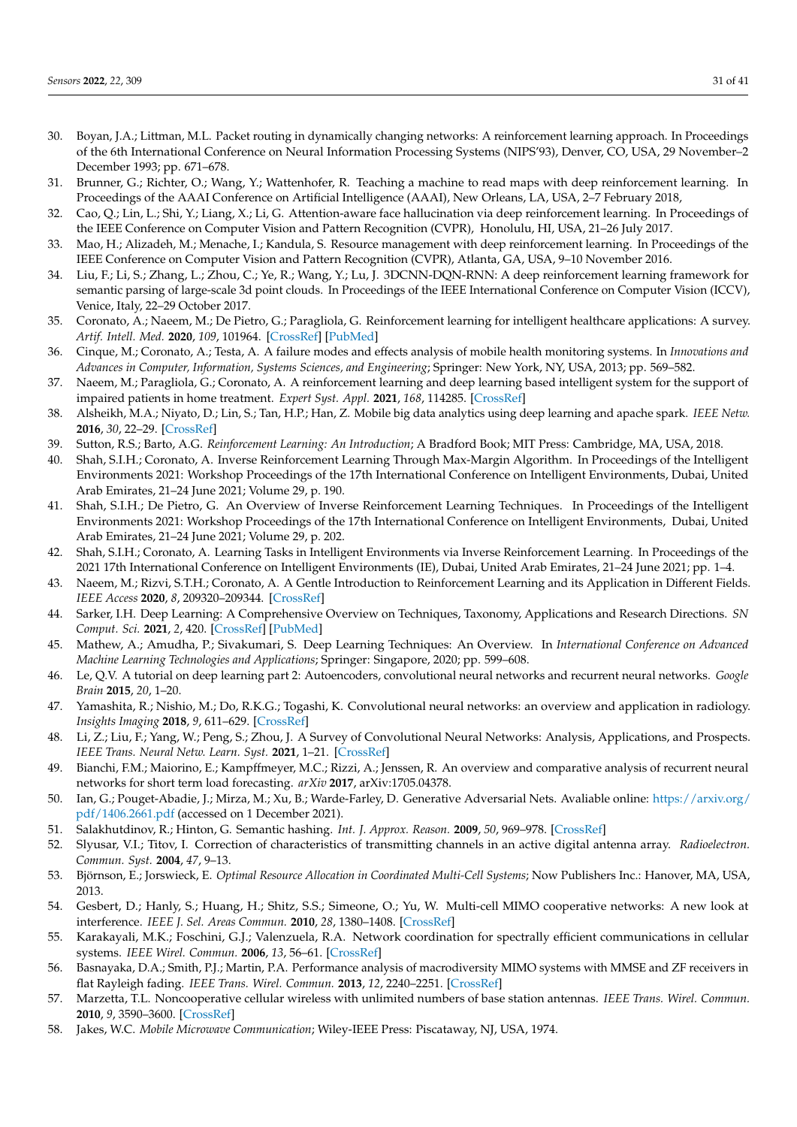- <span id="page-30-0"></span>30. Boyan, J.A.; Littman, M.L. Packet routing in dynamically changing networks: A reinforcement learning approach. In Proceedings of the 6th International Conference on Neural Information Processing Systems (NIPS'93), Denver, CO, USA, 29 November–2 December 1993; pp. 671–678.
- <span id="page-30-1"></span>31. Brunner, G.; Richter, O.; Wang, Y.; Wattenhofer, R. Teaching a machine to read maps with deep reinforcement learning. In Proceedings of the AAAI Conference on Artificial Intelligence (AAAI), New Orleans, LA, USA, 2–7 February 2018,
- 32. Cao, Q.; Lin, L.; Shi, Y.; Liang, X.; Li, G. Attention-aware face hallucination via deep reinforcement learning. In Proceedings of the IEEE Conference on Computer Vision and Pattern Recognition (CVPR), Honolulu, HI, USA, 21–26 July 2017.
- 33. Mao, H.; Alizadeh, M.; Menache, I.; Kandula, S. Resource management with deep reinforcement learning. In Proceedings of the IEEE Conference on Computer Vision and Pattern Recognition (CVPR), Atlanta, GA, USA, 9–10 November 2016.
- <span id="page-30-2"></span>34. Liu, F.; Li, S.; Zhang, L.; Zhou, C.; Ye, R.; Wang, Y.; Lu, J. 3DCNN-DQN-RNN: A deep reinforcement learning framework for semantic parsing of large-scale 3d point clouds. In Proceedings of the IEEE International Conference on Computer Vision (ICCV), Venice, Italy, 22–29 October 2017.
- <span id="page-30-3"></span>35. Coronato, A.; Naeem, M.; De Pietro, G.; Paragliola, G. Reinforcement learning for intelligent healthcare applications: A survey. *Artif. Intell. Med.* **2020**, *109*, 101964. [\[CrossRef\]](http://dx.doi.org/10.1016/j.artmed.2020.101964) [\[PubMed\]](http://www.ncbi.nlm.nih.gov/pubmed/34756216)
- 36. Cinque, M.; Coronato, A.; Testa, A. A failure modes and effects analysis of mobile health monitoring systems. In *Innovations and Advances in Computer, Information, Systems Sciences, and Engineering*; Springer: New York, NY, USA, 2013; pp. 569–582.
- <span id="page-30-4"></span>37. Naeem, M.; Paragliola, G.; Coronato, A. A reinforcement learning and deep learning based intelligent system for the support of impaired patients in home treatment. *Expert Syst. Appl.* **2021**, *168*, 114285. [\[CrossRef\]](http://dx.doi.org/10.1016/j.eswa.2020.114285)
- <span id="page-30-5"></span>38. Alsheikh, M.A.; Niyato, D.; Lin, S.; Tan, H.P.; Han, Z. Mobile big data analytics using deep learning and apache spark. *IEEE Netw.* **2016**, *30*, 22–29. [\[CrossRef\]](http://dx.doi.org/10.1109/MNET.2016.7474340)
- <span id="page-30-6"></span>39. Sutton, R.S.; Barto, A.G. *Reinforcement Learning: An Introduction*; A Bradford Book; MIT Press: Cambridge, MA, USA, 2018.
- <span id="page-30-7"></span>40. Shah, S.I.H.; Coronato, A. Inverse Reinforcement Learning Through Max-Margin Algorithm. In Proceedings of the Intelligent Environments 2021: Workshop Proceedings of the 17th International Conference on Intelligent Environments, Dubai, United Arab Emirates, 21–24 June 2021; Volume 29, p. 190.
- 41. Shah, S.I.H.; De Pietro, G. An Overview of Inverse Reinforcement Learning Techniques. In Proceedings of the Intelligent Environments 2021: Workshop Proceedings of the 17th International Conference on Intelligent Environments, Dubai, United Arab Emirates, 21–24 June 2021; Volume 29, p. 202.
- <span id="page-30-8"></span>42. Shah, S.I.H.; Coronato, A. Learning Tasks in Intelligent Environments via Inverse Reinforcement Learning. In Proceedings of the 2021 17th International Conference on Intelligent Environments (IE), Dubai, United Arab Emirates, 21–24 June 2021; pp. 1–4.
- <span id="page-30-9"></span>43. Naeem, M.; Rizvi, S.T.H.; Coronato, A. A Gentle Introduction to Reinforcement Learning and its Application in Different Fields. *IEEE Access* **2020**, *8*, 209320–209344. [\[CrossRef\]](http://dx.doi.org/10.1109/ACCESS.2020.3038605)
- <span id="page-30-10"></span>44. Sarker, I.H. Deep Learning: A Comprehensive Overview on Techniques, Taxonomy, Applications and Research Directions. *SN Comput. Sci.* **2021**, *2*, 420. [\[CrossRef\]](http://dx.doi.org/10.1007/s42979-021-00815-1) [\[PubMed\]](http://www.ncbi.nlm.nih.gov/pubmed/34426802)
- <span id="page-30-11"></span>45. Mathew, A.; Amudha, P.; Sivakumari, S. Deep Learning Techniques: An Overview. In *International Conference on Advanced Machine Learning Technologies and Applications*; Springer: Singapore, 2020; pp. 599–608.
- <span id="page-30-12"></span>46. Le, Q.V. A tutorial on deep learning part 2: Autoencoders, convolutional neural networks and recurrent neural networks. *Google Brain* **2015**, *20*, 1–20.
- <span id="page-30-13"></span>47. Yamashita, R.; Nishio, M.; Do, R.K.G.; Togashi, K. Convolutional neural networks: an overview and application in radiology. *Insights Imaging* **2018**, *9*, 611–629. [\[CrossRef\]](http://dx.doi.org/10.1007/s13244-018-0639-9)
- <span id="page-30-14"></span>48. Li, Z.; Liu, F.; Yang, W.; Peng, S.; Zhou, J. A Survey of Convolutional Neural Networks: Analysis, Applications, and Prospects. *IEEE Trans. Neural Netw. Learn. Syst.* **2021**, 1–21. [\[CrossRef\]](http://dx.doi.org/10.1109/TNNLS.2021.3084827)
- <span id="page-30-15"></span>49. Bianchi, F.M.; Maiorino, E.; Kampffmeyer, M.C.; Rizzi, A.; Jenssen, R. An overview and comparative analysis of recurrent neural networks for short term load forecasting. *arXiv* **2017**, arXiv:1705.04378.
- <span id="page-30-16"></span>50. Ian, G.; Pouget-Abadie, J.; Mirza, M.; Xu, B.; Warde-Farley, D. Generative Adversarial Nets. Avaliable online: [https://arxiv.org/](https://arxiv.org/pdf/1406.2661.pdf) [pdf/1406.2661.pdf](https://arxiv.org/pdf/1406.2661.pdf) (accessed on 1 December 2021).
- <span id="page-30-17"></span>51. Salakhutdinov, R.; Hinton, G. Semantic hashing. *Int. J. Approx. Reason.* **2009**, *50*, 969–978. [\[CrossRef\]](http://dx.doi.org/10.1016/j.ijar.2008.11.006)
- <span id="page-30-18"></span>52. Slyusar, V.I.; Titov, I. Correction of characteristics of transmitting channels in an active digital antenna array. *Radioelectron. Commun. Syst.* **2004**, *47*, 9–13.
- <span id="page-30-19"></span>53. Björnson, E.; Jorswieck, E. *Optimal Resource Allocation in Coordinated Multi-Cell Systems*; Now Publishers Inc.: Hanover, MA, USA, 2013.
- 54. Gesbert, D.; Hanly, S.; Huang, H.; Shitz, S.S.; Simeone, O.; Yu, W. Multi-cell MIMO cooperative networks: A new look at interference. *IEEE J. Sel. Areas Commun.* **2010**, *28*, 1380–1408. [\[CrossRef\]](http://dx.doi.org/10.1109/JSAC.2010.101202)
- <span id="page-30-20"></span>55. Karakayali, M.K.; Foschini, G.J.; Valenzuela, R.A. Network coordination for spectrally efficient communications in cellular systems. *IEEE Wirel. Commun.* **2006**, *13*, 56–61. [\[CrossRef\]](http://dx.doi.org/10.1109/MWC.2006.1678166)
- <span id="page-30-21"></span>56. Basnayaka, D.A.; Smith, P.J.; Martin, P.A. Performance analysis of macrodiversity MIMO systems with MMSE and ZF receivers in flat Rayleigh fading. *IEEE Trans. Wirel. Commun.* **2013**, *12*, 2240–2251. [\[CrossRef\]](http://dx.doi.org/10.1109/TWC.2013.032113.120798)
- <span id="page-30-22"></span>57. Marzetta, T.L. Noncooperative cellular wireless with unlimited numbers of base station antennas. *IEEE Trans. Wirel. Commun.* **2010**, *9*, 3590–3600. [\[CrossRef\]](http://dx.doi.org/10.1109/TWC.2010.092810.091092)
- <span id="page-30-23"></span>58. Jakes, W.C. *Mobile Microwave Communication*; Wiley-IEEE Press: Piscataway, NJ, USA, 1974.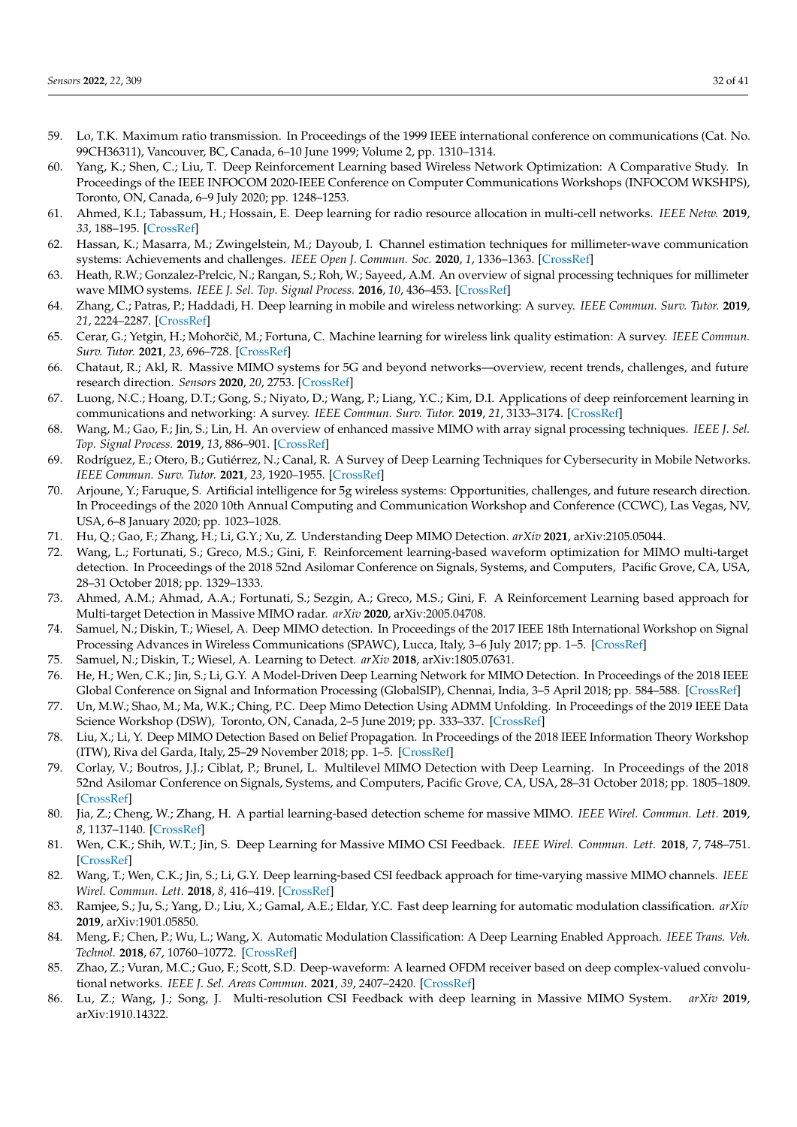- <span id="page-31-0"></span>59. Lo, T.K. Maximum ratio transmission. In Proceedings of the 1999 IEEE international conference on communications (Cat. No. 99CH36311), Vancouver, BC, Canada, 6–10 June 1999; Volume 2, pp. 1310–1314.
- <span id="page-31-1"></span>60. Yang, K.; Shen, C.; Liu, T. Deep Reinforcement Learning based Wireless Network Optimization: A Comparative Study. In Proceedings of the IEEE INFOCOM 2020-IEEE Conference on Computer Communications Workshops (INFOCOM WKSHPS), Toronto, ON, Canada, 6–9 July 2020; pp. 1248–1253.
- <span id="page-31-2"></span>61. Ahmed, K.I.; Tabassum, H.; Hossain, E. Deep learning for radio resource allocation in multi-cell networks. *IEEE Netw.* **2019**, *33*, 188–195. [\[CrossRef\]](http://dx.doi.org/10.1109/MNET.2019.1900029)
- <span id="page-31-3"></span>62. Hassan, K.; Masarra, M.; Zwingelstein, M.; Dayoub, I. Channel estimation techniques for millimeter-wave communication systems: Achievements and challenges. *IEEE Open J. Commun. Soc.* **2020**, *1*, 1336–1363. [\[CrossRef\]](http://dx.doi.org/10.1109/OJCOMS.2020.3015394)
- <span id="page-31-4"></span>63. Heath, R.W.; Gonzalez-Prelcic, N.; Rangan, S.; Roh, W.; Sayeed, A.M. An overview of signal processing techniques for millimeter wave MIMO systems. *IEEE J. Sel. Top. Signal Process.* **2016**, *10*, 436–453. [\[CrossRef\]](http://dx.doi.org/10.1109/JSTSP.2016.2523924)
- <span id="page-31-5"></span>64. Zhang, C.; Patras, P.; Haddadi, H. Deep learning in mobile and wireless networking: A survey. *IEEE Commun. Surv. Tutor.* **2019**, *21*, 2224–2287. [\[CrossRef\]](http://dx.doi.org/10.1109/COMST.2019.2904897)
- <span id="page-31-6"></span>65. Cerar, G.; Yetgin, H.; Mohorčič, M.; Fortuna, C. Machine learning for wireless link quality estimation: A survey. *IEEE Commun. Surv. Tutor.* **2021**, *23*, 696–728. [\[CrossRef\]](http://dx.doi.org/10.1109/COMST.2021.3053615)
- <span id="page-31-7"></span>66. Chataut, R.; Akl, R. Massive MIMO systems for 5G and beyond networks—overview, recent trends, challenges, and future research direction. *Sensors* **2020**, *20*, 2753. [\[CrossRef\]](http://dx.doi.org/10.3390/s20102753)
- <span id="page-31-8"></span>67. Luong, N.C.; Hoang, D.T.; Gong, S.; Niyato, D.; Wang, P.; Liang, Y.C.; Kim, D.I. Applications of deep reinforcement learning in communications and networking: A survey. *IEEE Commun. Surv. Tutor.* **2019**, *21*, 3133–3174. [\[CrossRef\]](http://dx.doi.org/10.1109/COMST.2019.2916583)
- <span id="page-31-9"></span>68. Wang, M.; Gao, F.; Jin, S.; Lin, H. An overview of enhanced massive MIMO with array signal processing techniques. *IEEE J. Sel. Top. Signal Process.* **2019**, *13*, 886–901. [\[CrossRef\]](http://dx.doi.org/10.1109/JSTSP.2019.2934931)
- <span id="page-31-10"></span>69. Rodríguez, E.; Otero, B.; Gutiérrez, N.; Canal, R. A Survey of Deep Learning Techniques for Cybersecurity in Mobile Networks. *IEEE Commun. Surv. Tutor.* **2021**, *23*, 1920–1955. [\[CrossRef\]](http://dx.doi.org/10.1109/COMST.2021.3086296)
- <span id="page-31-11"></span>70. Arjoune, Y.; Faruque, S. Artificial intelligence for 5g wireless systems: Opportunities, challenges, and future research direction. In Proceedings of the 2020 10th Annual Computing and Communication Workshop and Conference (CCWC), Las Vegas, NV, USA, 6–8 January 2020; pp. 1023–1028.
- <span id="page-31-12"></span>71. Hu, Q.; Gao, F.; Zhang, H.; Li, G.Y.; Xu, Z. Understanding Deep MIMO Detection. *arXiv* **2021**, arXiv:2105.05044.
- <span id="page-31-13"></span>72. Wang, L.; Fortunati, S.; Greco, M.S.; Gini, F. Reinforcement learning-based waveform optimization for MIMO multi-target detection. In Proceedings of the 2018 52nd Asilomar Conference on Signals, Systems, and Computers, Pacific Grove, CA, USA, 28–31 October 2018; pp. 1329–1333.
- <span id="page-31-14"></span>73. Ahmed, A.M.; Ahmad, A.A.; Fortunati, S.; Sezgin, A.; Greco, M.S.; Gini, F. A Reinforcement Learning based approach for Multi-target Detection in Massive MIMO radar. *arXiv* **2020**, arXiv:2005.04708.
- <span id="page-31-15"></span>74. Samuel, N.; Diskin, T.; Wiesel, A. Deep MIMO detection. In Proceedings of the 2017 IEEE 18th International Workshop on Signal Processing Advances in Wireless Communications (SPAWC), Lucca, Italy, 3–6 July 2017; pp. 1–5. [\[CrossRef\]](http://dx.doi.org/10.1109/SPAWC.2017.8227772)
- <span id="page-31-16"></span>75. Samuel, N.; Diskin, T.; Wiesel, A. Learning to Detect. *arXiv* **2018**, arXiv:1805.07631.
- <span id="page-31-17"></span>76. He, H.; Wen, C.K.; Jin, S.; Li, G.Y. A Model-Driven Deep Learning Network for MIMO Detection. In Proceedings of the 2018 IEEE Global Conference on Signal and Information Processing (GlobalSIP), Chennai, India, 3–5 April 2018; pp. 584–588. [\[CrossRef\]](http://dx.doi.org/10.1109/GlobalSIP.2018.8646357)
- <span id="page-31-18"></span>77. Un, M.W.; Shao, M.; Ma, W.K.; Ching, P.C. Deep Mimo Detection Using ADMM Unfolding. In Proceedings of the 2019 IEEE Data Science Workshop (DSW), Toronto, ON, Canada, 2–5 June 2019; pp. 333–337. [\[CrossRef\]](http://dx.doi.org/10.1109/DSW.2019.8755566)
- <span id="page-31-19"></span>78. Liu, X.; Li, Y. Deep MIMO Detection Based on Belief Propagation. In Proceedings of the 2018 IEEE Information Theory Workshop (ITW), Riva del Garda, Italy, 25–29 November 2018; pp. 1–5. [\[CrossRef\]](http://dx.doi.org/10.1109/ITW.2018.8613336)
- <span id="page-31-20"></span>79. Corlay, V.; Boutros, J.J.; Ciblat, P.; Brunel, L. Multilevel MIMO Detection with Deep Learning. In Proceedings of the 2018 52nd Asilomar Conference on Signals, Systems, and Computers, Pacific Grove, CA, USA, 28–31 October 2018; pp. 1805–1809. [\[CrossRef\]](http://dx.doi.org/10.1109/ACSSC.2018.8645519)
- <span id="page-31-21"></span>80. Jia, Z.; Cheng, W.; Zhang, H. A partial learning-based detection scheme for massive MIMO. *IEEE Wirel. Commun. Lett.* **2019**, *8*, 1137–1140. [\[CrossRef\]](http://dx.doi.org/10.1109/LWC.2019.2909019)
- <span id="page-31-22"></span>81. Wen, C.K.; Shih, W.T.; Jin, S. Deep Learning for Massive MIMO CSI Feedback. *IEEE Wirel. Commun. Lett.* **2018**, *7*, 748–751. [\[CrossRef\]](http://dx.doi.org/10.1109/LWC.2018.2818160)
- <span id="page-31-23"></span>82. Wang, T.; Wen, C.K.; Jin, S.; Li, G.Y. Deep learning-based CSI feedback approach for time-varying massive MIMO channels. *IEEE Wirel. Commun. Lett.* **2018**, *8*, 416–419. [\[CrossRef\]](http://dx.doi.org/10.1109/LWC.2018.2874264)
- <span id="page-31-24"></span>83. Ramjee, S.; Ju, S.; Yang, D.; Liu, X.; Gamal, A.E.; Eldar, Y.C. Fast deep learning for automatic modulation classification. *arXiv* **2019**, arXiv:1901.05850.
- <span id="page-31-25"></span>84. Meng, F.; Chen, P.; Wu, L.; Wang, X. Automatic Modulation Classification: A Deep Learning Enabled Approach. *IEEE Trans. Veh. Technol.* **2018**, *67*, 10760–10772. [\[CrossRef\]](http://dx.doi.org/10.1109/TVT.2018.2868698)
- <span id="page-31-26"></span>85. Zhao, Z.; Vuran, M.C.; Guo, F.; Scott, S.D. Deep-waveform: A learned OFDM receiver based on deep complex-valued convolutional networks. *IEEE J. Sel. Areas Commun.* **2021**, *39*, 2407–2420. [\[CrossRef\]](http://dx.doi.org/10.1109/JSAC.2021.3087241)
- <span id="page-31-27"></span>86. Lu, Z.; Wang, J.; Song, J. Multi-resolution CSI Feedback with deep learning in Massive MIMO System. *arXiv* **2019**, arXiv:1910.14322.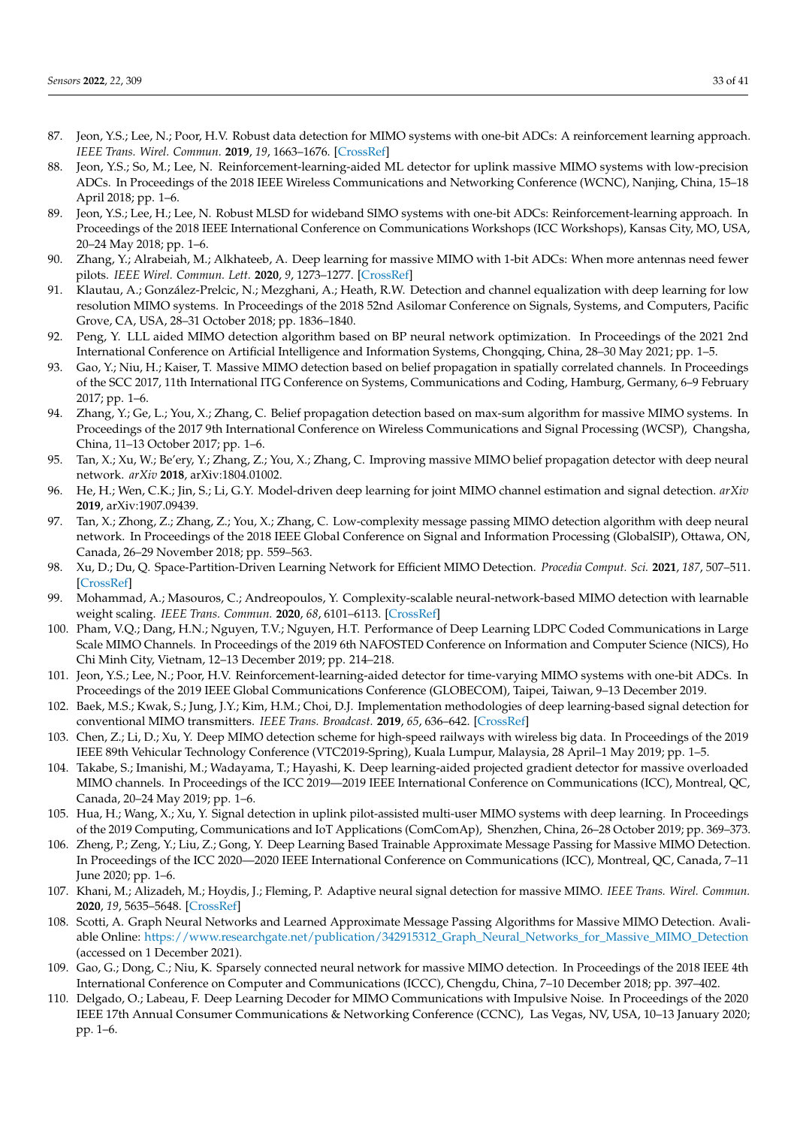- <span id="page-32-0"></span>87. Jeon, Y.S.; Lee, N.; Poor, H.V. Robust data detection for MIMO systems with one-bit ADCs: A reinforcement learning approach. *IEEE Trans. Wirel. Commun.* **2019**, *19*, 1663–1676. [\[CrossRef\]](http://dx.doi.org/10.1109/TWC.2019.2956044)
- <span id="page-32-1"></span>88. Jeon, Y.S.; So, M.; Lee, N. Reinforcement-learning-aided ML detector for uplink massive MIMO systems with low-precision ADCs. In Proceedings of the 2018 IEEE Wireless Communications and Networking Conference (WCNC), Nanjing, China, 15–18 April 2018; pp. 1–6.
- <span id="page-32-2"></span>89. Jeon, Y.S.; Lee, H.; Lee, N. Robust MLSD for wideband SIMO systems with one-bit ADCs: Reinforcement-learning approach. In Proceedings of the 2018 IEEE International Conference on Communications Workshops (ICC Workshops), Kansas City, MO, USA, 20–24 May 2018; pp. 1–6.
- <span id="page-32-3"></span>90. Zhang, Y.; Alrabeiah, M.; Alkhateeb, A. Deep learning for massive MIMO with 1-bit ADCs: When more antennas need fewer pilots. *IEEE Wirel. Commun. Lett.* **2020**, *9*, 1273–1277. [\[CrossRef\]](http://dx.doi.org/10.1109/LWC.2020.2987893)
- <span id="page-32-4"></span>91. Klautau, A.; González-Prelcic, N.; Mezghani, A.; Heath, R.W. Detection and channel equalization with deep learning for low resolution MIMO systems. In Proceedings of the 2018 52nd Asilomar Conference on Signals, Systems, and Computers, Pacific Grove, CA, USA, 28–31 October 2018; pp. 1836–1840.
- <span id="page-32-5"></span>92. Peng, Y. LLL aided MIMO detection algorithm based on BP neural network optimization. In Proceedings of the 2021 2nd International Conference on Artificial Intelligence and Information Systems, Chongqing, China, 28–30 May 2021; pp. 1–5.
- <span id="page-32-6"></span>93. Gao, Y.; Niu, H.; Kaiser, T. Massive MIMO detection based on belief propagation in spatially correlated channels. In Proceedings of the SCC 2017, 11th International ITG Conference on Systems, Communications and Coding, Hamburg, Germany, 6–9 February 2017; pp. 1–6.
- <span id="page-32-7"></span>94. Zhang, Y.; Ge, L.; You, X.; Zhang, C. Belief propagation detection based on max-sum algorithm for massive MIMO systems. In Proceedings of the 2017 9th International Conference on Wireless Communications and Signal Processing (WCSP), Changsha, China, 11–13 October 2017; pp. 1–6.
- <span id="page-32-8"></span>95. Tan, X.; Xu, W.; Be'ery, Y.; Zhang, Z.; You, X.; Zhang, C. Improving massive MIMO belief propagation detector with deep neural network. *arXiv* **2018**, arXiv:1804.01002.
- <span id="page-32-9"></span>96. He, H.; Wen, C.K.; Jin, S.; Li, G.Y. Model-driven deep learning for joint MIMO channel estimation and signal detection. *arXiv* **2019**, arXiv:1907.09439.
- <span id="page-32-10"></span>97. Tan, X.; Zhong, Z.; Zhang, Z.; You, X.; Zhang, C. Low-complexity message passing MIMO detection algorithm with deep neural network. In Proceedings of the 2018 IEEE Global Conference on Signal and Information Processing (GlobalSIP), Ottawa, ON, Canada, 26–29 November 2018; pp. 559–563.
- <span id="page-32-11"></span>98. Xu, D.; Du, Q. Space-Partition-Driven Learning Network for Efficient MIMO Detection. *Procedia Comput. Sci.* **2021**, *187*, 507–511. [\[CrossRef\]](http://dx.doi.org/10.1016/j.procs.2021.04.091)
- <span id="page-32-12"></span>99. Mohammad, A.; Masouros, C.; Andreopoulos, Y. Complexity-scalable neural-network-based MIMO detection with learnable weight scaling. *IEEE Trans. Commun.* **2020**, *68*, 6101–6113. [\[CrossRef\]](http://dx.doi.org/10.1109/TCOMM.2020.3007622)
- <span id="page-32-13"></span>100. Pham, V.Q.; Dang, H.N.; Nguyen, T.V.; Nguyen, H.T. Performance of Deep Learning LDPC Coded Communications in Large Scale MIMO Channels. In Proceedings of the 2019 6th NAFOSTED Conference on Information and Computer Science (NICS), Ho Chi Minh City, Vietnam, 12–13 December 2019; pp. 214–218.
- <span id="page-32-14"></span>101. Jeon, Y.S.; Lee, N.; Poor, H.V. Reinforcement-learning-aided detector for time-varying MIMO systems with one-bit ADCs. In Proceedings of the 2019 IEEE Global Communications Conference (GLOBECOM), Taipei, Taiwan, 9–13 December 2019.
- <span id="page-32-15"></span>102. Baek, M.S.; Kwak, S.; Jung, J.Y.; Kim, H.M.; Choi, D.J. Implementation methodologies of deep learning-based signal detection for conventional MIMO transmitters. *IEEE Trans. Broadcast.* **2019**, *65*, 636–642. [\[CrossRef\]](http://dx.doi.org/10.1109/TBC.2019.2891051)
- <span id="page-32-16"></span>103. Chen, Z.; Li, D.; Xu, Y. Deep MIMO detection scheme for high-speed railways with wireless big data. In Proceedings of the 2019 IEEE 89th Vehicular Technology Conference (VTC2019-Spring), Kuala Lumpur, Malaysia, 28 April–1 May 2019; pp. 1–5.
- <span id="page-32-17"></span>104. Takabe, S.; Imanishi, M.; Wadayama, T.; Hayashi, K. Deep learning-aided projected gradient detector for massive overloaded MIMO channels. In Proceedings of the ICC 2019—2019 IEEE International Conference on Communications (ICC), Montreal, QC, Canada, 20–24 May 2019; pp. 1–6.
- <span id="page-32-18"></span>105. Hua, H.; Wang, X.; Xu, Y. Signal detection in uplink pilot-assisted multi-user MIMO systems with deep learning. In Proceedings of the 2019 Computing, Communications and IoT Applications (ComComAp), Shenzhen, China, 26–28 October 2019; pp. 369–373.
- <span id="page-32-19"></span>106. Zheng, P.; Zeng, Y.; Liu, Z.; Gong, Y. Deep Learning Based Trainable Approximate Message Passing for Massive MIMO Detection. In Proceedings of the ICC 2020—2020 IEEE International Conference on Communications (ICC), Montreal, QC, Canada, 7–11 June 2020; pp. 1–6.
- <span id="page-32-20"></span>107. Khani, M.; Alizadeh, M.; Hoydis, J.; Fleming, P. Adaptive neural signal detection for massive MIMO. *IEEE Trans. Wirel. Commun.* **2020**, *19*, 5635–5648. [\[CrossRef\]](http://dx.doi.org/10.1109/TWC.2020.2996144)
- <span id="page-32-21"></span>108. Scotti, A. Graph Neural Networks and Learned Approximate Message Passing Algorithms for Massive MIMO Detection. Avaliable Online: [https://www.researchgate.net/publication/342915312\\_Graph\\_Neural\\_Networks\\_for\\_Massive\\_MIMO\\_Detection](https://www.researchgate.net/publication/342915312_Graph_Neural_Networks_for_Massive_MIMO_Detection) (accessed on 1 December 2021).
- <span id="page-32-22"></span>109. Gao, G.; Dong, C.; Niu, K. Sparsely connected neural network for massive MIMO detection. In Proceedings of the 2018 IEEE 4th International Conference on Computer and Communications (ICCC), Chengdu, China, 7–10 December 2018; pp. 397–402.
- <span id="page-32-23"></span>110. Delgado, O.; Labeau, F. Deep Learning Decoder for MIMO Communications with Impulsive Noise. In Proceedings of the 2020 IEEE 17th Annual Consumer Communications & Networking Conference (CCNC), Las Vegas, NV, USA, 10–13 January 2020; pp. 1–6.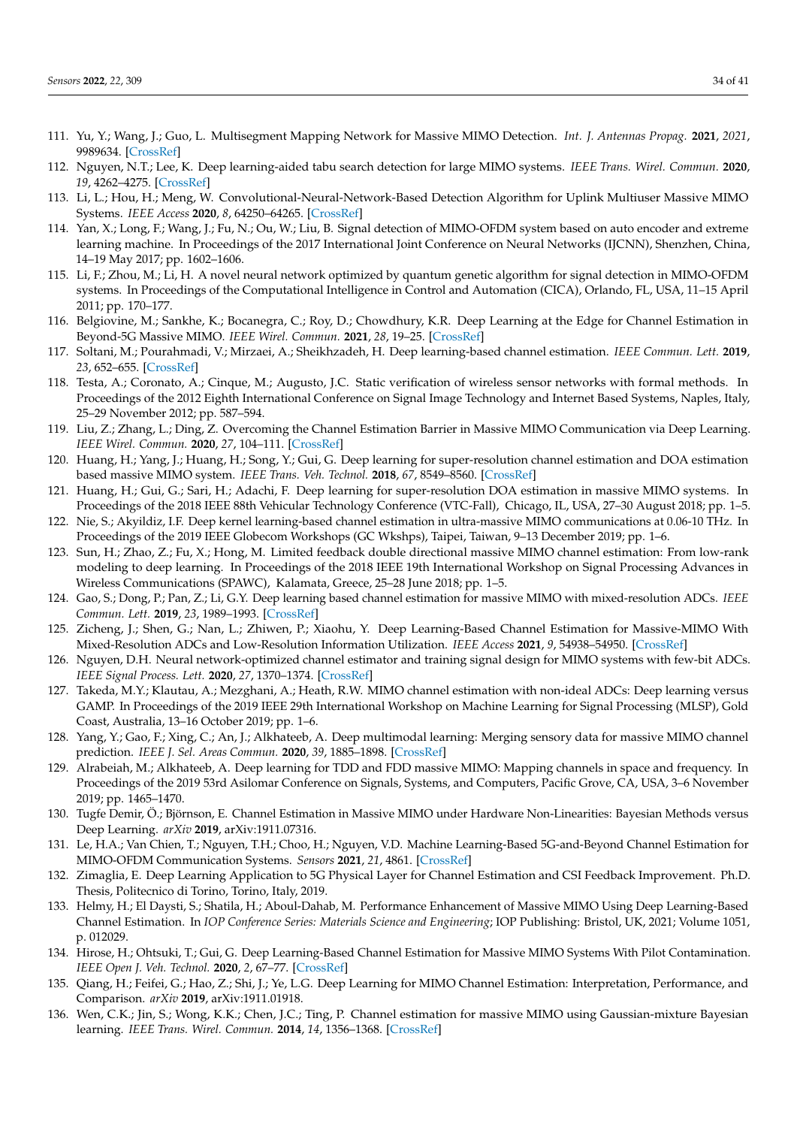- <span id="page-33-0"></span>111. Yu, Y.; Wang, J.; Guo, L. Multisegment Mapping Network for Massive MIMO Detection. *Int. J. Antennas Propag.* **2021**, *2021*, 9989634. [\[CrossRef\]](http://dx.doi.org/10.1155/2021/9989634)
- <span id="page-33-1"></span>112. Nguyen, N.T.; Lee, K. Deep learning-aided tabu search detection for large MIMO systems. *IEEE Trans. Wirel. Commun.* **2020**, *19*, 4262–4275. [\[CrossRef\]](http://dx.doi.org/10.1109/TWC.2020.2981919)
- <span id="page-33-2"></span>113. Li, L.; Hou, H.; Meng, W. Convolutional-Neural-Network-Based Detection Algorithm for Uplink Multiuser Massive MIMO Systems. *IEEE Access* **2020**, *8*, 64250–64265. [\[CrossRef\]](http://dx.doi.org/10.1109/ACCESS.2020.2985083)
- <span id="page-33-3"></span>114. Yan, X.; Long, F.; Wang, J.; Fu, N.; Ou, W.; Liu, B. Signal detection of MIMO-OFDM system based on auto encoder and extreme learning machine. In Proceedings of the 2017 International Joint Conference on Neural Networks (IJCNN), Shenzhen, China, 14–19 May 2017; pp. 1602–1606.
- <span id="page-33-4"></span>115. Li, F.; Zhou, M.; Li, H. A novel neural network optimized by quantum genetic algorithm for signal detection in MIMO-OFDM systems. In Proceedings of the Computational Intelligence in Control and Automation (CICA), Orlando, FL, USA, 11–15 April 2011; pp. 170–177.
- <span id="page-33-5"></span>116. Belgiovine, M.; Sankhe, K.; Bocanegra, C.; Roy, D.; Chowdhury, K.R. Deep Learning at the Edge for Channel Estimation in Beyond-5G Massive MIMO. *IEEE Wirel. Commun.* **2021**, *28*, 19–25. [\[CrossRef\]](http://dx.doi.org/10.1109/MWC.001.2000322)
- <span id="page-33-6"></span>117. Soltani, M.; Pourahmadi, V.; Mirzaei, A.; Sheikhzadeh, H. Deep learning-based channel estimation. *IEEE Commun. Lett.* **2019**, *23*, 652–655. [\[CrossRef\]](http://dx.doi.org/10.1109/LCOMM.2019.2898944)
- <span id="page-33-7"></span>118. Testa, A.; Coronato, A.; Cinque, M.; Augusto, J.C. Static verification of wireless sensor networks with formal methods. In Proceedings of the 2012 Eighth International Conference on Signal Image Technology and Internet Based Systems, Naples, Italy, 25–29 November 2012; pp. 587–594.
- <span id="page-33-8"></span>119. Liu, Z.; Zhang, L.; Ding, Z. Overcoming the Channel Estimation Barrier in Massive MIMO Communication via Deep Learning. *IEEE Wirel. Commun.* **2020**, *27*, 104–111. [\[CrossRef\]](http://dx.doi.org/10.1109/MWC.001.1900413)
- <span id="page-33-9"></span>120. Huang, H.; Yang, J.; Huang, H.; Song, Y.; Gui, G. Deep learning for super-resolution channel estimation and DOA estimation based massive MIMO system. *IEEE Trans. Veh. Technol.* **2018**, *67*, 8549–8560. [\[CrossRef\]](http://dx.doi.org/10.1109/TVT.2018.2851783)
- <span id="page-33-10"></span>121. Huang, H.; Gui, G.; Sari, H.; Adachi, F. Deep learning for super-resolution DOA estimation in massive MIMO systems. In Proceedings of the 2018 IEEE 88th Vehicular Technology Conference (VTC-Fall), Chicago, IL, USA, 27–30 August 2018; pp. 1–5.
- <span id="page-33-11"></span>122. Nie, S.; Akyildiz, I.F. Deep kernel learning-based channel estimation in ultra-massive MIMO communications at 0.06-10 THz. In Proceedings of the 2019 IEEE Globecom Workshops (GC Wkshps), Taipei, Taiwan, 9–13 December 2019; pp. 1–6.
- <span id="page-33-12"></span>123. Sun, H.; Zhao, Z.; Fu, X.; Hong, M. Limited feedback double directional massive MIMO channel estimation: From low-rank modeling to deep learning. In Proceedings of the 2018 IEEE 19th International Workshop on Signal Processing Advances in Wireless Communications (SPAWC), Kalamata, Greece, 25–28 June 2018; pp. 1–5.
- <span id="page-33-13"></span>124. Gao, S.; Dong, P.; Pan, Z.; Li, G.Y. Deep learning based channel estimation for massive MIMO with mixed-resolution ADCs. *IEEE Commun. Lett.* **2019**, *23*, 1989–1993. [\[CrossRef\]](http://dx.doi.org/10.1109/LCOMM.2019.2936393)
- <span id="page-33-14"></span>125. Zicheng, J.; Shen, G.; Nan, L.; Zhiwen, P.; Xiaohu, Y. Deep Learning-Based Channel Estimation for Massive-MIMO With Mixed-Resolution ADCs and Low-Resolution Information Utilization. *IEEE Access* **2021**, *9*, 54938–54950. [\[CrossRef\]](http://dx.doi.org/10.1109/ACCESS.2021.3071590)
- <span id="page-33-15"></span>126. Nguyen, D.H. Neural network-optimized channel estimator and training signal design for MIMO systems with few-bit ADCs. *IEEE Signal Process. Lett.* **2020**, *27*, 1370–1374. [\[CrossRef\]](http://dx.doi.org/10.1109/LSP.2020.3012794)
- <span id="page-33-16"></span>127. Takeda, M.Y.; Klautau, A.; Mezghani, A.; Heath, R.W. MIMO channel estimation with non-ideal ADCs: Deep learning versus GAMP. In Proceedings of the 2019 IEEE 29th International Workshop on Machine Learning for Signal Processing (MLSP), Gold Coast, Australia, 13–16 October 2019; pp. 1–6.
- <span id="page-33-17"></span>128. Yang, Y.; Gao, F.; Xing, C.; An, J.; Alkhateeb, A. Deep multimodal learning: Merging sensory data for massive MIMO channel prediction. *IEEE J. Sel. Areas Commun.* **2020**, *39*, 1885–1898. [\[CrossRef\]](http://dx.doi.org/10.1109/JSAC.2020.3041383)
- <span id="page-33-18"></span>129. Alrabeiah, M.; Alkhateeb, A. Deep learning for TDD and FDD massive MIMO: Mapping channels in space and frequency. In Proceedings of the 2019 53rd Asilomar Conference on Signals, Systems, and Computers, Pacific Grove, CA, USA, 3–6 November 2019; pp. 1465–1470.
- <span id="page-33-19"></span>130. Tugfe Demir, Ö.; Björnson, E. Channel Estimation in Massive MIMO under Hardware Non-Linearities: Bayesian Methods versus Deep Learning. *arXiv* **2019**, arXiv:1911.07316.
- <span id="page-33-20"></span>131. Le, H.A.; Van Chien, T.; Nguyen, T.H.; Choo, H.; Nguyen, V.D. Machine Learning-Based 5G-and-Beyond Channel Estimation for MIMO-OFDM Communication Systems. *Sensors* **2021**, *21*, 4861. [\[CrossRef\]](http://dx.doi.org/10.3390/s21144861)
- <span id="page-33-21"></span>132. Zimaglia, E. Deep Learning Application to 5G Physical Layer for Channel Estimation and CSI Feedback Improvement. Ph.D. Thesis, Politecnico di Torino, Torino, Italy, 2019.
- <span id="page-33-22"></span>133. Helmy, H.; El Daysti, S.; Shatila, H.; Aboul-Dahab, M. Performance Enhancement of Massive MIMO Using Deep Learning-Based Channel Estimation. In *IOP Conference Series: Materials Science and Engineering*; IOP Publishing: Bristol, UK, 2021; Volume 1051, p. 012029.
- <span id="page-33-23"></span>134. Hirose, H.; Ohtsuki, T.; Gui, G. Deep Learning-Based Channel Estimation for Massive MIMO Systems With Pilot Contamination. *IEEE Open J. Veh. Technol.* **2020**, *2*, 67–77. [\[CrossRef\]](http://dx.doi.org/10.1109/OJVT.2020.3045470)
- <span id="page-33-24"></span>135. Qiang, H.; Feifei, G.; Hao, Z.; Shi, J.; Ye, L.G. Deep Learning for MIMO Channel Estimation: Interpretation, Performance, and Comparison. *arXiv* **2019**, arXiv:1911.01918.
- <span id="page-33-25"></span>136. Wen, C.K.; Jin, S.; Wong, K.K.; Chen, J.C.; Ting, P. Channel estimation for massive MIMO using Gaussian-mixture Bayesian learning. *IEEE Trans. Wirel. Commun.* **2014**, *14*, 1356–1368. [\[CrossRef\]](http://dx.doi.org/10.1109/TWC.2014.2365813)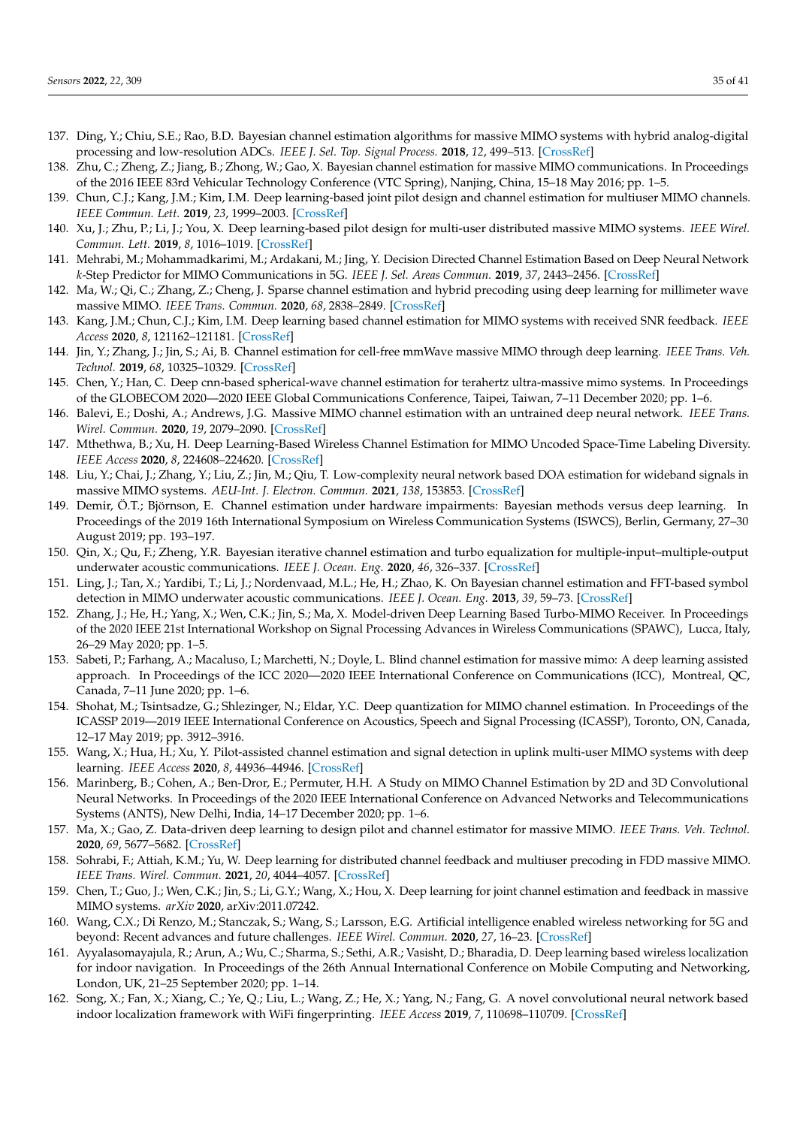- <span id="page-34-0"></span>137. Ding, Y.; Chiu, S.E.; Rao, B.D. Bayesian channel estimation algorithms for massive MIMO systems with hybrid analog-digital processing and low-resolution ADCs. *IEEE J. Sel. Top. Signal Process.* **2018**, *12*, 499–513. [\[CrossRef\]](http://dx.doi.org/10.1109/JSTSP.2018.2814008)
- <span id="page-34-1"></span>138. Zhu, C.; Zheng, Z.; Jiang, B.; Zhong, W.; Gao, X. Bayesian channel estimation for massive MIMO communications. In Proceedings of the 2016 IEEE 83rd Vehicular Technology Conference (VTC Spring), Nanjing, China, 15–18 May 2016; pp. 1–5.
- <span id="page-34-2"></span>139. Chun, C.J.; Kang, J.M.; Kim, I.M. Deep learning-based joint pilot design and channel estimation for multiuser MIMO channels. *IEEE Commun. Lett.* **2019**, *23*, 1999–2003. [\[CrossRef\]](http://dx.doi.org/10.1109/LCOMM.2019.2937488)
- <span id="page-34-3"></span>140. Xu, J.; Zhu, P.; Li, J.; You, X. Deep learning-based pilot design for multi-user distributed massive MIMO systems. *IEEE Wirel. Commun. Lett.* **2019**, *8*, 1016–1019. [\[CrossRef\]](http://dx.doi.org/10.1109/LWC.2019.2904229)
- <span id="page-34-4"></span>141. Mehrabi, M.; Mohammadkarimi, M.; Ardakani, M.; Jing, Y. Decision Directed Channel Estimation Based on Deep Neural Network *k*-Step Predictor for MIMO Communications in 5G. *IEEE J. Sel. Areas Commun.* **2019**, *37*, 2443–2456. [\[CrossRef\]](http://dx.doi.org/10.1109/JSAC.2019.2934004)
- <span id="page-34-5"></span>142. Ma, W.; Qi, C.; Zhang, Z.; Cheng, J. Sparse channel estimation and hybrid precoding using deep learning for millimeter wave massive MIMO. *IEEE Trans. Commun.* **2020**, *68*, 2838–2849. [\[CrossRef\]](http://dx.doi.org/10.1109/TCOMM.2020.2974457)
- <span id="page-34-6"></span>143. Kang, J.M.; Chun, C.J.; Kim, I.M. Deep learning based channel estimation for MIMO systems with received SNR feedback. *IEEE Access* **2020**, *8*, 121162–121181. [\[CrossRef\]](http://dx.doi.org/10.1109/ACCESS.2020.3006518)
- <span id="page-34-7"></span>144. Jin, Y.; Zhang, J.; Jin, S.; Ai, B. Channel estimation for cell-free mmWave massive MIMO through deep learning. *IEEE Trans. Veh. Technol.* **2019**, *68*, 10325–10329. [\[CrossRef\]](http://dx.doi.org/10.1109/TVT.2019.2937543)
- <span id="page-34-8"></span>145. Chen, Y.; Han, C. Deep cnn-based spherical-wave channel estimation for terahertz ultra-massive mimo systems. In Proceedings of the GLOBECOM 2020—2020 IEEE Global Communications Conference, Taipei, Taiwan, 7–11 December 2020; pp. 1–6.
- <span id="page-34-9"></span>146. Balevi, E.; Doshi, A.; Andrews, J.G. Massive MIMO channel estimation with an untrained deep neural network. *IEEE Trans. Wirel. Commun.* **2020**, *19*, 2079–2090. [\[CrossRef\]](http://dx.doi.org/10.1109/TWC.2019.2962474)
- <span id="page-34-10"></span>147. Mthethwa, B.; Xu, H. Deep Learning-Based Wireless Channel Estimation for MIMO Uncoded Space-Time Labeling Diversity. *IEEE Access* **2020**, *8*, 224608–224620. [\[CrossRef\]](http://dx.doi.org/10.1109/ACCESS.2020.3044097)
- <span id="page-34-11"></span>148. Liu, Y.; Chai, J.; Zhang, Y.; Liu, Z.; Jin, M.; Qiu, T. Low-complexity neural network based DOA estimation for wideband signals in massive MIMO systems. *AEU-Int. J. Electron. Commun.* **2021**, *138*, 153853. [\[CrossRef\]](http://dx.doi.org/10.1016/j.aeue.2021.153853)
- <span id="page-34-12"></span>149. Demir, Ö.T.; Björnson, E. Channel estimation under hardware impairments: Bayesian methods versus deep learning. In Proceedings of the 2019 16th International Symposium on Wireless Communication Systems (ISWCS), Berlin, Germany, 27–30 August 2019; pp. 193–197.
- <span id="page-34-13"></span>150. Qin, X.; Qu, F.; Zheng, Y.R. Bayesian iterative channel estimation and turbo equalization for multiple-input–multiple-output underwater acoustic communications. *IEEE J. Ocean. Eng.* **2020**, *46*, 326–337. [\[CrossRef\]](http://dx.doi.org/10.1109/JOE.2019.2956299)
- <span id="page-34-14"></span>151. Ling, J.; Tan, X.; Yardibi, T.; Li, J.; Nordenvaad, M.L.; He, H.; Zhao, K. On Bayesian channel estimation and FFT-based symbol detection in MIMO underwater acoustic communications. *IEEE J. Ocean. Eng.* **2013**, *39*, 59–73. [\[CrossRef\]](http://dx.doi.org/10.1109/JOE.2012.2234893)
- <span id="page-34-15"></span>152. Zhang, J.; He, H.; Yang, X.; Wen, C.K.; Jin, S.; Ma, X. Model-driven Deep Learning Based Turbo-MIMO Receiver. In Proceedings of the 2020 IEEE 21st International Workshop on Signal Processing Advances in Wireless Communications (SPAWC), Lucca, Italy, 26–29 May 2020; pp. 1–5.
- <span id="page-34-16"></span>153. Sabeti, P.; Farhang, A.; Macaluso, I.; Marchetti, N.; Doyle, L. Blind channel estimation for massive mimo: A deep learning assisted approach. In Proceedings of the ICC 2020—2020 IEEE International Conference on Communications (ICC), Montreal, QC, Canada, 7–11 June 2020; pp. 1–6.
- <span id="page-34-17"></span>154. Shohat, M.; Tsintsadze, G.; Shlezinger, N.; Eldar, Y.C. Deep quantization for MIMO channel estimation. In Proceedings of the ICASSP 2019—2019 IEEE International Conference on Acoustics, Speech and Signal Processing (ICASSP), Toronto, ON, Canada, 12–17 May 2019; pp. 3912–3916.
- <span id="page-34-18"></span>155. Wang, X.; Hua, H.; Xu, Y. Pilot-assisted channel estimation and signal detection in uplink multi-user MIMO systems with deep learning. *IEEE Access* **2020**, *8*, 44936–44946. [\[CrossRef\]](http://dx.doi.org/10.1109/ACCESS.2020.2978253)
- <span id="page-34-19"></span>156. Marinberg, B.; Cohen, A.; Ben-Dror, E.; Permuter, H.H. A Study on MIMO Channel Estimation by 2D and 3D Convolutional Neural Networks. In Proceedings of the 2020 IEEE International Conference on Advanced Networks and Telecommunications Systems (ANTS), New Delhi, India, 14–17 December 2020; pp. 1–6.
- <span id="page-34-20"></span>157. Ma, X.; Gao, Z. Data-driven deep learning to design pilot and channel estimator for massive MIMO. *IEEE Trans. Veh. Technol.* **2020**, *69*, 5677–5682. [\[CrossRef\]](http://dx.doi.org/10.1109/TVT.2020.2980905)
- <span id="page-34-21"></span>158. Sohrabi, F.; Attiah, K.M.; Yu, W. Deep learning for distributed channel feedback and multiuser precoding in FDD massive MIMO. *IEEE Trans. Wirel. Commun.* **2021**, *20*, 4044–4057. [\[CrossRef\]](http://dx.doi.org/10.1109/TWC.2021.3055202)
- <span id="page-34-22"></span>159. Chen, T.; Guo, J.; Wen, C.K.; Jin, S.; Li, G.Y.; Wang, X.; Hou, X. Deep learning for joint channel estimation and feedback in massive MIMO systems. *arXiv* **2020**, arXiv:2011.07242.
- <span id="page-34-23"></span>160. Wang, C.X.; Di Renzo, M.; Stanczak, S.; Wang, S.; Larsson, E.G. Artificial intelligence enabled wireless networking for 5G and beyond: Recent advances and future challenges. *IEEE Wirel. Commun.* **2020**, *27*, 16–23. [\[CrossRef\]](http://dx.doi.org/10.1109/MWC.001.1900292)
- <span id="page-34-24"></span>161. Ayyalasomayajula, R.; Arun, A.; Wu, C.; Sharma, S.; Sethi, A.R.; Vasisht, D.; Bharadia, D. Deep learning based wireless localization for indoor navigation. In Proceedings of the 26th Annual International Conference on Mobile Computing and Networking, London, UK, 21–25 September 2020; pp. 1–14.
- <span id="page-34-25"></span>162. Song, X.; Fan, X.; Xiang, C.; Ye, Q.; Liu, L.; Wang, Z.; He, X.; Yang, N.; Fang, G. A novel convolutional neural network based indoor localization framework with WiFi fingerprinting. *IEEE Access* **2019**, *7*, 110698–110709. [\[CrossRef\]](http://dx.doi.org/10.1109/ACCESS.2019.2933921)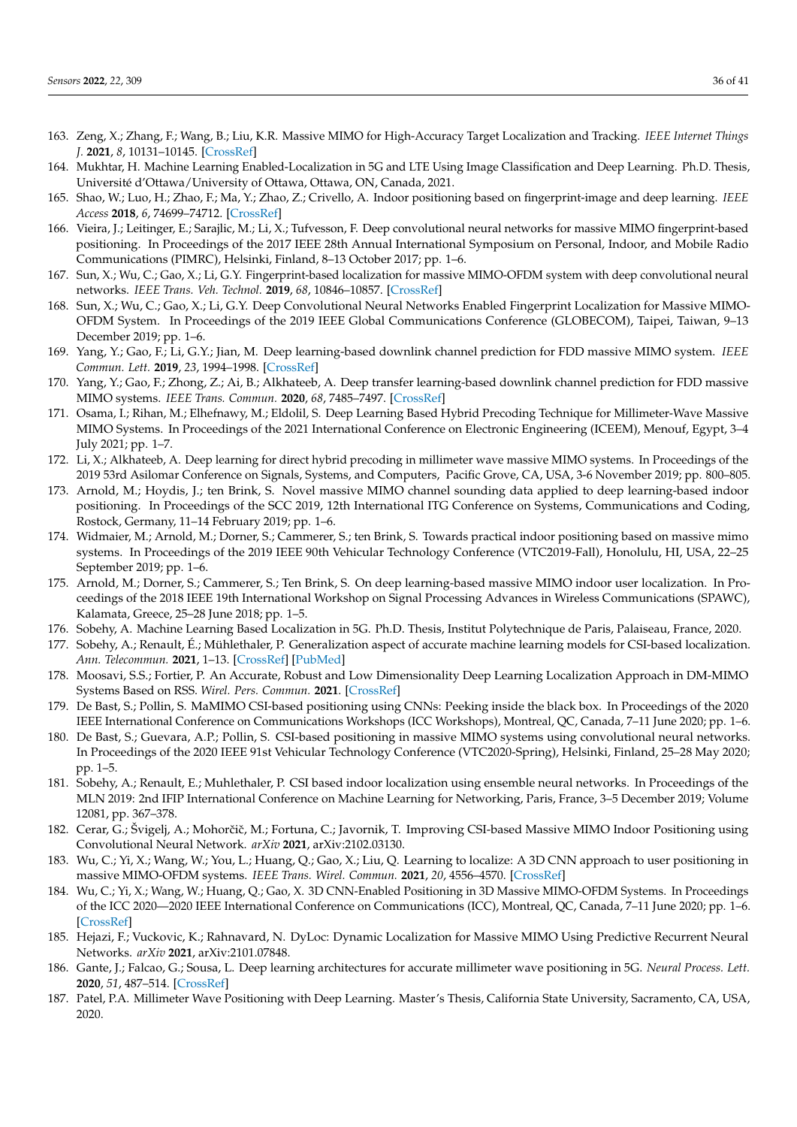- <span id="page-35-0"></span>163. Zeng, X.; Zhang, F.; Wang, B.; Liu, K.R. Massive MIMO for High-Accuracy Target Localization and Tracking. *IEEE Internet Things J.* **2021**, *8*, 10131–10145. [\[CrossRef\]](http://dx.doi.org/10.1109/JIOT.2021.3050720)
- <span id="page-35-1"></span>164. Mukhtar, H. Machine Learning Enabled-Localization in 5G and LTE Using Image Classification and Deep Learning. Ph.D. Thesis, Université d'Ottawa/University of Ottawa, Ottawa, ON, Canada, 2021.
- <span id="page-35-2"></span>165. Shao, W.; Luo, H.; Zhao, F.; Ma, Y.; Zhao, Z.; Crivello, A. Indoor positioning based on fingerprint-image and deep learning. *IEEE Access* **2018**, *6*, 74699–74712. [\[CrossRef\]](http://dx.doi.org/10.1109/ACCESS.2018.2884193)
- <span id="page-35-3"></span>166. Vieira, J.; Leitinger, E.; Sarajlic, M.; Li, X.; Tufvesson, F. Deep convolutional neural networks for massive MIMO fingerprint-based positioning. In Proceedings of the 2017 IEEE 28th Annual International Symposium on Personal, Indoor, and Mobile Radio Communications (PIMRC), Helsinki, Finland, 8–13 October 2017; pp. 1–6.
- <span id="page-35-4"></span>167. Sun, X.; Wu, C.; Gao, X.; Li, G.Y. Fingerprint-based localization for massive MIMO-OFDM system with deep convolutional neural networks. *IEEE Trans. Veh. Technol.* **2019**, *68*, 10846–10857. [\[CrossRef\]](http://dx.doi.org/10.1109/TVT.2019.2939209)
- <span id="page-35-5"></span>168. Sun, X.; Wu, C.; Gao, X.; Li, G.Y. Deep Convolutional Neural Networks Enabled Fingerprint Localization for Massive MIMO-OFDM System. In Proceedings of the 2019 IEEE Global Communications Conference (GLOBECOM), Taipei, Taiwan, 9–13 December 2019; pp. 1–6.
- <span id="page-35-6"></span>169. Yang, Y.; Gao, F.; Li, G.Y.; Jian, M. Deep learning-based downlink channel prediction for FDD massive MIMO system. *IEEE Commun. Lett.* **2019**, *23*, 1994–1998. [\[CrossRef\]](http://dx.doi.org/10.1109/LCOMM.2019.2934851)
- <span id="page-35-7"></span>170. Yang, Y.; Gao, F.; Zhong, Z.; Ai, B.; Alkhateeb, A. Deep transfer learning-based downlink channel prediction for FDD massive MIMO systems. *IEEE Trans. Commun.* **2020**, *68*, 7485–7497. [\[CrossRef\]](http://dx.doi.org/10.1109/TCOMM.2020.3019077)
- <span id="page-35-8"></span>171. Osama, I.; Rihan, M.; Elhefnawy, M.; Eldolil, S. Deep Learning Based Hybrid Precoding Technique for Millimeter-Wave Massive MIMO Systems. In Proceedings of the 2021 International Conference on Electronic Engineering (ICEEM), Menouf, Egypt, 3–4 July 2021; pp. 1–7.
- <span id="page-35-9"></span>172. Li, X.; Alkhateeb, A. Deep learning for direct hybrid precoding in millimeter wave massive MIMO systems. In Proceedings of the 2019 53rd Asilomar Conference on Signals, Systems, and Computers, Pacific Grove, CA, USA, 3-6 November 2019; pp. 800–805.
- <span id="page-35-10"></span>173. Arnold, M.; Hoydis, J.; ten Brink, S. Novel massive MIMO channel sounding data applied to deep learning-based indoor positioning. In Proceedings of the SCC 2019, 12th International ITG Conference on Systems, Communications and Coding, Rostock, Germany, 11–14 February 2019; pp. 1–6.
- <span id="page-35-11"></span>174. Widmaier, M.; Arnold, M.; Dorner, S.; Cammerer, S.; ten Brink, S. Towards practical indoor positioning based on massive mimo systems. In Proceedings of the 2019 IEEE 90th Vehicular Technology Conference (VTC2019-Fall), Honolulu, HI, USA, 22–25 September 2019; pp. 1–6.
- <span id="page-35-12"></span>175. Arnold, M.; Dorner, S.; Cammerer, S.; Ten Brink, S. On deep learning-based massive MIMO indoor user localization. In Proceedings of the 2018 IEEE 19th International Workshop on Signal Processing Advances in Wireless Communications (SPAWC), Kalamata, Greece, 25–28 June 2018; pp. 1–5.
- <span id="page-35-13"></span>176. Sobehy, A. Machine Learning Based Localization in 5G. Ph.D. Thesis, Institut Polytechnique de Paris, Palaiseau, France, 2020.
- <span id="page-35-14"></span>177. Sobehy, A.; Renault, É.; Mühlethaler, P. Generalization aspect of accurate machine learning models for CSI-based localization. *Ann. Telecommun.* **2021**, 1–13. [\[CrossRef\]](http://dx.doi.org/10.1007/s12243-021-00853-z) [\[PubMed\]](http://www.ncbi.nlm.nih.gov/pubmed/34149057)
- <span id="page-35-15"></span>178. Moosavi, S.S.; Fortier, P. An Accurate, Robust and Low Dimensionality Deep Learning Localization Approach in DM-MIMO Systems Based on RSS. *Wirel. Pers. Commun.* **2021**. [\[CrossRef\]](http://dx.doi.org/10.21203/rs.3.rs-178416/v1)
- <span id="page-35-16"></span>179. De Bast, S.; Pollin, S. MaMIMO CSI-based positioning using CNNs: Peeking inside the black box. In Proceedings of the 2020 IEEE International Conference on Communications Workshops (ICC Workshops), Montreal, QC, Canada, 7–11 June 2020; pp. 1–6.
- <span id="page-35-17"></span>180. De Bast, S.; Guevara, A.P.; Pollin, S. CSI-based positioning in massive MIMO systems using convolutional neural networks. In Proceedings of the 2020 IEEE 91st Vehicular Technology Conference (VTC2020-Spring), Helsinki, Finland, 25–28 May 2020; pp. 1–5.
- <span id="page-35-18"></span>181. Sobehy, A.; Renault, E.; Muhlethaler, P. CSI based indoor localization using ensemble neural networks. In Proceedings of the MLN 2019: 2nd IFIP International Conference on Machine Learning for Networking, Paris, France, 3–5 December 2019; Volume 12081, pp. 367–378.
- <span id="page-35-19"></span>182. Cerar, G.; Švigelj, A.; Mohorčič, M.; Fortuna, C.; Javornik, T. Improving CSI-based Massive MIMO Indoor Positioning using Convolutional Neural Network. *arXiv* **2021**, arXiv:2102.03130.
- <span id="page-35-20"></span>183. Wu, C.; Yi, X.; Wang, W.; You, L.; Huang, Q.; Gao, X.; Liu, Q. Learning to localize: A 3D CNN approach to user positioning in massive MIMO-OFDM systems. *IEEE Trans. Wirel. Commun.* **2021**, *20*, 4556–4570. [\[CrossRef\]](http://dx.doi.org/10.1109/TWC.2021.3060482)
- <span id="page-35-21"></span>184. Wu, C.; Yi, X.; Wang, W.; Huang, Q.; Gao, X. 3D CNN-Enabled Positioning in 3D Massive MIMO-OFDM Systems. In Proceedings of the ICC 2020—2020 IEEE International Conference on Communications (ICC), Montreal, QC, Canada, 7–11 June 2020; pp. 1–6. [\[CrossRef\]](http://dx.doi.org/10.1109/ICC40277.2020.9149427)
- <span id="page-35-22"></span>185. Hejazi, F.; Vuckovic, K.; Rahnavard, N. DyLoc: Dynamic Localization for Massive MIMO Using Predictive Recurrent Neural Networks. *arXiv* **2021**, arXiv:2101.07848.
- <span id="page-35-23"></span>186. Gante, J.; Falcao, G.; Sousa, L. Deep learning architectures for accurate millimeter wave positioning in 5G. *Neural Process. Lett.* **2020**, *51*, 487–514. [\[CrossRef\]](http://dx.doi.org/10.1007/s11063-019-10073-1)
- <span id="page-35-24"></span>187. Patel, P.A. Millimeter Wave Positioning with Deep Learning. Master's Thesis, California State University, Sacramento, CA, USA, 2020.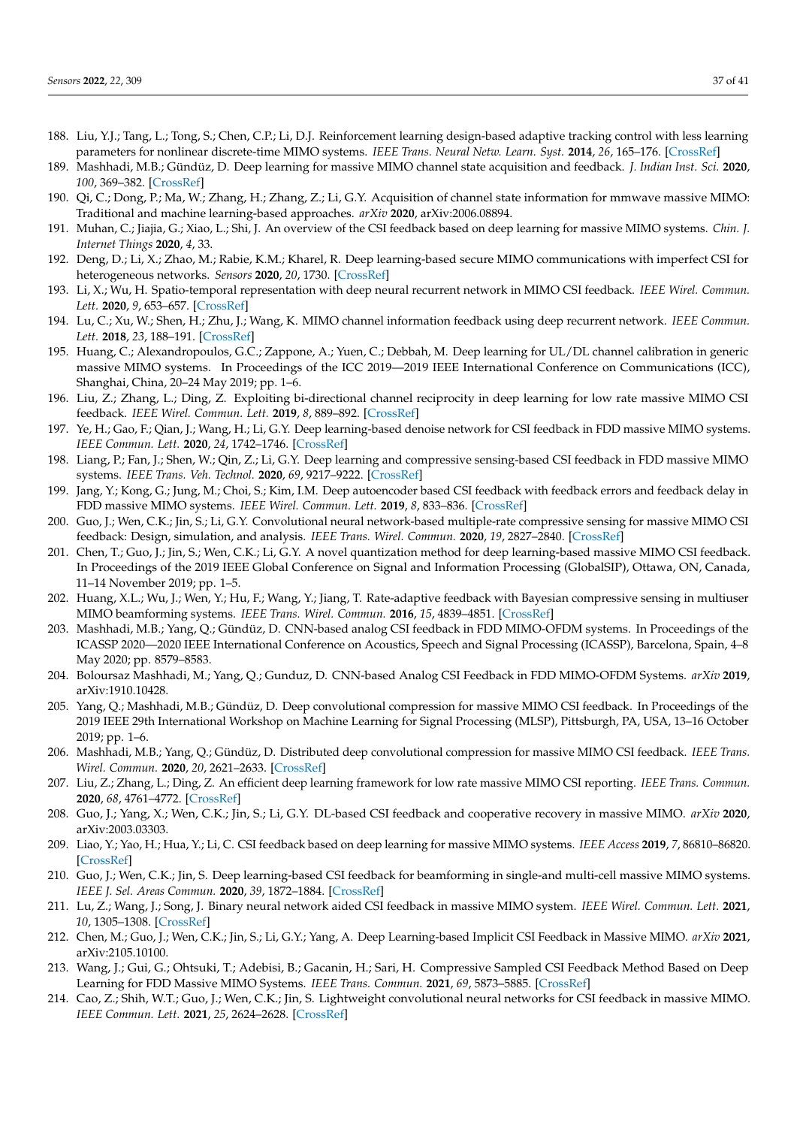- <span id="page-36-0"></span>188. Liu, Y.J.; Tang, L.; Tong, S.; Chen, C.P.; Li, D.J. Reinforcement learning design-based adaptive tracking control with less learning parameters for nonlinear discrete-time MIMO systems. *IEEE Trans. Neural Netw. Learn. Syst.* **2014**, *26*, 165–176. [\[CrossRef\]](http://dx.doi.org/10.1109/TNNLS.2014.2360724)
- <span id="page-36-1"></span>189. Mashhadi, M.B.; Gündüz, D. Deep learning for massive MIMO channel state acquisition and feedback. *J. Indian Inst. Sci.* **2020**, *100*, 369–382. [\[CrossRef\]](http://dx.doi.org/10.1007/s41745-020-00169-2)
- <span id="page-36-2"></span>190. Qi, C.; Dong, P.; Ma, W.; Zhang, H.; Zhang, Z.; Li, G.Y. Acquisition of channel state information for mmwave massive MIMO: Traditional and machine learning-based approaches. *arXiv* **2020**, arXiv:2006.08894.
- <span id="page-36-3"></span>191. Muhan, C.; Jiajia, G.; Xiao, L.; Shi, J. An overview of the CSI feedback based on deep learning for massive MIMO systems. *Chin. J. Internet Things* **2020**, *4*, 33.
- <span id="page-36-4"></span>192. Deng, D.; Li, X.; Zhao, M.; Rabie, K.M.; Kharel, R. Deep learning-based secure MIMO communications with imperfect CSI for heterogeneous networks. *Sensors* **2020**, *20*, 1730. [\[CrossRef\]](http://dx.doi.org/10.3390/s20061730)
- <span id="page-36-5"></span>193. Li, X.; Wu, H. Spatio-temporal representation with deep neural recurrent network in MIMO CSI feedback. *IEEE Wirel. Commun. Lett.* **2020**, *9*, 653–657. [\[CrossRef\]](http://dx.doi.org/10.1109/LWC.2020.2964550)
- <span id="page-36-6"></span>194. Lu, C.; Xu, W.; Shen, H.; Zhu, J.; Wang, K. MIMO channel information feedback using deep recurrent network. *IEEE Commun. Lett.* **2018**, *23*, 188–191. [\[CrossRef\]](http://dx.doi.org/10.1109/LCOMM.2018.2882829)
- <span id="page-36-7"></span>195. Huang, C.; Alexandropoulos, G.C.; Zappone, A.; Yuen, C.; Debbah, M. Deep learning for UL/DL channel calibration in generic massive MIMO systems. In Proceedings of the ICC 2019—2019 IEEE International Conference on Communications (ICC), Shanghai, China, 20–24 May 2019; pp. 1–6.
- <span id="page-36-8"></span>196. Liu, Z.; Zhang, L.; Ding, Z. Exploiting bi-directional channel reciprocity in deep learning for low rate massive MIMO CSI feedback. *IEEE Wirel. Commun. Lett.* **2019**, *8*, 889–892. [\[CrossRef\]](http://dx.doi.org/10.1109/LWC.2019.2898662)
- <span id="page-36-9"></span>197. Ye, H.; Gao, F.; Qian, J.; Wang, H.; Li, G.Y. Deep learning-based denoise network for CSI feedback in FDD massive MIMO systems. *IEEE Commun. Lett.* **2020**, *24*, 1742–1746. [\[CrossRef\]](http://dx.doi.org/10.1109/LCOMM.2020.2989499)
- <span id="page-36-10"></span>198. Liang, P.; Fan, J.; Shen, W.; Qin, Z.; Li, G.Y. Deep learning and compressive sensing-based CSI feedback in FDD massive MIMO systems. *IEEE Trans. Veh. Technol.* **2020**, *69*, 9217–9222. [\[CrossRef\]](http://dx.doi.org/10.1109/TVT.2020.3004842)
- <span id="page-36-11"></span>199. Jang, Y.; Kong, G.; Jung, M.; Choi, S.; Kim, I.M. Deep autoencoder based CSI feedback with feedback errors and feedback delay in FDD massive MIMO systems. *IEEE Wirel. Commun. Lett.* **2019**, *8*, 833–836. [\[CrossRef\]](http://dx.doi.org/10.1109/LWC.2019.2895039)
- <span id="page-36-12"></span>200. Guo, J.; Wen, C.K.; Jin, S.; Li, G.Y. Convolutional neural network-based multiple-rate compressive sensing for massive MIMO CSI feedback: Design, simulation, and analysis. *IEEE Trans. Wirel. Commun.* **2020**, *19*, 2827–2840. [\[CrossRef\]](http://dx.doi.org/10.1109/TWC.2020.2968430)
- <span id="page-36-13"></span>201. Chen, T.; Guo, J.; Jin, S.; Wen, C.K.; Li, G.Y. A novel quantization method for deep learning-based massive MIMO CSI feedback. In Proceedings of the 2019 IEEE Global Conference on Signal and Information Processing (GlobalSIP), Ottawa, ON, Canada, 11–14 November 2019; pp. 1–5.
- <span id="page-36-14"></span>202. Huang, X.L.; Wu, J.; Wen, Y.; Hu, F.; Wang, Y.; Jiang, T. Rate-adaptive feedback with Bayesian compressive sensing in multiuser MIMO beamforming systems. *IEEE Trans. Wirel. Commun.* **2016**, *15*, 4839–4851. [\[CrossRef\]](http://dx.doi.org/10.1109/TWC.2016.2547861)
- <span id="page-36-15"></span>203. Mashhadi, M.B.; Yang, Q.; Gündüz, D. CNN-based analog CSI feedback in FDD MIMO-OFDM systems. In Proceedings of the ICASSP 2020—2020 IEEE International Conference on Acoustics, Speech and Signal Processing (ICASSP), Barcelona, Spain, 4–8 May 2020; pp. 8579–8583.
- <span id="page-36-16"></span>204. Boloursaz Mashhadi, M.; Yang, Q.; Gunduz, D. CNN-based Analog CSI Feedback in FDD MIMO-OFDM Systems. *arXiv* **2019**, arXiv:1910.10428.
- <span id="page-36-17"></span>205. Yang, Q.; Mashhadi, M.B.; Gündüz, D. Deep convolutional compression for massive MIMO CSI feedback. In Proceedings of the 2019 IEEE 29th International Workshop on Machine Learning for Signal Processing (MLSP), Pittsburgh, PA, USA, 13–16 October 2019; pp. 1–6.
- <span id="page-36-18"></span>206. Mashhadi, M.B.; Yang, Q.; Gündüz, D. Distributed deep convolutional compression for massive MIMO CSI feedback. *IEEE Trans. Wirel. Commun.* **2020**, *20*, 2621–2633. [\[CrossRef\]](http://dx.doi.org/10.1109/TWC.2020.3043502)
- <span id="page-36-19"></span>207. Liu, Z.; Zhang, L.; Ding, Z. An efficient deep learning framework for low rate massive MIMO CSI reporting. *IEEE Trans. Commun.* **2020**, *68*, 4761–4772. [\[CrossRef\]](http://dx.doi.org/10.1109/TCOMM.2020.2993626)
- <span id="page-36-20"></span>208. Guo, J.; Yang, X.; Wen, C.K.; Jin, S.; Li, G.Y. DL-based CSI feedback and cooperative recovery in massive MIMO. *arXiv* **2020**, arXiv:2003.03303.
- <span id="page-36-21"></span>209. Liao, Y.; Yao, H.; Hua, Y.; Li, C. CSI feedback based on deep learning for massive MIMO systems. *IEEE Access* **2019**, *7*, 86810–86820. [\[CrossRef\]](http://dx.doi.org/10.1109/ACCESS.2019.2924673)
- <span id="page-36-22"></span>210. Guo, J.; Wen, C.K.; Jin, S. Deep learning-based CSI feedback for beamforming in single-and multi-cell massive MIMO systems. *IEEE J. Sel. Areas Commun.* **2020**, *39*, 1872–1884. [\[CrossRef\]](http://dx.doi.org/10.1109/JSAC.2020.3041397)
- <span id="page-36-23"></span>211. Lu, Z.; Wang, J.; Song, J. Binary neural network aided CSI feedback in massive MIMO system. *IEEE Wirel. Commun. Lett.* **2021**, *10*, 1305–1308. [\[CrossRef\]](http://dx.doi.org/10.1109/LWC.2021.3064963)
- <span id="page-36-24"></span>212. Chen, M.; Guo, J.; Wen, C.K.; Jin, S.; Li, G.Y.; Yang, A. Deep Learning-based Implicit CSI Feedback in Massive MIMO. *arXiv* **2021**, arXiv:2105.10100.
- <span id="page-36-25"></span>213. Wang, J.; Gui, G.; Ohtsuki, T.; Adebisi, B.; Gacanin, H.; Sari, H. Compressive Sampled CSI Feedback Method Based on Deep Learning for FDD Massive MIMO Systems. *IEEE Trans. Commun.* **2021**, *69*, 5873–5885. [\[CrossRef\]](http://dx.doi.org/10.1109/TCOMM.2021.3086525)
- <span id="page-36-26"></span>214. Cao, Z.; Shih, W.T.; Guo, J.; Wen, C.K.; Jin, S. Lightweight convolutional neural networks for CSI feedback in massive MIMO. *IEEE Commun. Lett.* **2021**, *25*, 2624–2628. [\[CrossRef\]](http://dx.doi.org/10.1109/LCOMM.2021.3076504)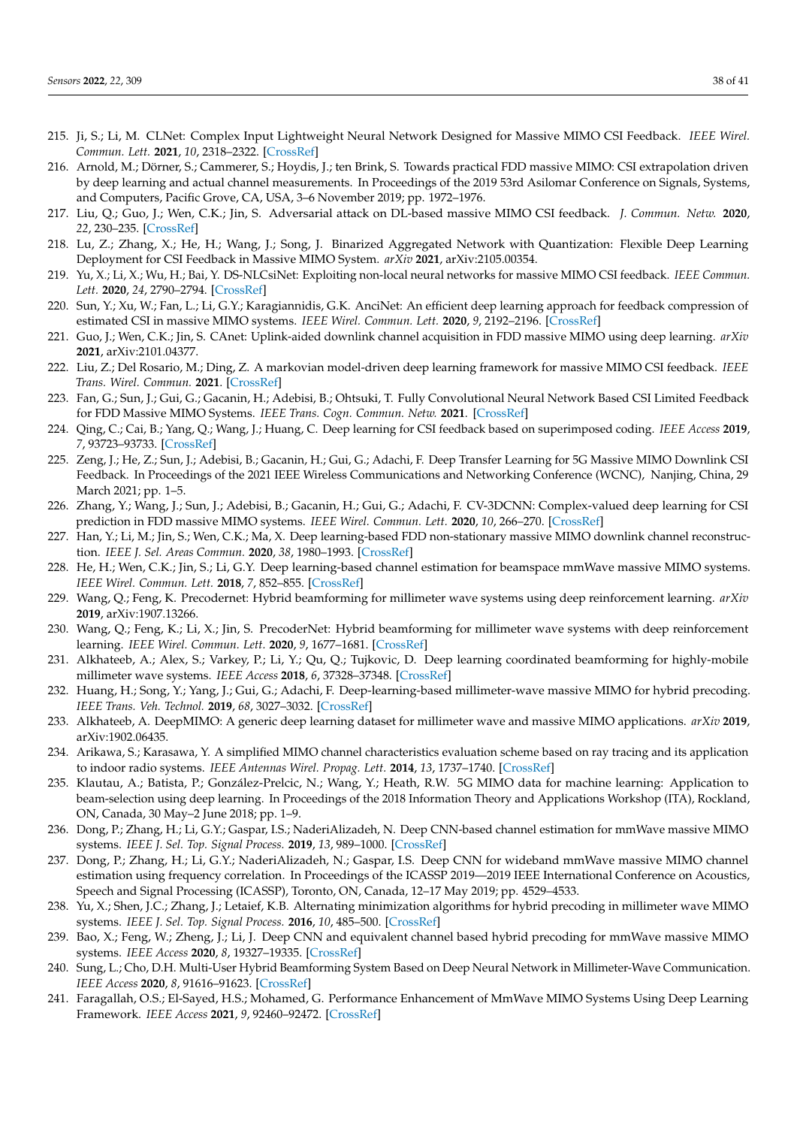- <span id="page-37-0"></span>215. Ji, S.; Li, M. CLNet: Complex Input Lightweight Neural Network Designed for Massive MIMO CSI Feedback. *IEEE Wirel. Commun. Lett.* **2021**, *10*, 2318–2322. [\[CrossRef\]](http://dx.doi.org/10.1109/LWC.2021.3100493)
- <span id="page-37-1"></span>216. Arnold, M.; Dörner, S.; Cammerer, S.; Hoydis, J.; ten Brink, S. Towards practical FDD massive MIMO: CSI extrapolation driven by deep learning and actual channel measurements. In Proceedings of the 2019 53rd Asilomar Conference on Signals, Systems, and Computers, Pacific Grove, CA, USA, 3–6 November 2019; pp. 1972–1976.
- <span id="page-37-2"></span>217. Liu, Q.; Guo, J.; Wen, C.K.; Jin, S. Adversarial attack on DL-based massive MIMO CSI feedback. *J. Commun. Netw.* **2020**, *22*, 230–235. [\[CrossRef\]](http://dx.doi.org/10.1109/JCN.2020.000016)
- <span id="page-37-3"></span>218. Lu, Z.; Zhang, X.; He, H.; Wang, J.; Song, J. Binarized Aggregated Network with Quantization: Flexible Deep Learning Deployment for CSI Feedback in Massive MIMO System. *arXiv* **2021**, arXiv:2105.00354.
- <span id="page-37-4"></span>219. Yu, X.; Li, X.; Wu, H.; Bai, Y. DS-NLCsiNet: Exploiting non-local neural networks for massive MIMO CSI feedback. *IEEE Commun. Lett.* **2020**, *24*, 2790–2794. [\[CrossRef\]](http://dx.doi.org/10.1109/LCOMM.2020.3019653)
- <span id="page-37-5"></span>220. Sun, Y.; Xu, W.; Fan, L.; Li, G.Y.; Karagiannidis, G.K. AnciNet: An efficient deep learning approach for feedback compression of estimated CSI in massive MIMO systems. *IEEE Wirel. Commun. Lett.* **2020**, *9*, 2192–2196. [\[CrossRef\]](http://dx.doi.org/10.1109/LWC.2020.3017753)
- <span id="page-37-6"></span>221. Guo, J.; Wen, C.K.; Jin, S. CAnet: Uplink-aided downlink channel acquisition in FDD massive MIMO using deep learning. *arXiv* **2021**, arXiv:2101.04377.
- <span id="page-37-7"></span>222. Liu, Z.; Del Rosario, M.; Ding, Z. A markovian model-driven deep learning framework for massive MIMO CSI feedback. *IEEE Trans. Wirel. Commun.* **2021**. [\[CrossRef\]](http://dx.doi.org/10.1109/TWC.2021.3103120)
- <span id="page-37-8"></span>223. Fan, G.; Sun, J.; Gui, G.; Gacanin, H.; Adebisi, B.; Ohtsuki, T. Fully Convolutional Neural Network Based CSI Limited Feedback for FDD Massive MIMO Systems. *IEEE Trans. Cogn. Commun. Netw.* **2021**. [\[CrossRef\]](http://dx.doi.org/10.1109/TCCN.2021.3119945)
- <span id="page-37-9"></span>224. Qing, C.; Cai, B.; Yang, Q.; Wang, J.; Huang, C. Deep learning for CSI feedback based on superimposed coding. *IEEE Access* **2019**, *7*, 93723–93733. [\[CrossRef\]](http://dx.doi.org/10.1109/ACCESS.2019.2928049)
- <span id="page-37-10"></span>225. Zeng, J.; He, Z.; Sun, J.; Adebisi, B.; Gacanin, H.; Gui, G.; Adachi, F. Deep Transfer Learning for 5G Massive MIMO Downlink CSI Feedback. In Proceedings of the 2021 IEEE Wireless Communications and Networking Conference (WCNC), Nanjing, China, 29 March 2021; pp. 1–5.
- <span id="page-37-11"></span>226. Zhang, Y.; Wang, J.; Sun, J.; Adebisi, B.; Gacanin, H.; Gui, G.; Adachi, F. CV-3DCNN: Complex-valued deep learning for CSI prediction in FDD massive MIMO systems. *IEEE Wirel. Commun. Lett.* **2020**, *10*, 266–270. [\[CrossRef\]](http://dx.doi.org/10.1109/LWC.2020.3027774)
- <span id="page-37-12"></span>227. Han, Y.; Li, M.; Jin, S.; Wen, C.K.; Ma, X. Deep learning-based FDD non-stationary massive MIMO downlink channel reconstruction. *IEEE J. Sel. Areas Commun.* **2020**, *38*, 1980–1993. [\[CrossRef\]](http://dx.doi.org/10.1109/JSAC.2020.3000836)
- <span id="page-37-13"></span>228. He, H.; Wen, C.K.; Jin, S.; Li, G.Y. Deep learning-based channel estimation for beamspace mmWave massive MIMO systems. *IEEE Wirel. Commun. Lett.* **2018**, *7*, 852–855. [\[CrossRef\]](http://dx.doi.org/10.1109/LWC.2018.2832128)
- <span id="page-37-14"></span>229. Wang, Q.; Feng, K. Precodernet: Hybrid beamforming for millimeter wave systems using deep reinforcement learning. *arXiv* **2019**, arXiv:1907.13266.
- <span id="page-37-15"></span>230. Wang, Q.; Feng, K.; Li, X.; Jin, S. PrecoderNet: Hybrid beamforming for millimeter wave systems with deep reinforcement learning. *IEEE Wirel. Commun. Lett.* **2020**, *9*, 1677–1681. [\[CrossRef\]](http://dx.doi.org/10.1109/LWC.2020.3001121)
- <span id="page-37-16"></span>231. Alkhateeb, A.; Alex, S.; Varkey, P.; Li, Y.; Qu, Q.; Tujkovic, D. Deep learning coordinated beamforming for highly-mobile millimeter wave systems. *IEEE Access* **2018**, *6*, 37328–37348. [\[CrossRef\]](http://dx.doi.org/10.1109/ACCESS.2018.2850226)
- <span id="page-37-17"></span>232. Huang, H.; Song, Y.; Yang, J.; Gui, G.; Adachi, F. Deep-learning-based millimeter-wave massive MIMO for hybrid precoding. *IEEE Trans. Veh. Technol.* **2019**, *68*, 3027–3032. [\[CrossRef\]](http://dx.doi.org/10.1109/TVT.2019.2893928)
- <span id="page-37-18"></span>233. Alkhateeb, A. DeepMIMO: A generic deep learning dataset for millimeter wave and massive MIMO applications. *arXiv* **2019**, arXiv:1902.06435.
- <span id="page-37-19"></span>234. Arikawa, S.; Karasawa, Y. A simplified MIMO channel characteristics evaluation scheme based on ray tracing and its application to indoor radio systems. *IEEE Antennas Wirel. Propag. Lett.* **2014**, *13*, 1737–1740. [\[CrossRef\]](http://dx.doi.org/10.1109/LAWP.2014.2353663)
- <span id="page-37-20"></span>235. Klautau, A.; Batista, P.; González-Prelcic, N.; Wang, Y.; Heath, R.W. 5G MIMO data for machine learning: Application to beam-selection using deep learning. In Proceedings of the 2018 Information Theory and Applications Workshop (ITA), Rockland, ON, Canada, 30 May–2 June 2018; pp. 1–9.
- <span id="page-37-21"></span>236. Dong, P.; Zhang, H.; Li, G.Y.; Gaspar, I.S.; NaderiAlizadeh, N. Deep CNN-based channel estimation for mmWave massive MIMO systems. *IEEE J. Sel. Top. Signal Process.* **2019**, *13*, 989–1000. [\[CrossRef\]](http://dx.doi.org/10.1109/JSTSP.2019.2925975)
- <span id="page-37-22"></span>237. Dong, P.; Zhang, H.; Li, G.Y.; NaderiAlizadeh, N.; Gaspar, I.S. Deep CNN for wideband mmWave massive MIMO channel estimation using frequency correlation. In Proceedings of the ICASSP 2019—2019 IEEE International Conference on Acoustics, Speech and Signal Processing (ICASSP), Toronto, ON, Canada, 12–17 May 2019; pp. 4529–4533.
- <span id="page-37-23"></span>238. Yu, X.; Shen, J.C.; Zhang, J.; Letaief, K.B. Alternating minimization algorithms for hybrid precoding in millimeter wave MIMO systems. *IEEE J. Sel. Top. Signal Process.* **2016**, *10*, 485–500. [\[CrossRef\]](http://dx.doi.org/10.1109/JSTSP.2016.2523903)
- <span id="page-37-24"></span>239. Bao, X.; Feng, W.; Zheng, J.; Li, J. Deep CNN and equivalent channel based hybrid precoding for mmWave massive MIMO systems. *IEEE Access* **2020**, *8*, 19327–19335. [\[CrossRef\]](http://dx.doi.org/10.1109/ACCESS.2020.2967402)
- <span id="page-37-25"></span>240. Sung, L.; Cho, D.H. Multi-User Hybrid Beamforming System Based on Deep Neural Network in Millimeter-Wave Communication. *IEEE Access* **2020**, *8*, 91616–91623. [\[CrossRef\]](http://dx.doi.org/10.1109/ACCESS.2020.2990317)
- <span id="page-37-26"></span>241. Faragallah, O.S.; El-Sayed, H.S.; Mohamed, G. Performance Enhancement of MmWave MIMO Systems Using Deep Learning Framework. *IEEE Access* **2021**, *9*, 92460–92472. [\[CrossRef\]](http://dx.doi.org/10.1109/ACCESS.2021.3092709)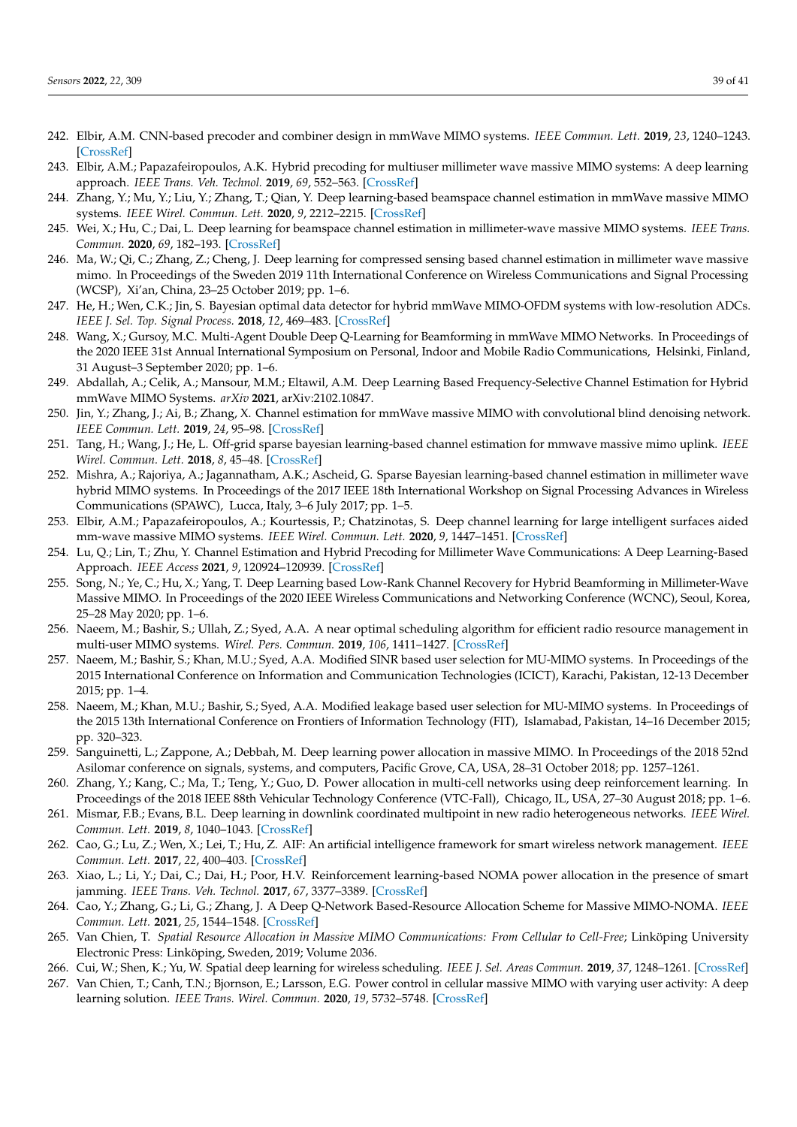- <span id="page-38-0"></span>242. Elbir, A.M. CNN-based precoder and combiner design in mmWave MIMO systems. *IEEE Commun. Lett.* **2019**, *23*, 1240–1243. [\[CrossRef\]](http://dx.doi.org/10.1109/LCOMM.2019.2915977)
- <span id="page-38-1"></span>243. Elbir, A.M.; Papazafeiropoulos, A.K. Hybrid precoding for multiuser millimeter wave massive MIMO systems: A deep learning approach. *IEEE Trans. Veh. Technol.* **2019**, *69*, 552–563. [\[CrossRef\]](http://dx.doi.org/10.1109/TVT.2019.2951501)
- <span id="page-38-2"></span>244. Zhang, Y.; Mu, Y.; Liu, Y.; Zhang, T.; Qian, Y. Deep learning-based beamspace channel estimation in mmWave massive MIMO systems. *IEEE Wirel. Commun. Lett.* **2020**, *9*, 2212–2215. [\[CrossRef\]](http://dx.doi.org/10.1109/LWC.2020.3019321)
- <span id="page-38-3"></span>245. Wei, X.; Hu, C.; Dai, L. Deep learning for beamspace channel estimation in millimeter-wave massive MIMO systems. *IEEE Trans. Commun.* **2020**, *69*, 182–193. [\[CrossRef\]](http://dx.doi.org/10.1109/TCOMM.2020.3027027)
- <span id="page-38-4"></span>246. Ma, W.; Qi, C.; Zhang, Z.; Cheng, J. Deep learning for compressed sensing based channel estimation in millimeter wave massive mimo. In Proceedings of the Sweden 2019 11th International Conference on Wireless Communications and Signal Processing (WCSP), Xi'an, China, 23–25 October 2019; pp. 1–6.
- <span id="page-38-5"></span>247. He, H.; Wen, C.K.; Jin, S. Bayesian optimal data detector for hybrid mmWave MIMO-OFDM systems with low-resolution ADCs. *IEEE J. Sel. Top. Signal Process.* **2018**, *12*, 469–483. [\[CrossRef\]](http://dx.doi.org/10.1109/JSTSP.2018.2818063)
- <span id="page-38-6"></span>248. Wang, X.; Gursoy, M.C. Multi-Agent Double Deep Q-Learning for Beamforming in mmWave MIMO Networks. In Proceedings of the 2020 IEEE 31st Annual International Symposium on Personal, Indoor and Mobile Radio Communications, Helsinki, Finland, 31 August–3 September 2020; pp. 1–6.
- <span id="page-38-7"></span>249. Abdallah, A.; Celik, A.; Mansour, M.M.; Eltawil, A.M. Deep Learning Based Frequency-Selective Channel Estimation for Hybrid mmWave MIMO Systems. *arXiv* **2021**, arXiv:2102.10847.
- <span id="page-38-8"></span>250. Jin, Y.; Zhang, J.; Ai, B.; Zhang, X. Channel estimation for mmWave massive MIMO with convolutional blind denoising network. *IEEE Commun. Lett.* **2019**, *24*, 95–98. [\[CrossRef\]](http://dx.doi.org/10.1109/LCOMM.2019.2952845)
- <span id="page-38-9"></span>251. Tang, H.; Wang, J.; He, L. Off-grid sparse bayesian learning-based channel estimation for mmwave massive mimo uplink. *IEEE Wirel. Commun. Lett.* **2018**, *8*, 45–48. [\[CrossRef\]](http://dx.doi.org/10.1109/LWC.2018.2850900)
- <span id="page-38-10"></span>252. Mishra, A.; Rajoriya, A.; Jagannatham, A.K.; Ascheid, G. Sparse Bayesian learning-based channel estimation in millimeter wave hybrid MIMO systems. In Proceedings of the 2017 IEEE 18th International Workshop on Signal Processing Advances in Wireless Communications (SPAWC), Lucca, Italy, 3–6 July 2017; pp. 1–5.
- <span id="page-38-11"></span>253. Elbir, A.M.; Papazafeiropoulos, A.; Kourtessis, P.; Chatzinotas, S. Deep channel learning for large intelligent surfaces aided mm-wave massive MIMO systems. *IEEE Wirel. Commun. Lett.* **2020**, *9*, 1447–1451. [\[CrossRef\]](http://dx.doi.org/10.1109/LWC.2020.2993699)
- <span id="page-38-12"></span>254. Lu, Q.; Lin, T.; Zhu, Y. Channel Estimation and Hybrid Precoding for Millimeter Wave Communications: A Deep Learning-Based Approach. *IEEE Access* **2021**, *9*, 120924–120939. [\[CrossRef\]](http://dx.doi.org/10.1109/ACCESS.2021.3108625)
- <span id="page-38-13"></span>255. Song, N.; Ye, C.; Hu, X.; Yang, T. Deep Learning based Low-Rank Channel Recovery for Hybrid Beamforming in Millimeter-Wave Massive MIMO. In Proceedings of the 2020 IEEE Wireless Communications and Networking Conference (WCNC), Seoul, Korea, 25–28 May 2020; pp. 1–6.
- <span id="page-38-14"></span>256. Naeem, M.; Bashir, S.; Ullah, Z.; Syed, A.A. A near optimal scheduling algorithm for efficient radio resource management in multi-user MIMO systems. *Wirel. Pers. Commun.* **2019**, *106*, 1411–1427. [\[CrossRef\]](http://dx.doi.org/10.1007/s11277-019-06222-3)
- <span id="page-38-15"></span>257. Naeem, M.; Bashir, S.; Khan, M.U.; Syed, A.A. Modified SINR based user selection for MU-MIMO systems. In Proceedings of the 2015 International Conference on Information and Communication Technologies (ICICT), Karachi, Pakistan, 12-13 December 2015; pp. 1–4.
- <span id="page-38-16"></span>258. Naeem, M.; Khan, M.U.; Bashir, S.; Syed, A.A. Modified leakage based user selection for MU-MIMO systems. In Proceedings of the 2015 13th International Conference on Frontiers of Information Technology (FIT), Islamabad, Pakistan, 14–16 December 2015; pp. 320–323.
- <span id="page-38-17"></span>259. Sanguinetti, L.; Zappone, A.; Debbah, M. Deep learning power allocation in massive MIMO. In Proceedings of the 2018 52nd Asilomar conference on signals, systems, and computers, Pacific Grove, CA, USA, 28–31 October 2018; pp. 1257–1261.
- <span id="page-38-18"></span>260. Zhang, Y.; Kang, C.; Ma, T.; Teng, Y.; Guo, D. Power allocation in multi-cell networks using deep reinforcement learning. In
- <span id="page-38-19"></span>Proceedings of the 2018 IEEE 88th Vehicular Technology Conference (VTC-Fall), Chicago, IL, USA, 27–30 August 2018; pp. 1–6. 261. Mismar, F.B.; Evans, B.L. Deep learning in downlink coordinated multipoint in new radio heterogeneous networks. *IEEE Wirel. Commun. Lett.* **2019**, *8*, 1040–1043. [\[CrossRef\]](http://dx.doi.org/10.1109/LWC.2019.2904686)
- <span id="page-38-20"></span>262. Cao, G.; Lu, Z.; Wen, X.; Lei, T.; Hu, Z. AIF: An artificial intelligence framework for smart wireless network management. *IEEE Commun. Lett.* **2017**, *22*, 400–403. [\[CrossRef\]](http://dx.doi.org/10.1109/LCOMM.2017.2776917)
- <span id="page-38-21"></span>263. Xiao, L.; Li, Y.; Dai, C.; Dai, H.; Poor, H.V. Reinforcement learning-based NOMA power allocation in the presence of smart jamming. *IEEE Trans. Veh. Technol.* **2017**, *67*, 3377–3389. [\[CrossRef\]](http://dx.doi.org/10.1109/TVT.2017.2782726)
- <span id="page-38-22"></span>264. Cao, Y.; Zhang, G.; Li, G.; Zhang, J. A Deep Q-Network Based-Resource Allocation Scheme for Massive MIMO-NOMA. *IEEE Commun. Lett.* **2021**, *25*, 1544–1548. [\[CrossRef\]](http://dx.doi.org/10.1109/LCOMM.2021.3055348)
- <span id="page-38-23"></span>265. Van Chien, T. *Spatial Resource Allocation in Massive MIMO Communications: From Cellular to Cell-Free*; Linköping University Electronic Press: Linköping, Sweden, 2019; Volume 2036.
- <span id="page-38-24"></span>266. Cui, W.; Shen, K.; Yu, W. Spatial deep learning for wireless scheduling. *IEEE J. Sel. Areas Commun.* **2019**, *37*, 1248–1261. [\[CrossRef\]](http://dx.doi.org/10.1109/JSAC.2019.2904352)
- <span id="page-38-25"></span>267. Van Chien, T.; Canh, T.N.; Bjornson, E.; Larsson, E.G. Power control in cellular massive MIMO with varying user activity: A deep learning solution. *IEEE Trans. Wirel. Commun.* **2020**, *19*, 5732–5748. [\[CrossRef\]](http://dx.doi.org/10.1109/TWC.2020.2996368)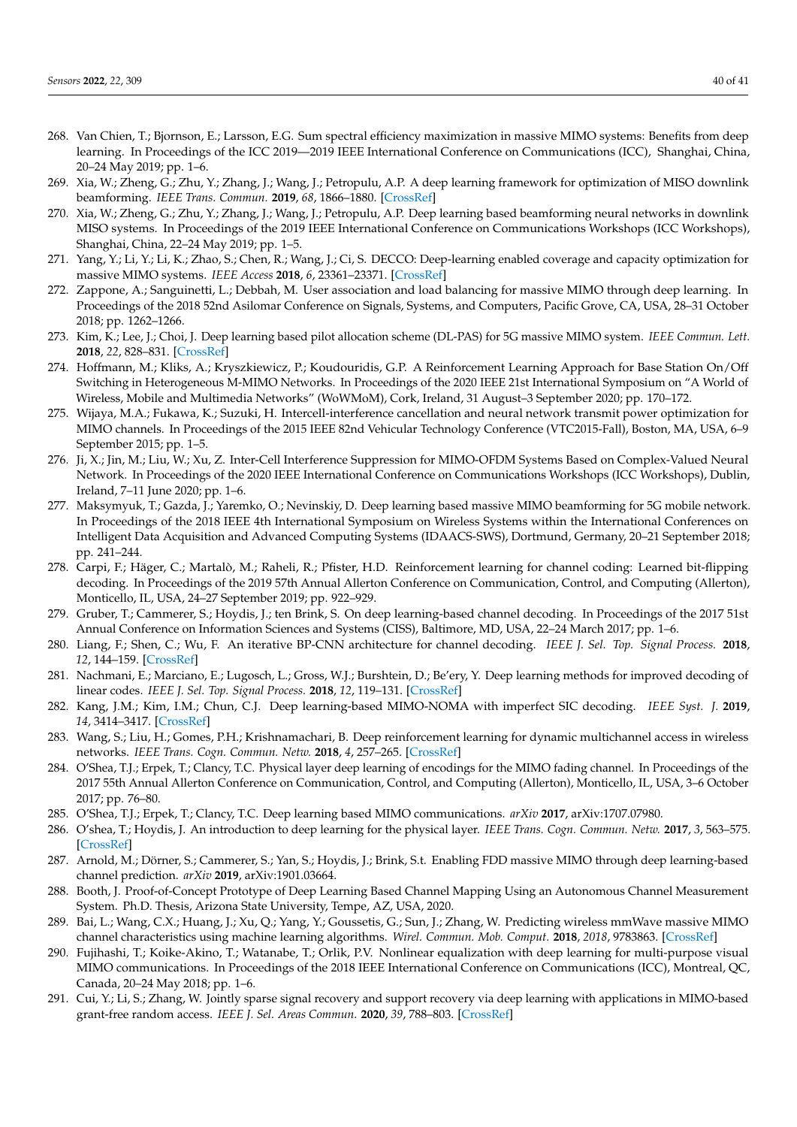- <span id="page-39-0"></span>268. Van Chien, T.; Bjornson, E.; Larsson, E.G. Sum spectral efficiency maximization in massive MIMO systems: Benefits from deep learning. In Proceedings of the ICC 2019—2019 IEEE International Conference on Communications (ICC), Shanghai, China, 20–24 May 2019; pp. 1–6.
- <span id="page-39-1"></span>269. Xia, W.; Zheng, G.; Zhu, Y.; Zhang, J.; Wang, J.; Petropulu, A.P. A deep learning framework for optimization of MISO downlink beamforming. *IEEE Trans. Commun.* **2019**, *68*, 1866–1880. [\[CrossRef\]](http://dx.doi.org/10.1109/TCOMM.2019.2960361)
- <span id="page-39-2"></span>270. Xia, W.; Zheng, G.; Zhu, Y.; Zhang, J.; Wang, J.; Petropulu, A.P. Deep learning based beamforming neural networks in downlink MISO systems. In Proceedings of the 2019 IEEE International Conference on Communications Workshops (ICC Workshops), Shanghai, China, 22–24 May 2019; pp. 1–5.
- <span id="page-39-3"></span>271. Yang, Y.; Li, Y.; Li, K.; Zhao, S.; Chen, R.; Wang, J.; Ci, S. DECCO: Deep-learning enabled coverage and capacity optimization for massive MIMO systems. *IEEE Access* **2018**, *6*, 23361–23371. [\[CrossRef\]](http://dx.doi.org/10.1109/ACCESS.2018.2828859)
- <span id="page-39-4"></span>272. Zappone, A.; Sanguinetti, L.; Debbah, M. User association and load balancing for massive MIMO through deep learning. In Proceedings of the 2018 52nd Asilomar Conference on Signals, Systems, and Computers, Pacific Grove, CA, USA, 28–31 October 2018; pp. 1262–1266.
- <span id="page-39-5"></span>273. Kim, K.; Lee, J.; Choi, J. Deep learning based pilot allocation scheme (DL-PAS) for 5G massive MIMO system. *IEEE Commun. Lett.* **2018**, *22*, 828–831. [\[CrossRef\]](http://dx.doi.org/10.1109/LCOMM.2018.2803054)
- <span id="page-39-6"></span>274. Hoffmann, M.; Kliks, A.; Kryszkiewicz, P.; Koudouridis, G.P. A Reinforcement Learning Approach for Base Station On/Off Switching in Heterogeneous M-MIMO Networks. In Proceedings of the 2020 IEEE 21st International Symposium on "A World of Wireless, Mobile and Multimedia Networks" (WoWMoM), Cork, Ireland, 31 August–3 September 2020; pp. 170–172.
- <span id="page-39-7"></span>275. Wijaya, M.A.; Fukawa, K.; Suzuki, H. Intercell-interference cancellation and neural network transmit power optimization for MIMO channels. In Proceedings of the 2015 IEEE 82nd Vehicular Technology Conference (VTC2015-Fall), Boston, MA, USA, 6–9 September 2015; pp. 1–5.
- <span id="page-39-8"></span>276. Ji, X.; Jin, M.; Liu, W.; Xu, Z. Inter-Cell Interference Suppression for MIMO-OFDM Systems Based on Complex-Valued Neural Network. In Proceedings of the 2020 IEEE International Conference on Communications Workshops (ICC Workshops), Dublin, Ireland, 7–11 June 2020; pp. 1–6.
- <span id="page-39-9"></span>277. Maksymyuk, T.; Gazda, J.; Yaremko, O.; Nevinskiy, D. Deep learning based massive MIMO beamforming for 5G mobile network. In Proceedings of the 2018 IEEE 4th International Symposium on Wireless Systems within the International Conferences on Intelligent Data Acquisition and Advanced Computing Systems (IDAACS-SWS), Dortmund, Germany, 20–21 September 2018; pp. 241–244.
- <span id="page-39-10"></span>278. Carpi, F.; Häger, C.; Martalò, M.; Raheli, R.; Pfister, H.D. Reinforcement learning for channel coding: Learned bit-flipping decoding. In Proceedings of the 2019 57th Annual Allerton Conference on Communication, Control, and Computing (Allerton), Monticello, IL, USA, 24–27 September 2019; pp. 922–929.
- <span id="page-39-11"></span>279. Gruber, T.; Cammerer, S.; Hoydis, J.; ten Brink, S. On deep learning-based channel decoding. In Proceedings of the 2017 51st Annual Conference on Information Sciences and Systems (CISS), Baltimore, MD, USA, 22–24 March 2017; pp. 1–6.
- <span id="page-39-12"></span>280. Liang, F.; Shen, C.; Wu, F. An iterative BP-CNN architecture for channel decoding. *IEEE J. Sel. Top. Signal Process.* **2018**, *12*, 144–159. [\[CrossRef\]](http://dx.doi.org/10.1109/JSTSP.2018.2794062)
- <span id="page-39-13"></span>281. Nachmani, E.; Marciano, E.; Lugosch, L.; Gross, W.J.; Burshtein, D.; Be'ery, Y. Deep learning methods for improved decoding of linear codes. *IEEE J. Sel. Top. Signal Process.* **2018**, *12*, 119–131. [\[CrossRef\]](http://dx.doi.org/10.1109/JSTSP.2017.2788405)
- <span id="page-39-14"></span>282. Kang, J.M.; Kim, I.M.; Chun, C.J. Deep learning-based MIMO-NOMA with imperfect SIC decoding. *IEEE Syst. J.* **2019**, *14*, 3414–3417. [\[CrossRef\]](http://dx.doi.org/10.1109/JSYST.2019.2937463)
- <span id="page-39-15"></span>283. Wang, S.; Liu, H.; Gomes, P.H.; Krishnamachari, B. Deep reinforcement learning for dynamic multichannel access in wireless networks. *IEEE Trans. Cogn. Commun. Netw.* **2018**, *4*, 257–265. [\[CrossRef\]](http://dx.doi.org/10.1109/TCCN.2018.2809722)
- <span id="page-39-16"></span>284. O'Shea, T.J.; Erpek, T.; Clancy, T.C. Physical layer deep learning of encodings for the MIMO fading channel. In Proceedings of the 2017 55th Annual Allerton Conference on Communication, Control, and Computing (Allerton), Monticello, IL, USA, 3–6 October 2017; pp. 76–80.
- <span id="page-39-17"></span>285. O'Shea, T.J.; Erpek, T.; Clancy, T.C. Deep learning based MIMO communications. *arXiv* **2017**, arXiv:1707.07980.
- <span id="page-39-18"></span>286. O'shea, T.; Hoydis, J. An introduction to deep learning for the physical layer. *IEEE Trans. Cogn. Commun. Netw.* **2017**, *3*, 563–575. [\[CrossRef\]](http://dx.doi.org/10.1109/TCCN.2017.2758370)
- <span id="page-39-19"></span>287. Arnold, M.; Dörner, S.; Cammerer, S.; Yan, S.; Hoydis, J.; Brink, S.t. Enabling FDD massive MIMO through deep learning-based channel prediction. *arXiv* **2019**, arXiv:1901.03664.
- <span id="page-39-20"></span>288. Booth, J. Proof-of-Concept Prototype of Deep Learning Based Channel Mapping Using an Autonomous Channel Measurement System. Ph.D. Thesis, Arizona State University, Tempe, AZ, USA, 2020.
- <span id="page-39-21"></span>289. Bai, L.; Wang, C.X.; Huang, J.; Xu, Q.; Yang, Y.; Goussetis, G.; Sun, J.; Zhang, W. Predicting wireless mmWave massive MIMO channel characteristics using machine learning algorithms. *Wirel. Commun. Mob. Comput.* **2018**, *2018*, 9783863. [\[CrossRef\]](http://dx.doi.org/10.1155/2018/9783863)
- <span id="page-39-22"></span>290. Fujihashi, T.; Koike-Akino, T.; Watanabe, T.; Orlik, P.V. Nonlinear equalization with deep learning for multi-purpose visual MIMO communications. In Proceedings of the 2018 IEEE International Conference on Communications (ICC), Montreal, QC, Canada, 20–24 May 2018; pp. 1–6.
- <span id="page-39-23"></span>291. Cui, Y.; Li, S.; Zhang, W. Jointly sparse signal recovery and support recovery via deep learning with applications in MIMO-based grant-free random access. *IEEE J. Sel. Areas Commun.* **2020**, *39*, 788–803. [\[CrossRef\]](http://dx.doi.org/10.1109/JSAC.2020.3018802)